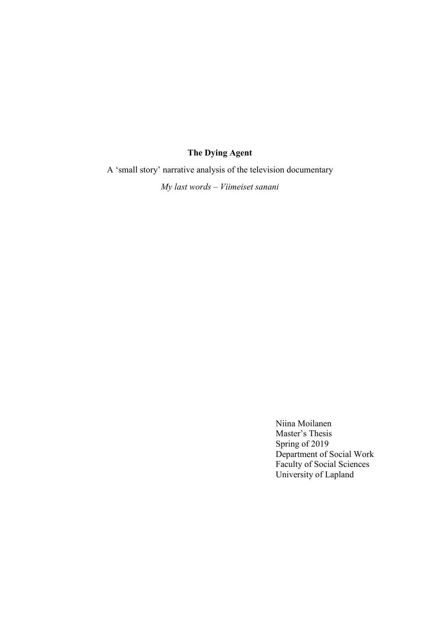## **The Dying Agent**

A 'small story' narrative analysis of the television documentary

*My last words – Viimeiset sanani*

Niina Moilanen Master's Thesis Spring of 2019 Department of Social Work Faculty of Social Sciences University of Lapland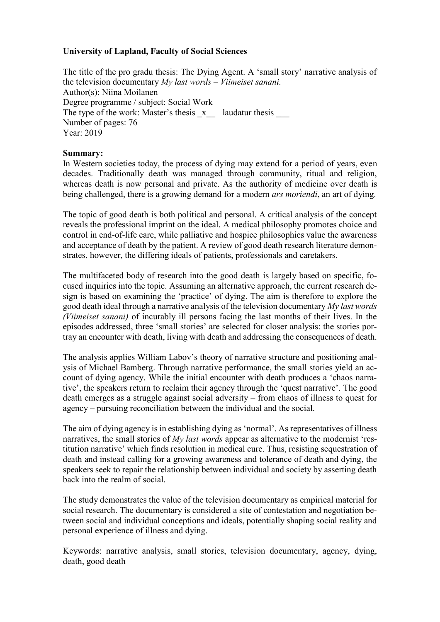## **University of Lapland, Faculty of Social Sciences**

The title of the pro gradu thesis: The Dying Agent. A 'small story' narrative analysis of the television documentary *My last words* – *Viimeiset sanani.* Author(s): Niina Moilanen Degree programme / subject: Social Work The type of the work: Master's thesis  $\bar{x}$  laudatur thesis Number of pages: 76 Year: 2019

## **Summary:**

In Western societies today, the process of dying may extend for a period of years, even decades. Traditionally death was managed through community, ritual and religion, whereas death is now personal and private. As the authority of medicine over death is being challenged, there is a growing demand for a modern *ars moriendi*, an art of dying.

The topic of good death is both political and personal. A critical analysis of the concept reveals the professional imprint on the ideal. A medical philosophy promotes choice and control in end-of-life care, while palliative and hospice philosophies value the awareness and acceptance of death by the patient. A review of good death research literature demonstrates, however, the differing ideals of patients, professionals and caretakers.

The multifaceted body of research into the good death is largely based on specific, focused inquiries into the topic. Assuming an alternative approach, the current research design is based on examining the 'practice' of dying. The aim is therefore to explore the good death ideal through a narrative analysis of the television documentary *My last words (Viimeiset sanani)* of incurably ill persons facing the last months of their lives. In the episodes addressed, three 'small stories' are selected for closer analysis: the stories portray an encounter with death, living with death and addressing the consequences of death.

The analysis applies William Labov's theory of narrative structure and positioning analysis of Michael Bamberg. Through narrative performance, the small stories yield an account of dying agency. While the initial encounter with death produces a 'chaos narrative', the speakers return to reclaim their agency through the 'quest narrative'. The good death emerges as a struggle against social adversity – from chaos of illness to quest for agency – pursuing reconciliation between the individual and the social.

The aim of dying agency is in establishing dying as 'normal'. As representatives of illness narratives, the small stories of *My last words* appear as alternative to the modernist 'restitution narrative' which finds resolution in medical cure. Thus, resisting sequestration of death and instead calling for a growing awareness and tolerance of death and dying, the speakers seek to repair the relationship between individual and society by asserting death back into the realm of social.

The study demonstrates the value of the television documentary as empirical material for social research. The documentary is considered a site of contestation and negotiation between social and individual conceptions and ideals, potentially shaping social reality and personal experience of illness and dying.

Keywords: narrative analysis, small stories, television documentary, agency, dying, death, good death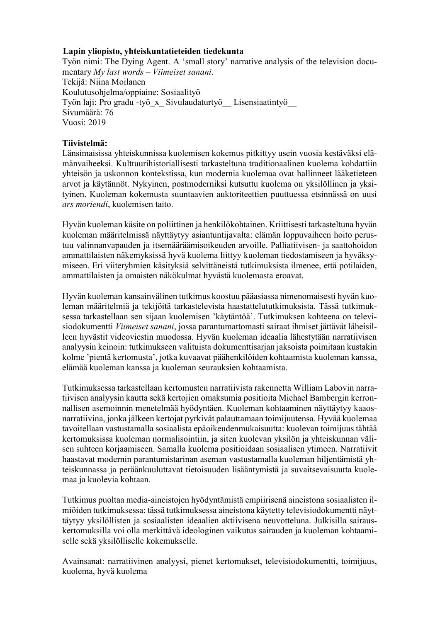## **Lapin yliopisto, yhteiskuntatieteiden tiedekunta**

Työn nimi: The Dying Agent. A 'small story' narrative analysis of the television documentary *My last words – Viimeiset sanani*. Tekijä: Niina Moilanen Koulutusohjelma/oppiaine: Sosiaalityö Työn laji: Pro gradu -työ x Sivulaudaturtyö Lisensiaatintyö Sivumäärä: 76 Vuosi: 2019

## **Tiivistelmä:**

Länsimaisissa yhteiskunnissa kuolemisen kokemus pitkittyy usein vuosia kestäväksi elämänvaiheeksi. Kulttuurihistoriallisesti tarkasteltuna traditionaalinen kuolema kohdattiin yhteisön ja uskonnon kontekstissa, kun modernia kuolemaa ovat hallinneet lääketieteen arvot ja käytännöt. Nykyinen, postmoderniksi kutsuttu kuolema on yksilöllinen ja yksityinen. Kuoleman kokemusta suuntaavien auktoriteettien puuttuessa etsinnässä on uusi *ars moriendi*, kuolemisen taito.

Hyvän kuoleman käsite on poliittinen ja henkilökohtainen. Kriittisesti tarkasteltuna hyvän kuoleman määritelmissä näyttäytyy asiantuntijavalta: elämän loppuvaiheen hoito perustuu valinnanvapauden ja itsemääräämisoikeuden arvoille. Palliatiivisen- ja saattohoidon ammattilaisten näkemyksissä hyvä kuolema liittyy kuoleman tiedostamiseen ja hyväksymiseen. Eri viiteryhmien käsityksiä selvittäneistä tutkimuksista ilmenee, että potilaiden, ammattilaisten ja omaisten näkökulmat hyvästä kuolemasta eroavat.

Hyvän kuoleman kansainvälinen tutkimus koostuu pääasiassa nimenomaisesti hyvän kuoleman määritelmiä ja tekijöitä tarkastelevista haastattelututkimuksista. Tässä tutkimuksessa tarkastellaan sen sijaan kuolemisen 'käytäntöä'. Tutkimuksen kohteena on televisiodokumentti *Viimeiset sanani*, jossa parantumattomasti sairaat ihmiset jättävät läheisilleen hyvästit videoviestin muodossa. Hyvän kuoleman ideaalia lähestytään narratiivisen analyysin keinoin: tutkimukseen valituista dokumenttisarjan jaksoista poimitaan kustakin kolme 'pientä kertomusta', jotka kuvaavat päähenkilöiden kohtaamista kuoleman kanssa, elämää kuoleman kanssa ja kuoleman seurauksien kohtaamista.

Tutkimuksessa tarkastellaan kertomusten narratiivista rakennetta William Labovin narratiivisen analyysin kautta sekä kertojien omaksumia positioita Michael Bambergin kerronnallisen asemoinnin menetelmää hyödyntäen. Kuoleman kohtaaminen näyttäytyy kaaosnarratiivina, jonka jälkeen kertojat pyrkivät palauttamaan toimijuutensa. Hyvää kuolemaa tavoitellaan vastustamalla sosiaalista epäoikeudenmukaisuutta: kuolevan toimijuus tähtää kertomuksissa kuoleman normalisointiin, ja siten kuolevan yksilön ja yhteiskunnan välisen suhteen korjaamiseen. Samalla kuolema positioidaan sosiaalisen ytimeen. Narratiivit haastavat modernin parantumistarinan aseman vastustamalla kuoleman hiljentämistä yhteiskunnassa ja peräänkuuluttavat tietoisuuden lisääntymistä ja suvaitsevaisuutta kuolemaa ja kuolevia kohtaan.

Tutkimus puoltaa media-aineistojen hyödyntämistä empiirisenä aineistona sosiaalisten ilmiöiden tutkimuksessa: tässä tutkimuksessa aineistona käytetty televisiodokumentti näyttäytyy yksilöllisten ja sosiaalisten ideaalien aktiivisena neuvotteluna. Julkisilla sairauskertomuksilla voi olla merkittävä ideologinen vaikutus sairauden ja kuoleman kohtaamiselle sekä yksilölliselle kokemukselle.

Avainsanat: narratiivinen analyysi, pienet kertomukset, televisiodokumentti, toimijuus, kuolema, hyvä kuolema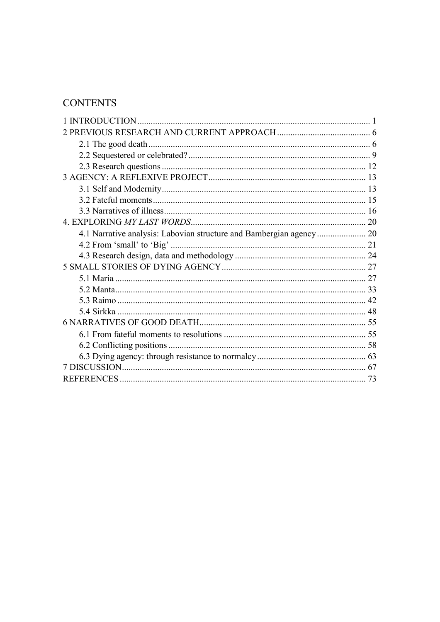# **CONTENTS**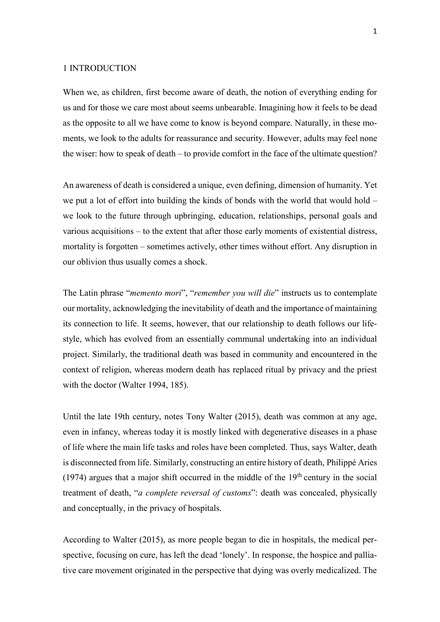#### <span id="page-4-0"></span>1 INTRODUCTION

When we, as children, first become aware of death, the notion of everything ending for us and for those we care most about seems unbearable. Imagining how it feels to be dead as the opposite to all we have come to know is beyond compare. Naturally, in these moments, we look to the adults for reassurance and security. However, adults may feel none the wiser: how to speak of death – to provide comfort in the face of the ultimate question?

An awareness of death is considered a unique, even defining, dimension of humanity. Yet we put a lot of effort into building the kinds of bonds with the world that would hold – we look to the future through upbringing, education, relationships, personal goals and various acquisitions – to the extent that after those early moments of existential distress, mortality is forgotten – sometimes actively, other times without effort. Any disruption in our oblivion thus usually comes a shock.

The Latin phrase "*memento mori*", "*remember you will die*" instructs us to contemplate our mortality, acknowledging the inevitability of death and the importance of maintaining its connection to life. It seems, however, that our relationship to death follows our lifestyle, which has evolved from an essentially communal undertaking into an individual project. Similarly, the traditional death was based in community and encountered in the context of religion, whereas modern death has replaced ritual by privacy and the priest with the doctor (Walter 1994, 185).

Until the late 19th century, notes Tony Walter (2015), death was common at any age, even in infancy, whereas today it is mostly linked with degenerative diseases in a phase of life where the main life tasks and roles have been completed. Thus, says Walter, death is disconnected from life. Similarly, constructing an entire history of death, Philippé Aries (1974) argues that a major shift occurred in the middle of the  $19<sup>th</sup>$  century in the social treatment of death, "*a complete reversal of customs*": death was concealed, physically and conceptually, in the privacy of hospitals.

According to Walter (2015), as more people began to die in hospitals, the medical perspective, focusing on cure, has left the dead 'lonely'. In response, the hospice and palliative care movement originated in the perspective that dying was overly medicalized. The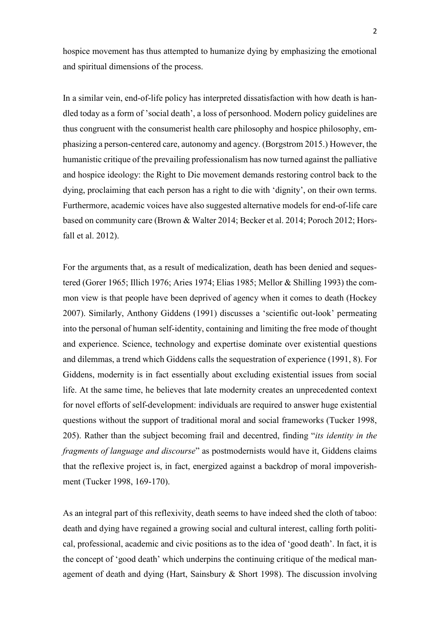hospice movement has thus attempted to humanize dying by emphasizing the emotional and spiritual dimensions of the process.

In a similar vein, end-of-life policy has interpreted dissatisfaction with how death is handled today as a form of 'social death', a loss of personhood. Modern policy guidelines are thus congruent with the consumerist health care philosophy and hospice philosophy, emphasizing a person-centered care, autonomy and agency. (Borgstrom 2015.) However, the humanistic critique of the prevailing professionalism has now turned against the palliative and hospice ideology: the Right to Die movement demands restoring control back to the dying, proclaiming that each person has a right to die with 'dignity', on their own terms. Furthermore, academic voices have also suggested alternative models for end-of-life care based on community care (Brown & Walter 2014; Becker et al. 2014; Poroch 2012; Horsfall et al. 2012).

For the arguments that, as a result of medicalization, death has been denied and sequestered (Gorer 1965; Illich 1976; Aries 1974; Elias 1985; Mellor & Shilling 1993) the common view is that people have been deprived of agency when it comes to death (Hockey 2007). Similarly, Anthony Giddens (1991) discusses a 'scientific out-look' permeating into the personal of human self-identity, containing and limiting the free mode of thought and experience. Science, technology and expertise dominate over existential questions and dilemmas, a trend which Giddens calls the sequestration of experience (1991, 8). For Giddens, modernity is in fact essentially about excluding existential issues from social life. At the same time, he believes that late modernity creates an unprecedented context for novel efforts of self-development: individuals are required to answer huge existential questions without the support of traditional moral and social frameworks (Tucker 1998, 205). Rather than the subject becoming frail and decentred, finding "*its identity in the fragments of language and discourse*" as postmodernists would have it, Giddens claims that the reflexive project is, in fact, energized against a backdrop of moral impoverishment (Tucker 1998, 169-170).

As an integral part of this reflexivity, death seems to have indeed shed the cloth of taboo: death and dying have regained a growing social and cultural interest, calling forth political, professional, academic and civic positions as to the idea of 'good death'. In fact, it is the concept of 'good death' which underpins the continuing critique of the medical management of death and dying (Hart, Sainsbury & Short 1998). The discussion involving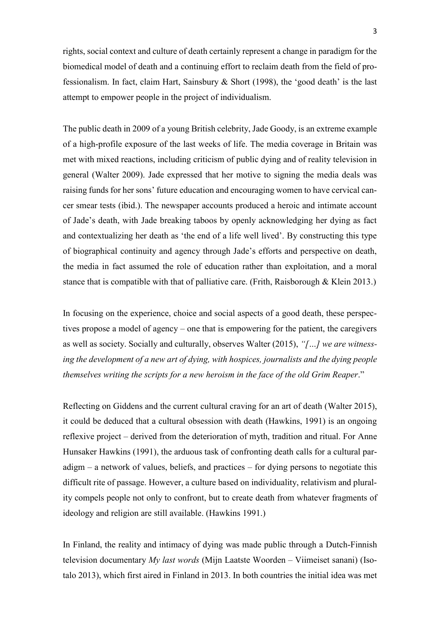rights, social context and culture of death certainly represent a change in paradigm for the biomedical model of death and a continuing effort to reclaim death from the field of professionalism. In fact, claim Hart, Sainsbury & Short (1998), the 'good death' is the last attempt to empower people in the project of individualism.

The public death in 2009 of a young British celebrity, Jade Goody, is an extreme example of a high-profile exposure of the last weeks of life. The media coverage in Britain was met with mixed reactions, including criticism of public dying and of reality television in general (Walter 2009). Jade expressed that her motive to signing the media deals was raising funds for her sons' future education and encouraging women to have cervical cancer smear tests (ibid.). The newspaper accounts produced a heroic and intimate account of Jade's death, with Jade breaking taboos by openly acknowledging her dying as fact and contextualizing her death as 'the end of a life well lived'. By constructing this type of biographical continuity and agency through Jade's efforts and perspective on death, the media in fact assumed the role of education rather than exploitation, and a moral stance that is compatible with that of palliative care. (Frith, Raisborough & Klein 2013.)

In focusing on the experience, choice and social aspects of a good death, these perspectives propose a model of agency – one that is empowering for the patient, the caregivers as well as society. Socially and culturally, observes Walter (2015), *"[…] we are witnessing the development of a new art of dying, with hospices, journalists and the dying people themselves writing the scripts for a new heroism in the face of the old Grim Reaper*."

Reflecting on Giddens and the current cultural craving for an art of death (Walter 2015), it could be deduced that a cultural obsession with death (Hawkins, 1991) is an ongoing reflexive project – derived from the deterioration of myth, tradition and ritual. For Anne Hunsaker Hawkins (1991), the arduous task of confronting death calls for a cultural paradigm – a network of values, beliefs, and practices – for dying persons to negotiate this difficult rite of passage. However, a culture based on individuality, relativism and plurality compels people not only to confront, but to create death from whatever fragments of ideology and religion are still available. (Hawkins 1991.)

In Finland, the reality and intimacy of dying was made public through a Dutch-Finnish television documentary *My last words* (Mijn Laatste Woorden – Viimeiset sanani) (Isotalo 2013), which first aired in Finland in 2013. In both countries the initial idea was met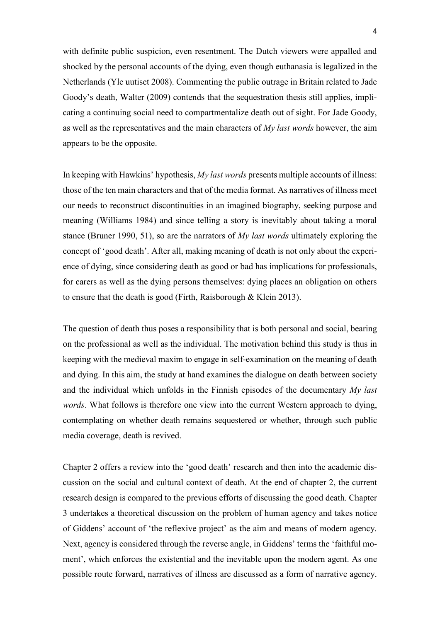with definite public suspicion, even resentment. The Dutch viewers were appalled and shocked by the personal accounts of the dying, even though euthanasia is legalized in the Netherlands (Yle uutiset 2008). Commenting the public outrage in Britain related to Jade Goody's death, Walter (2009) contends that the sequestration thesis still applies, implicating a continuing social need to compartmentalize death out of sight. For Jade Goody, as well as the representatives and the main characters of *My last words* however, the aim appears to be the opposite.

In keeping with Hawkins' hypothesis, *My last words* presents multiple accounts of illness: those of the ten main characters and that of the media format. As narratives of illness meet our needs to reconstruct discontinuities in an imagined biography, seeking purpose and meaning (Williams 1984) and since telling a story is inevitably about taking a moral stance (Bruner 1990, 51), so are the narrators of *My last words* ultimately exploring the concept of 'good death'. After all, making meaning of death is not only about the experience of dying, since considering death as good or bad has implications for professionals, for carers as well as the dying persons themselves: dying places an obligation on others to ensure that the death is good (Firth, Raisborough & Klein 2013).

The question of death thus poses a responsibility that is both personal and social, bearing on the professional as well as the individual. The motivation behind this study is thus in keeping with the medieval maxim to engage in self-examination on the meaning of death and dying. In this aim, the study at hand examines the dialogue on death between society and the individual which unfolds in the Finnish episodes of the documentary *My last words*. What follows is therefore one view into the current Western approach to dying, contemplating on whether death remains sequestered or whether, through such public media coverage, death is revived.

Chapter 2 offers a review into the 'good death' research and then into the academic discussion on the social and cultural context of death. At the end of chapter 2, the current research design is compared to the previous efforts of discussing the good death. Chapter 3 undertakes a theoretical discussion on the problem of human agency and takes notice of Giddens' account of 'the reflexive project' as the aim and means of modern agency. Next, agency is considered through the reverse angle, in Giddens' terms the 'faithful moment', which enforces the existential and the inevitable upon the modern agent. As one possible route forward, narratives of illness are discussed as a form of narrative agency.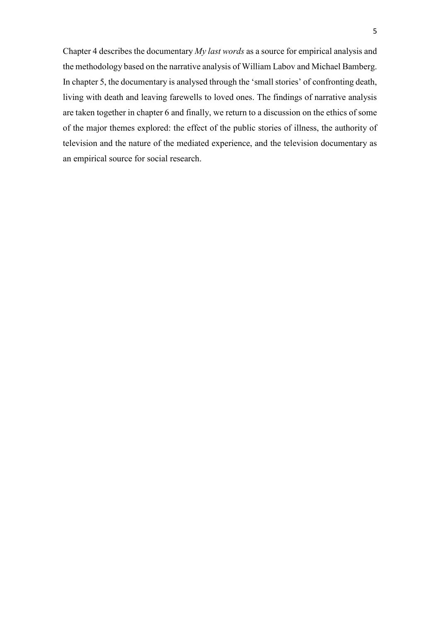<span id="page-8-0"></span>Chapter 4 describes the documentary *My last words* as a source for empirical analysis and the methodology based on the narrative analysis of William Labov and Michael Bamberg. In chapter 5, the documentary is analysed through the 'small stories' of confronting death, living with death and leaving farewells to loved ones. The findings of narrative analysis are taken together in chapter 6 and finally, we return to a discussion on the ethics of some of the major themes explored: the effect of the public stories of illness, the authority of television and the nature of the mediated experience, and the television documentary as an empirical source for social research.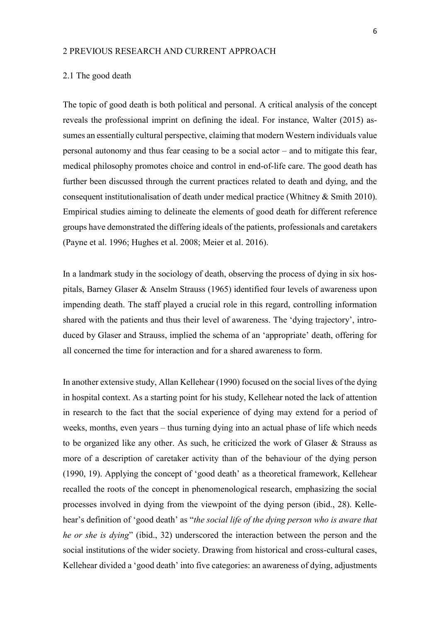#### 2 PREVIOUS RESEARCH AND CURRENT APPROACH

#### <span id="page-9-0"></span>2.1 The good death

The topic of good death is both political and personal. A critical analysis of the concept reveals the professional imprint on defining the ideal. For instance, Walter (2015) assumes an essentially cultural perspective, claiming that modern Western individuals value personal autonomy and thus fear ceasing to be a social actor – and to mitigate this fear, medical philosophy promotes choice and control in end-of-life care. The good death has further been discussed through the current practices related to death and dying, and the consequent institutionalisation of death under medical practice (Whitney & Smith 2010). Empirical studies aiming to delineate the elements of good death for different reference groups have demonstrated the differing ideals of the patients, professionals and caretakers (Payne et al. 1996; Hughes et al. 2008; Meier et al. 2016).

In a landmark study in the sociology of death, observing the process of dying in six hospitals, Barney Glaser & Anselm Strauss (1965) identified four levels of awareness upon impending death. The staff played a crucial role in this regard, controlling information shared with the patients and thus their level of awareness. The 'dying trajectory', introduced by Glaser and Strauss, implied the schema of an 'appropriate' death, offering for all concerned the time for interaction and for a shared awareness to form.

In another extensive study, Allan Kellehear (1990) focused on the social lives of the dying in hospital context. As a starting point for his study, Kellehear noted the lack of attention in research to the fact that the social experience of dying may extend for a period of weeks, months, even years – thus turning dying into an actual phase of life which needs to be organized like any other. As such, he criticized the work of Glaser & Strauss as more of a description of caretaker activity than of the behaviour of the dying person (1990, 19). Applying the concept of 'good death' as a theoretical framework, Kellehear recalled the roots of the concept in phenomenological research, emphasizing the social processes involved in dying from the viewpoint of the dying person (ibid., 28). Kellehear's definition of 'good death' as "*the social life of the dying person who is aware that he or she is dying*" (ibid., 32) underscored the interaction between the person and the social institutions of the wider society. Drawing from historical and cross-cultural cases, Kellehear divided a 'good death' into five categories: an awareness of dying, adjustments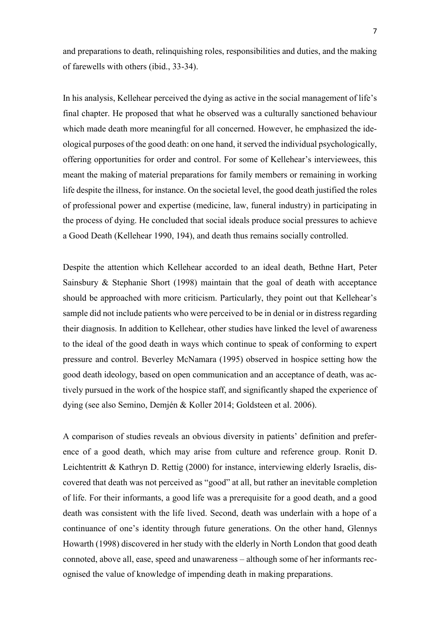and preparations to death, relinquishing roles, responsibilities and duties, and the making of farewells with others (ibid., 33-34).

In his analysis, Kellehear perceived the dying as active in the social management of life's final chapter. He proposed that what he observed was a culturally sanctioned behaviour which made death more meaningful for all concerned. However, he emphasized the ideological purposes of the good death: on one hand, it served the individual psychologically, offering opportunities for order and control. For some of Kellehear's interviewees, this meant the making of material preparations for family members or remaining in working life despite the illness, for instance. On the societal level, the good death justified the roles of professional power and expertise (medicine, law, funeral industry) in participating in the process of dying. He concluded that social ideals produce social pressures to achieve a Good Death (Kellehear 1990, 194), and death thus remains socially controlled.

Despite the attention which Kellehear accorded to an ideal death, Bethne Hart, Peter Sainsbury & Stephanie Short (1998) maintain that the goal of death with acceptance should be approached with more criticism. Particularly, they point out that Kellehear's sample did not include patients who were perceived to be in denial or in distress regarding their diagnosis. In addition to Kellehear, other studies have linked the level of awareness to the ideal of the good death in ways which continue to speak of conforming to expert pressure and control. Beverley McNamara (1995) observed in hospice setting how the good death ideology, based on open communication and an acceptance of death, was actively pursued in the work of the hospice staff, and significantly shaped the experience of dying (see also Semino, Demjén & Koller 2014; Goldsteen et al. 2006).

A comparison of studies reveals an obvious diversity in patients' definition and preference of a good death, which may arise from culture and reference group. Ronit D. Leichtentritt & Kathryn D. Rettig (2000) for instance, interviewing elderly Israelis, discovered that death was not perceived as "good" at all, but rather an inevitable completion of life. For their informants, a good life was a prerequisite for a good death, and a good death was consistent with the life lived. Second, death was underlain with a hope of a continuance of one's identity through future generations. On the other hand, Glennys Howarth (1998) discovered in her study with the elderly in North London that good death connoted, above all, ease, speed and unawareness – although some of her informants recognised the value of knowledge of impending death in making preparations.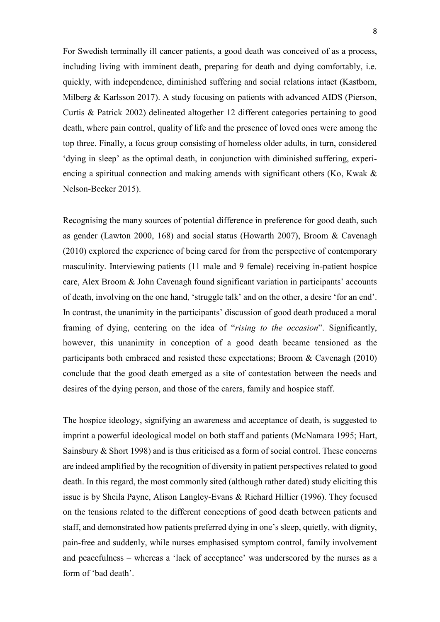For Swedish terminally ill cancer patients, a good death was conceived of as a process, including living with imminent death, preparing for death and dying comfortably, i.e. quickly, with independence, diminished suffering and social relations intact (Kastbom, Milberg & Karlsson 2017). A study focusing on patients with advanced AIDS (Pierson, Curtis & Patrick 2002) delineated altogether 12 different categories pertaining to good death, where pain control, quality of life and the presence of loved ones were among the top three. Finally, a focus group consisting of homeless older adults, in turn, considered 'dying in sleep' as the optimal death, in conjunction with diminished suffering, experiencing a spiritual connection and making amends with significant others (Ko, Kwak & Nelson-Becker 2015).

Recognising the many sources of potential difference in preference for good death, such as gender (Lawton 2000, 168) and social status (Howarth 2007), Broom & Cavenagh (2010) explored the experience of being cared for from the perspective of contemporary masculinity. Interviewing patients (11 male and 9 female) receiving in-patient hospice care, Alex Broom & John Cavenagh found significant variation in participants' accounts of death, involving on the one hand, 'struggle talk' and on the other, a desire 'for an end'. In contrast, the unanimity in the participants' discussion of good death produced a moral framing of dying, centering on the idea of "*rising to the occasion*". Significantly, however, this unanimity in conception of a good death became tensioned as the participants both embraced and resisted these expectations; Broom & Cavenagh (2010) conclude that the good death emerged as a site of contestation between the needs and desires of the dying person, and those of the carers, family and hospice staff.

The hospice ideology, signifying an awareness and acceptance of death, is suggested to imprint a powerful ideological model on both staff and patients (McNamara 1995; Hart, Sainsbury & Short 1998) and is thus criticised as a form of social control. These concerns are indeed amplified by the recognition of diversity in patient perspectives related to good death. In this regard, the most commonly sited (although rather dated) study eliciting this issue is by Sheila Payne, Alison Langley-Evans & Richard Hillier (1996). They focused on the tensions related to the different conceptions of good death between patients and staff, and demonstrated how patients preferred dying in one's sleep, quietly, with dignity, pain-free and suddenly, while nurses emphasised symptom control, family involvement and peacefulness – whereas a 'lack of acceptance' was underscored by the nurses as a form of 'bad death'.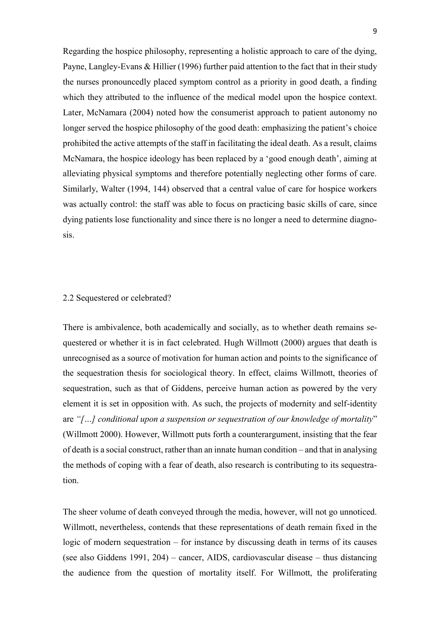Regarding the hospice philosophy, representing a holistic approach to care of the dying, Payne, Langley-Evans & Hillier (1996) further paid attention to the fact that in their study the nurses pronouncedly placed symptom control as a priority in good death, a finding which they attributed to the influence of the medical model upon the hospice context. Later, McNamara (2004) noted how the consumerist approach to patient autonomy no longer served the hospice philosophy of the good death: emphasizing the patient's choice prohibited the active attempts of the staff in facilitating the ideal death. As a result, claims McNamara, the hospice ideology has been replaced by a 'good enough death', aiming at alleviating physical symptoms and therefore potentially neglecting other forms of care. Similarly, Walter (1994, 144) observed that a central value of care for hospice workers was actually control: the staff was able to focus on practicing basic skills of care, since dying patients lose functionality and since there is no longer a need to determine diagnosis.

#### <span id="page-12-0"></span>2.2 Sequestered or celebrated?

There is ambivalence, both academically and socially, as to whether death remains sequestered or whether it is in fact celebrated. Hugh Willmott (2000) argues that death is unrecognised as a source of motivation for human action and points to the significance of the sequestration thesis for sociological theory. In effect, claims Willmott, theories of sequestration, such as that of Giddens, perceive human action as powered by the very element it is set in opposition with. As such, the projects of modernity and self-identity are *"[…] conditional upon a suspension or sequestration of our knowledge of mortality*" (Willmott 2000). However, Willmott puts forth a counterargument, insisting that the fear of death is a social construct, rather than an innate human condition – and that in analysing the methods of coping with a fear of death, also research is contributing to its sequestration.

The sheer volume of death conveyed through the media, however, will not go unnoticed. Willmott, nevertheless, contends that these representations of death remain fixed in the logic of modern sequestration – for instance by discussing death in terms of its causes (see also Giddens 1991, 204) – cancer, AIDS, cardiovascular disease – thus distancing the audience from the question of mortality itself. For Willmott, the proliferating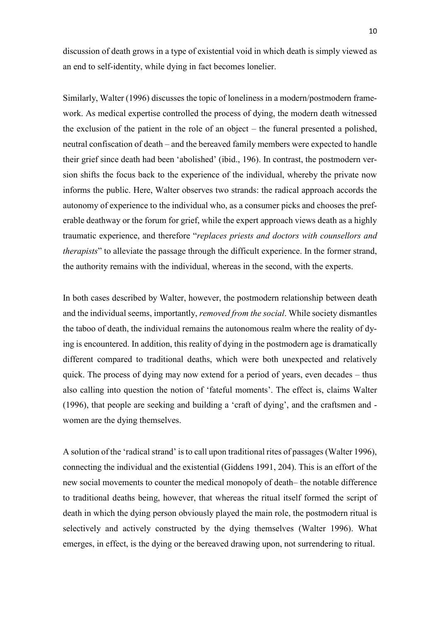discussion of death grows in a type of existential void in which death is simply viewed as an end to self-identity, while dying in fact becomes lonelier.

Similarly, Walter (1996) discusses the topic of loneliness in a modern/postmodern framework. As medical expertise controlled the process of dying, the modern death witnessed the exclusion of the patient in the role of an object – the funeral presented a polished, neutral confiscation of death – and the bereaved family members were expected to handle their grief since death had been 'abolished' (ibid., 196). In contrast, the postmodern version shifts the focus back to the experience of the individual, whereby the private now informs the public. Here, Walter observes two strands: the radical approach accords the autonomy of experience to the individual who, as a consumer picks and chooses the preferable deathway or the forum for grief, while the expert approach views death as a highly traumatic experience, and therefore "*replaces priests and doctors with counsellors and therapists*" to alleviate the passage through the difficult experience. In the former strand, the authority remains with the individual, whereas in the second, with the experts.

In both cases described by Walter, however, the postmodern relationship between death and the individual seems, importantly, *removed from the social*. While society dismantles the taboo of death, the individual remains the autonomous realm where the reality of dying is encountered. In addition, this reality of dying in the postmodern age is dramatically different compared to traditional deaths, which were both unexpected and relatively quick. The process of dying may now extend for a period of years, even decades – thus also calling into question the notion of 'fateful moments'. The effect is, claims Walter (1996), that people are seeking and building a 'craft of dying', and the craftsmen and women are the dying themselves.

A solution of the 'radical strand' is to call upon traditional rites of passages (Walter 1996), connecting the individual and the existential (Giddens 1991, 204). This is an effort of the new social movements to counter the medical monopoly of death– the notable difference to traditional deaths being, however, that whereas the ritual itself formed the script of death in which the dying person obviously played the main role, the postmodern ritual is selectively and actively constructed by the dying themselves (Walter 1996). What emerges, in effect, is the dying or the bereaved drawing upon, not surrendering to ritual.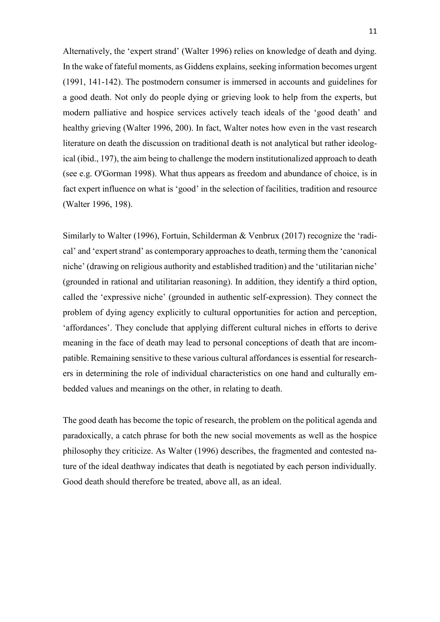Alternatively, the 'expert strand' (Walter 1996) relies on knowledge of death and dying. In the wake of fateful moments, as Giddens explains, seeking information becomes urgent (1991, 141-142). The postmodern consumer is immersed in accounts and guidelines for a good death. Not only do people dying or grieving look to help from the experts, but modern palliative and hospice services actively teach ideals of the 'good death' and healthy grieving (Walter 1996, 200). In fact, Walter notes how even in the vast research literature on death the discussion on traditional death is not analytical but rather ideological (ibid., 197), the aim being to challenge the modern institutionalized approach to death (see e.g. O'Gorman 1998). What thus appears as freedom and abundance of choice, is in fact expert influence on what is 'good' in the selection of facilities, tradition and resource (Walter 1996, 198).

Similarly to Walter (1996), Fortuin, Schilderman & Venbrux (2017) recognize the 'radical' and 'expert strand' as contemporary approaches to death, terming them the 'canonical niche' (drawing on religious authority and established tradition) and the 'utilitarian niche' (grounded in rational and utilitarian reasoning). In addition, they identify a third option, called the 'expressive niche' (grounded in authentic self-expression). They connect the problem of dying agency explicitly to cultural opportunities for action and perception, 'affordances'. They conclude that applying different cultural niches in efforts to derive meaning in the face of death may lead to personal conceptions of death that are incompatible. Remaining sensitive to these various cultural affordances is essential for researchers in determining the role of individual characteristics on one hand and culturally embedded values and meanings on the other, in relating to death.

The good death has become the topic of research, the problem on the political agenda and paradoxically, a catch phrase for both the new social movements as well as the hospice philosophy they criticize. As Walter (1996) describes, the fragmented and contested nature of the ideal deathway indicates that death is negotiated by each person individually. Good death should therefore be treated, above all, as an ideal.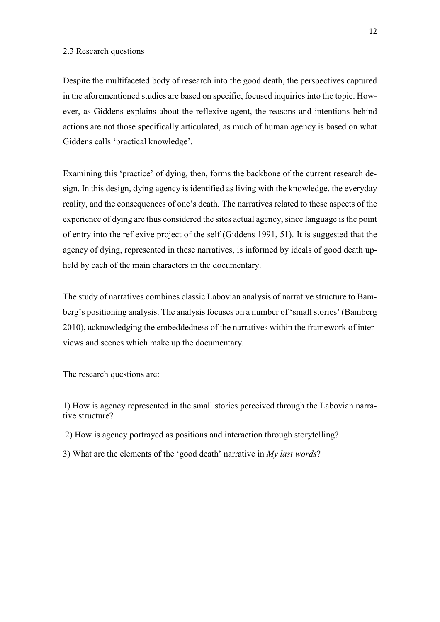#### <span id="page-15-0"></span>2.3 Research questions

Despite the multifaceted body of research into the good death, the perspectives captured in the aforementioned studies are based on specific, focused inquiries into the topic. However, as Giddens explains about the reflexive agent, the reasons and intentions behind actions are not those specifically articulated, as much of human agency is based on what Giddens calls 'practical knowledge'.

Examining this 'practice' of dying, then, forms the backbone of the current research design. In this design, dying agency is identified as living with the knowledge, the everyday reality, and the consequences of one's death. The narratives related to these aspects of the experience of dying are thus considered the sites actual agency, since language is the point of entry into the reflexive project of the self (Giddens 1991, 51). It is suggested that the agency of dying, represented in these narratives, is informed by ideals of good death upheld by each of the main characters in the documentary.

The study of narratives combines classic Labovian analysis of narrative structure to Bamberg's positioning analysis. The analysis focuses on a number of 'small stories' (Bamberg 2010), acknowledging the embeddedness of the narratives within the framework of interviews and scenes which make up the documentary.

The research questions are:

1) How is agency represented in the small stories perceived through the Labovian narrative structure?

- 2) How is agency portrayed as positions and interaction through storytelling?
- 3) What are the elements of the 'good death' narrative in *My last words*?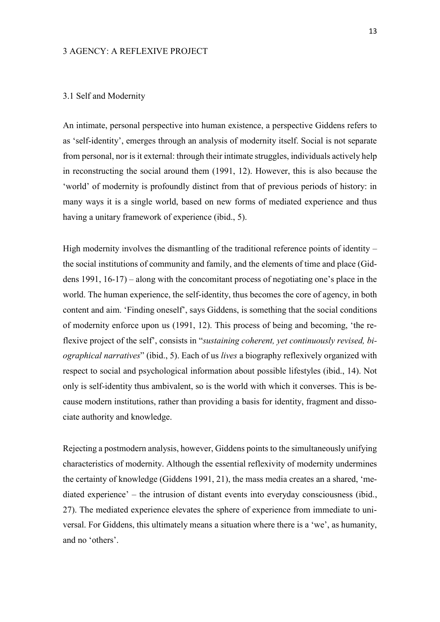#### <span id="page-16-0"></span>3 AGENCY: A REFLEXIVE PROJECT

#### <span id="page-16-1"></span>3.1 Self and Modernity

An intimate, personal perspective into human existence, a perspective Giddens refers to as 'self-identity', emerges through an analysis of modernity itself. Social is not separate from personal, nor is it external: through their intimate struggles, individuals actively help in reconstructing the social around them (1991, 12). However, this is also because the 'world' of modernity is profoundly distinct from that of previous periods of history: in many ways it is a single world, based on new forms of mediated experience and thus having a unitary framework of experience (ibid., 5).

High modernity involves the dismantling of the traditional reference points of identity – the social institutions of community and family, and the elements of time and place (Giddens 1991, 16-17) – along with the concomitant process of negotiating one's place in the world. The human experience, the self-identity, thus becomes the core of agency, in both content and aim. 'Finding oneself', says Giddens, is something that the social conditions of modernity enforce upon us (1991, 12). This process of being and becoming, 'the reflexive project of the self', consists in "*sustaining coherent, yet continuously revised, biographical narratives*" (ibid., 5). Each of us *lives* a biography reflexively organized with respect to social and psychological information about possible lifestyles (ibid., 14). Not only is self-identity thus ambivalent, so is the world with which it converses. This is because modern institutions, rather than providing a basis for identity, fragment and dissociate authority and knowledge.

Rejecting a postmodern analysis, however, Giddens points to the simultaneously unifying characteristics of modernity. Although the essential reflexivity of modernity undermines the certainty of knowledge (Giddens 1991, 21), the mass media creates an a shared, 'mediated experience' – the intrusion of distant events into everyday consciousness (ibid., 27). The mediated experience elevates the sphere of experience from immediate to universal. For Giddens, this ultimately means a situation where there is a 'we', as humanity, and no 'others'.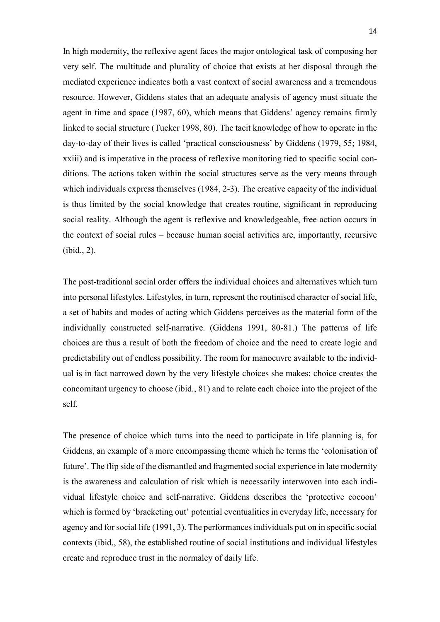In high modernity, the reflexive agent faces the major ontological task of composing her very self. The multitude and plurality of choice that exists at her disposal through the mediated experience indicates both a vast context of social awareness and a tremendous resource. However, Giddens states that an adequate analysis of agency must situate the agent in time and space (1987, 60), which means that Giddens' agency remains firmly linked to social structure (Tucker 1998, 80). The tacit knowledge of how to operate in the day-to-day of their lives is called 'practical consciousness' by Giddens (1979, 55; 1984, xxiii) and is imperative in the process of reflexive monitoring tied to specific social conditions. The actions taken within the social structures serve as the very means through which individuals express themselves (1984, 2-3). The creative capacity of the individual is thus limited by the social knowledge that creates routine, significant in reproducing social reality. Although the agent is reflexive and knowledgeable, free action occurs in the context of social rules – because human social activities are, importantly, recursive (ibid., 2).

The post-traditional social order offers the individual choices and alternatives which turn into personal lifestyles. Lifestyles, in turn, represent the routinised character of social life, a set of habits and modes of acting which Giddens perceives as the material form of the individually constructed self-narrative. (Giddens 1991, 80-81.) The patterns of life choices are thus a result of both the freedom of choice and the need to create logic and predictability out of endless possibility. The room for manoeuvre available to the individual is in fact narrowed down by the very lifestyle choices she makes: choice creates the concomitant urgency to choose (ibid., 81) and to relate each choice into the project of the self.

The presence of choice which turns into the need to participate in life planning is, for Giddens, an example of a more encompassing theme which he terms the 'colonisation of future'. The flip side of the dismantled and fragmented social experience in late modernity is the awareness and calculation of risk which is necessarily interwoven into each individual lifestyle choice and self-narrative. Giddens describes the 'protective cocoon' which is formed by 'bracketing out' potential eventualities in everyday life, necessary for agency and for social life (1991, 3). The performances individuals put on in specific social contexts (ibid., 58), the established routine of social institutions and individual lifestyles create and reproduce trust in the normalcy of daily life.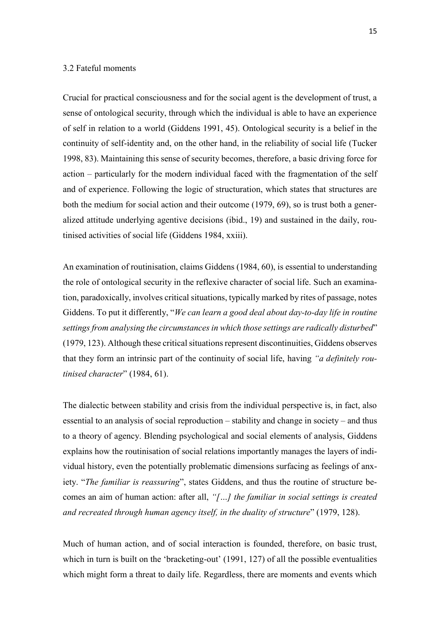#### <span id="page-18-0"></span>3.2 Fateful moments

Crucial for practical consciousness and for the social agent is the development of trust, a sense of ontological security, through which the individual is able to have an experience of self in relation to a world (Giddens 1991, 45). Ontological security is a belief in the continuity of self-identity and, on the other hand, in the reliability of social life (Tucker 1998, 83). Maintaining this sense of security becomes, therefore, a basic driving force for action – particularly for the modern individual faced with the fragmentation of the self and of experience. Following the logic of structuration, which states that structures are both the medium for social action and their outcome (1979, 69), so is trust both a generalized attitude underlying agentive decisions (ibid., 19) and sustained in the daily, routinised activities of social life (Giddens 1984, xxiii).

An examination of routinisation, claims Giddens (1984, 60), is essential to understanding the role of ontological security in the reflexive character of social life. Such an examination, paradoxically, involves critical situations, typically marked by rites of passage, notes Giddens. To put it differently, "*We can learn a good deal about day-to-day life in routine settings from analysing the circumstances in which those settings are radically disturbed*" (1979, 123). Although these critical situations represent discontinuities, Giddens observes that they form an intrinsic part of the continuity of social life, having *"a definitely routinised character*" (1984, 61).

The dialectic between stability and crisis from the individual perspective is, in fact, also essential to an analysis of social reproduction – stability and change in society – and thus to a theory of agency. Blending psychological and social elements of analysis, Giddens explains how the routinisation of social relations importantly manages the layers of individual history, even the potentially problematic dimensions surfacing as feelings of anxiety. "*The familiar is reassuring*", states Giddens, and thus the routine of structure becomes an aim of human action: after all, *"[…] the familiar in social settings is created and recreated through human agency itself, in the duality of structure*" (1979, 128).

Much of human action, and of social interaction is founded, therefore, on basic trust, which in turn is built on the 'bracketing-out' (1991, 127) of all the possible eventualities which might form a threat to daily life. Regardless, there are moments and events which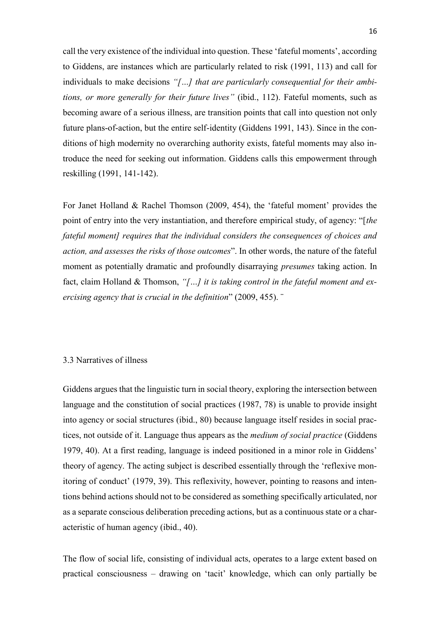call the very existence of the individual into question. These 'fateful moments', according to Giddens, are instances which are particularly related to risk (1991, 113) and call for individuals to make decisions *"[…] that are particularly consequential for their ambitions, or more generally for their future lives"* (ibid., 112). Fateful moments, such as becoming aware of a serious illness, are transition points that call into question not only future plans-of-action, but the entire self-identity (Giddens 1991, 143). Since in the conditions of high modernity no overarching authority exists, fateful moments may also introduce the need for seeking out information. Giddens calls this empowerment through reskilling (1991, 141-142).

For Janet Holland & Rachel Thomson (2009, 454), the 'fateful moment' provides the point of entry into the very instantiation, and therefore empirical study, of agency: "[*the fateful moment] requires that the individual considers the consequences of choices and action, and assesses the risks of those outcomes*". In other words, the nature of the fateful moment as potentially dramatic and profoundly disarraying *presumes* taking action. In fact, claim Holland & Thomson, *"[…] it is taking control in the fateful moment and exercising agency that is crucial in the definition*" (2009, 455). ¨

## <span id="page-19-0"></span>3.3 Narratives of illness

Giddens argues that the linguistic turn in social theory, exploring the intersection between language and the constitution of social practices (1987, 78) is unable to provide insight into agency or social structures (ibid., 80) because language itself resides in social practices, not outside of it. Language thus appears as the *medium of social practice* (Giddens 1979, 40). At a first reading, language is indeed positioned in a minor role in Giddens' theory of agency. The acting subject is described essentially through the 'reflexive monitoring of conduct' (1979, 39). This reflexivity, however, pointing to reasons and intentions behind actions should not to be considered as something specifically articulated, nor as a separate conscious deliberation preceding actions, but as a continuous state or a characteristic of human agency (ibid., 40).

The flow of social life, consisting of individual acts, operates to a large extent based on practical consciousness – drawing on 'tacit' knowledge, which can only partially be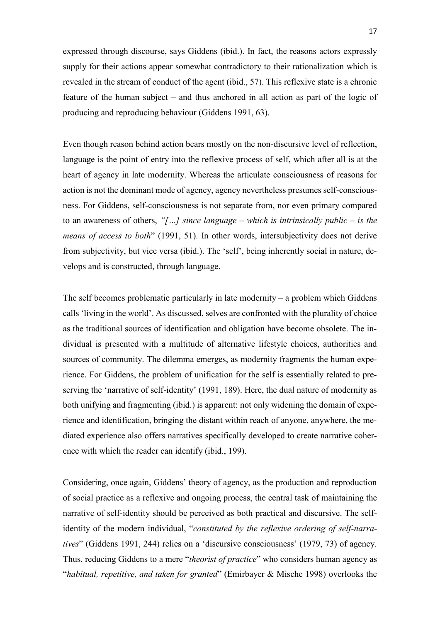expressed through discourse, says Giddens (ibid.). In fact, the reasons actors expressly supply for their actions appear somewhat contradictory to their rationalization which is revealed in the stream of conduct of the agent (ibid., 57). This reflexive state is a chronic feature of the human subject – and thus anchored in all action as part of the logic of producing and reproducing behaviour (Giddens 1991, 63).

Even though reason behind action bears mostly on the non-discursive level of reflection, language is the point of entry into the reflexive process of self, which after all is at the heart of agency in late modernity. Whereas the articulate consciousness of reasons for action is not the dominant mode of agency, agency nevertheless presumes self-consciousness. For Giddens, self-consciousness is not separate from, nor even primary compared to an awareness of others, *"[…] since language – which is intrinsically public – is the means of access to both*" (1991, 51). In other words, intersubjectivity does not derive from subjectivity, but vice versa (ibid.). The 'self', being inherently social in nature, develops and is constructed, through language.

The self becomes problematic particularly in late modernity – a problem which Giddens calls 'living in the world'. As discussed, selves are confronted with the plurality of choice as the traditional sources of identification and obligation have become obsolete. The individual is presented with a multitude of alternative lifestyle choices, authorities and sources of community. The dilemma emerges, as modernity fragments the human experience. For Giddens, the problem of unification for the self is essentially related to preserving the 'narrative of self-identity' (1991, 189). Here, the dual nature of modernity as both unifying and fragmenting (ibid.) is apparent: not only widening the domain of experience and identification, bringing the distant within reach of anyone, anywhere, the mediated experience also offers narratives specifically developed to create narrative coherence with which the reader can identify (ibid., 199).

Considering, once again, Giddens' theory of agency, as the production and reproduction of social practice as a reflexive and ongoing process, the central task of maintaining the narrative of self-identity should be perceived as both practical and discursive. The selfidentity of the modern individual, "*constituted by the reflexive ordering of self-narratives*" (Giddens 1991, 244) relies on a 'discursive consciousness' (1979, 73) of agency. Thus, reducing Giddens to a mere "*theorist of practice*" who considers human agency as "*habitual, repetitive, and taken for granted*" (Emirbayer & Mische 1998) overlooks the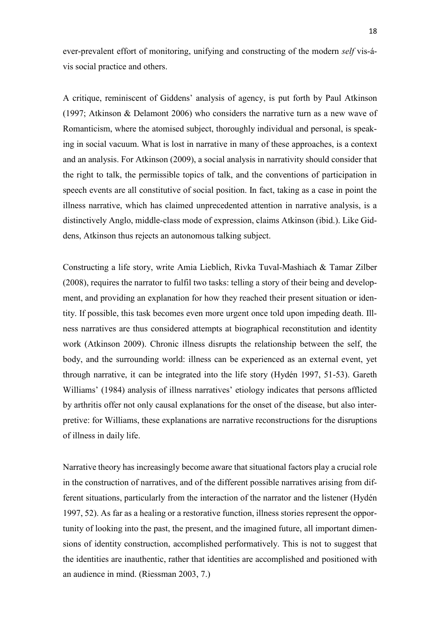ever-prevalent effort of monitoring, unifying and constructing of the modern *self* vis-ávis social practice and others.

A critique, reminiscent of Giddens' analysis of agency, is put forth by Paul Atkinson (1997; Atkinson & Delamont 2006) who considers the narrative turn as a new wave of Romanticism, where the atomised subject, thoroughly individual and personal, is speaking in social vacuum. What is lost in narrative in many of these approaches, is a context and an analysis. For Atkinson (2009), a social analysis in narrativity should consider that the right to talk, the permissible topics of talk, and the conventions of participation in speech events are all constitutive of social position. In fact, taking as a case in point the illness narrative, which has claimed unprecedented attention in narrative analysis, is a distinctively Anglo, middle-class mode of expression, claims Atkinson (ibid.). Like Giddens, Atkinson thus rejects an autonomous talking subject.

Constructing a life story, write Amia Lieblich, Rivka Tuval-Mashiach & Tamar Zilber (2008), requires the narrator to fulfil two tasks: telling a story of their being and development, and providing an explanation for how they reached their present situation or identity. If possible, this task becomes even more urgent once told upon impeding death. Illness narratives are thus considered attempts at biographical reconstitution and identity work (Atkinson 2009). Chronic illness disrupts the relationship between the self, the body, and the surrounding world: illness can be experienced as an external event, yet through narrative, it can be integrated into the life story (Hydén 1997, 51-53). Gareth Williams' (1984) analysis of illness narratives' etiology indicates that persons afflicted by arthritis offer not only causal explanations for the onset of the disease, but also interpretive: for Williams, these explanations are narrative reconstructions for the disruptions of illness in daily life.

Narrative theory has increasingly become aware that situational factors play a crucial role in the construction of narratives, and of the different possible narratives arising from different situations, particularly from the interaction of the narrator and the listener (Hydén 1997, 52). As far as a healing or a restorative function, illness stories represent the opportunity of looking into the past, the present, and the imagined future, all important dimensions of identity construction, accomplished performatively. This is not to suggest that the identities are inauthentic, rather that identities are accomplished and positioned with an audience in mind. (Riessman 2003, 7.)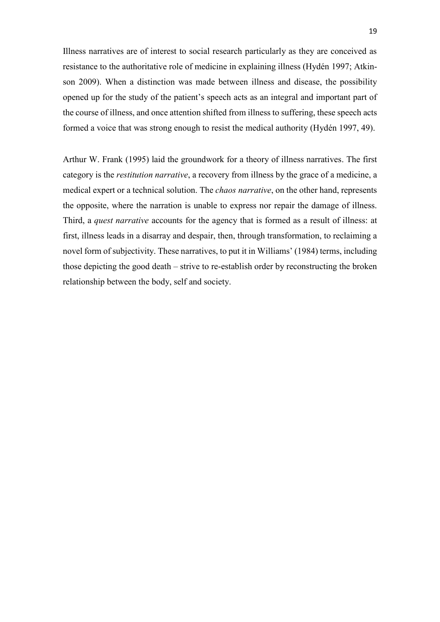Illness narratives are of interest to social research particularly as they are conceived as resistance to the authoritative role of medicine in explaining illness (Hydén 1997; Atkinson 2009). When a distinction was made between illness and disease, the possibility opened up for the study of the patient's speech acts as an integral and important part of the course of illness, and once attention shifted from illness to suffering, these speech acts formed a voice that was strong enough to resist the medical authority (Hydén 1997, 49).

<span id="page-22-0"></span>Arthur W. Frank (1995) laid the groundwork for a theory of illness narratives. The first category is the *restitution narrative*, a recovery from illness by the grace of a medicine, a medical expert or a technical solution. The *chaos narrative*, on the other hand, represents the opposite, where the narration is unable to express nor repair the damage of illness. Third, a *quest narrative* accounts for the agency that is formed as a result of illness: at first, illness leads in a disarray and despair, then, through transformation, to reclaiming a novel form of subjectivity. These narratives, to put it in Williams' (1984) terms, including those depicting the good death – strive to re-establish order by reconstructing the broken relationship between the body, self and society.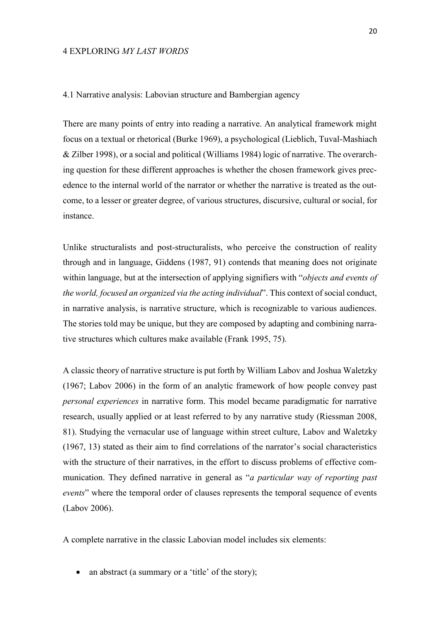#### 4 EXPLORING *MY LAST WORDS*

#### <span id="page-23-0"></span>4.1 Narrative analysis: Labovian structure and Bambergian agency

There are many points of entry into reading a narrative. An analytical framework might focus on a textual or rhetorical (Burke 1969), a psychological (Lieblich, Tuval-Mashiach & Zilber 1998), or a social and political (Williams 1984) logic of narrative. The overarching question for these different approaches is whether the chosen framework gives precedence to the internal world of the narrator or whether the narrative is treated as the outcome, to a lesser or greater degree, of various structures, discursive, cultural or social, for instance.

Unlike structuralists and post-structuralists, who perceive the construction of reality through and in language, Giddens (1987, 91) contends that meaning does not originate within language, but at the intersection of applying signifiers with "*objects and events of the world, focused an organized via the acting individual*". This context of social conduct, in narrative analysis, is narrative structure, which is recognizable to various audiences. The stories told may be unique, but they are composed by adapting and combining narrative structures which cultures make available (Frank 1995, 75).

A classic theory of narrative structure is put forth by William Labov and Joshua Waletzky (1967; Labov 2006) in the form of an analytic framework of how people convey past *personal experiences* in narrative form. This model became paradigmatic for narrative research, usually applied or at least referred to by any narrative study (Riessman 2008, 81). Studying the vernacular use of language within street culture, Labov and Waletzky (1967, 13) stated as their aim to find correlations of the narrator's social characteristics with the structure of their narratives, in the effort to discuss problems of effective communication. They defined narrative in general as "*a particular way of reporting past events*" where the temporal order of clauses represents the temporal sequence of events (Labov 2006).

A complete narrative in the classic Labovian model includes six elements:

• an abstract (a summary or a 'title' of the story);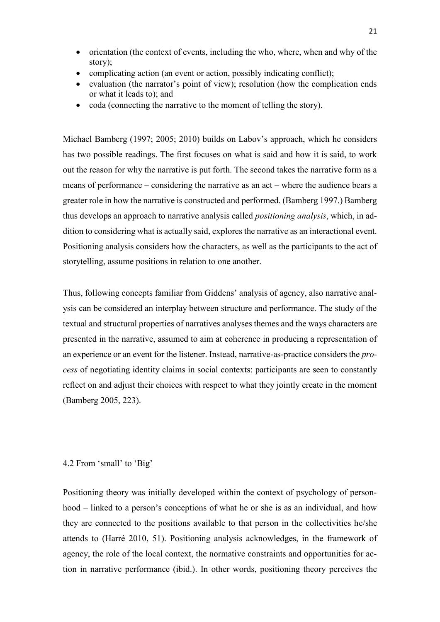- orientation (the context of events, including the who, where, when and why of the story);
- complicating action (an event or action, possibly indicating conflict);
- evaluation (the narrator's point of view); resolution (how the complication ends or what it leads to); and
- coda (connecting the narrative to the moment of telling the story).

Michael Bamberg (1997; 2005; 2010) builds on Labov's approach, which he considers has two possible readings. The first focuses on what is said and how it is said, to work out the reason for why the narrative is put forth. The second takes the narrative form as a means of performance – considering the narrative as an act – where the audience bears a greater role in how the narrative is constructed and performed. (Bamberg 1997.) Bamberg thus develops an approach to narrative analysis called *positioning analysis*, which, in addition to considering what is actually said, explores the narrative as an interactional event. Positioning analysis considers how the characters, as well as the participants to the act of storytelling, assume positions in relation to one another.

Thus, following concepts familiar from Giddens' analysis of agency, also narrative analysis can be considered an interplay between structure and performance. The study of the textual and structural properties of narratives analyses themes and the ways characters are presented in the narrative, assumed to aim at coherence in producing a representation of an experience or an event for the listener. Instead, narrative-as-practice considers the *process* of negotiating identity claims in social contexts: participants are seen to constantly reflect on and adjust their choices with respect to what they jointly create in the moment (Bamberg 2005, 223).

#### <span id="page-24-0"></span>4.2 From 'small' to 'Big'

Positioning theory was initially developed within the context of psychology of personhood – linked to a person's conceptions of what he or she is as an individual, and how they are connected to the positions available to that person in the collectivities he/she attends to (Harré 2010, 51). Positioning analysis acknowledges, in the framework of agency, the role of the local context, the normative constraints and opportunities for action in narrative performance (ibid.). In other words, positioning theory perceives the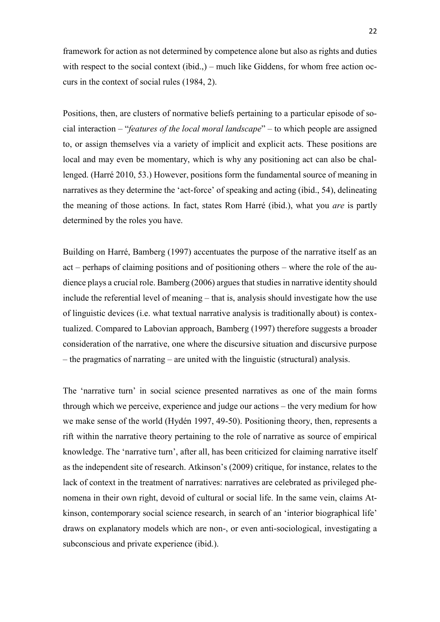framework for action as not determined by competence alone but also as rights and duties with respect to the social context (ibid.,) – much like Giddens, for whom free action occurs in the context of social rules (1984, 2).

Positions, then, are clusters of normative beliefs pertaining to a particular episode of social interaction – "*features of the local moral landscape*" – to which people are assigned to, or assign themselves via a variety of implicit and explicit acts. These positions are local and may even be momentary, which is why any positioning act can also be challenged. (Harré 2010, 53.) However, positions form the fundamental source of meaning in narratives as they determine the 'act-force' of speaking and acting (ibid., 54), delineating the meaning of those actions. In fact, states Rom Harré (ibid.), what you *are* is partly determined by the roles you have.

Building on Harré, Bamberg (1997) accentuates the purpose of the narrative itself as an act – perhaps of claiming positions and of positioning others – where the role of the audience plays a crucial role. Bamberg (2006) argues that studies in narrative identity should include the referential level of meaning – that is, analysis should investigate how the use of linguistic devices (i.e. what textual narrative analysis is traditionally about) is contextualized. Compared to Labovian approach, Bamberg (1997) therefore suggests a broader consideration of the narrative, one where the discursive situation and discursive purpose – the pragmatics of narrating – are united with the linguistic (structural) analysis.

The 'narrative turn' in social science presented narratives as one of the main forms through which we perceive, experience and judge our actions – the very medium for how we make sense of the world (Hydén 1997, 49-50). Positioning theory, then, represents a rift within the narrative theory pertaining to the role of narrative as source of empirical knowledge. The 'narrative turn', after all, has been criticized for claiming narrative itself as the independent site of research. Atkinson's (2009) critique, for instance, relates to the lack of context in the treatment of narratives: narratives are celebrated as privileged phenomena in their own right, devoid of cultural or social life. In the same vein, claims Atkinson, contemporary social science research, in search of an 'interior biographical life' draws on explanatory models which are non-, or even anti-sociological, investigating a subconscious and private experience (ibid.).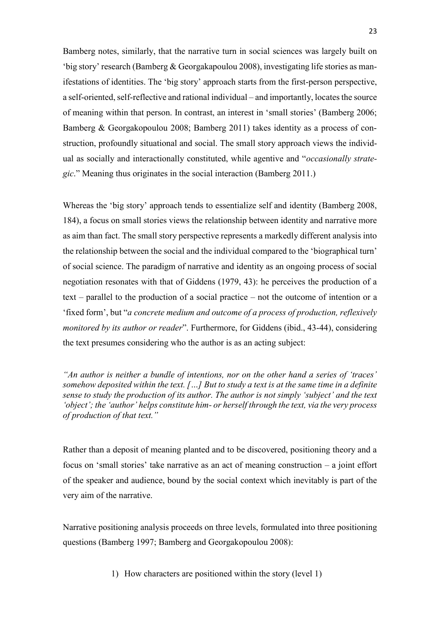Bamberg notes, similarly, that the narrative turn in social sciences was largely built on 'big story' research (Bamberg & Georgakapoulou 2008), investigating life stories as manifestations of identities. The 'big story' approach starts from the first-person perspective, a self-oriented, self-reflective and rational individual – and importantly, locates the source of meaning within that person. In contrast, an interest in 'small stories' (Bamberg 2006; Bamberg & Georgakopoulou 2008; Bamberg 2011) takes identity as a process of construction, profoundly situational and social. The small story approach views the individual as socially and interactionally constituted, while agentive and "*occasionally strategic*." Meaning thus originates in the social interaction (Bamberg 2011.)

Whereas the 'big story' approach tends to essentialize self and identity (Bamberg 2008, 184), a focus on small stories views the relationship between identity and narrative more as aim than fact. The small story perspective represents a markedly different analysis into the relationship between the social and the individual compared to the 'biographical turn' of social science. The paradigm of narrative and identity as an ongoing process of social negotiation resonates with that of Giddens (1979, 43): he perceives the production of a text – parallel to the production of a social practice – not the outcome of intention or a 'fixed form', but "*a concrete medium and outcome of a process of production, reflexively monitored by its author or reader*". Furthermore, for Giddens (ibid., 43-44), considering the text presumes considering who the author is as an acting subject:

*"An author is neither a bundle of intentions, nor on the other hand a series of 'traces' somehow deposited within the text. […] But to study a text is at the same time in a definite sense to study the production of its author. The author is not simply 'subject' and the text 'object'; the 'author' helps constitute him- or herself through the text, via the very process of production of that text."*

Rather than a deposit of meaning planted and to be discovered, positioning theory and a focus on 'small stories' take narrative as an act of meaning construction – a joint effort of the speaker and audience, bound by the social context which inevitably is part of the very aim of the narrative.

Narrative positioning analysis proceeds on three levels, formulated into three positioning questions (Bamberg 1997; Bamberg and Georgakopoulou 2008):

1) How characters are positioned within the story (level 1)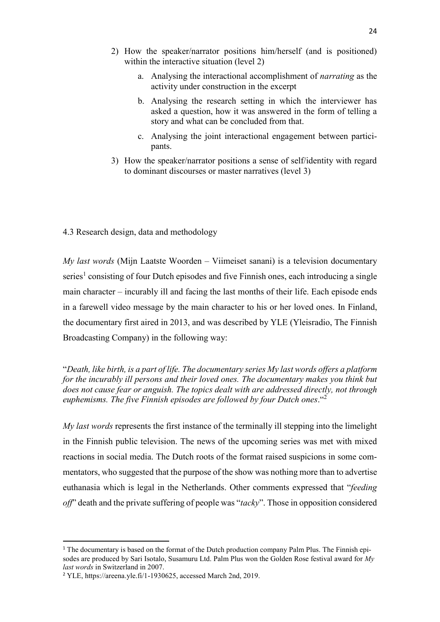- 2) How the speaker/narrator positions him/herself (and is positioned) within the interactive situation (level 2)
	- a. Analysing the interactional accomplishment of *narrating* as the activity under construction in the excerpt
	- b. Analysing the research setting in which the interviewer has asked a question, how it was answered in the form of telling a story and what can be concluded from that.
	- c. Analysing the joint interactional engagement between participants.
- 3) How the speaker/narrator positions a sense of self/identity with regard to dominant discourses or master narratives (level 3)

<span id="page-27-0"></span>4.3 Research design, data and methodology

*My last words* (Mijn Laatste Woorden – Viimeiset sanani) is a television documentary series<sup>1</sup> consisting of four Dutch episodes and five Finnish ones, each introducing a single main character – incurably ill and facing the last months of their life. Each episode ends in a farewell video message by the main character to his or her loved ones. In Finland, the documentary first aired in 2013, and was described by YLE (Yleisradio, The Finnish Broadcasting Company) in the following way:

"*Death, like birth, is a part of life. The documentary series My last words offers a platform for the incurably ill persons and their loved ones. The documentary makes you think but does not cause fear or anguish. The topics dealt with are addressed directly, not through euphemisms. The five Finnish episodes are followed by four Dutch ones*."<sup>2</sup>

*My last words* represents the first instance of the terminally ill stepping into the limelight in the Finnish public television. The news of the upcoming series was met with mixed reactions in social media. The Dutch roots of the format raised suspicions in some commentators, who suggested that the purpose of the show was nothing more than to advertise euthanasia which is legal in the Netherlands. Other comments expressed that "*feeding off*" death and the private suffering of people was "*tacky*". Those in opposition considered

**.** 

<sup>&</sup>lt;sup>1</sup> The documentary is based on the format of the Dutch production company Palm Plus. The Finnish episodes are produced by Sari Isotalo, Susamuru Ltd. Palm Plus won the Golden Rose festival award for *My last words* in Switzerland in 2007.

<sup>2</sup> YLE, https://areena.yle.fi/1-1930625, accessed March 2nd, 2019.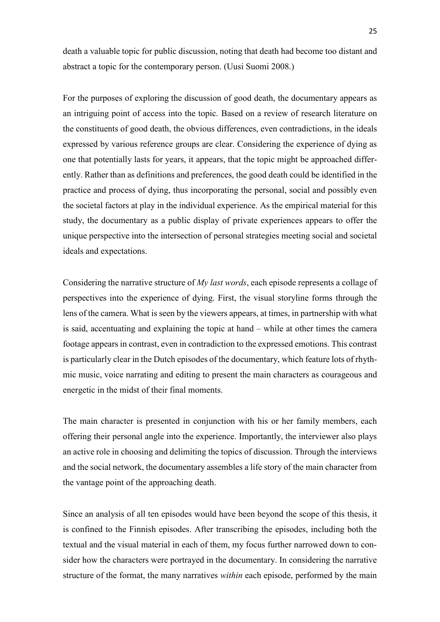death a valuable topic for public discussion, noting that death had become too distant and abstract a topic for the contemporary person. (Uusi Suomi 2008.)

For the purposes of exploring the discussion of good death, the documentary appears as an intriguing point of access into the topic. Based on a review of research literature on the constituents of good death, the obvious differences, even contradictions, in the ideals expressed by various reference groups are clear. Considering the experience of dying as one that potentially lasts for years, it appears, that the topic might be approached differently. Rather than as definitions and preferences, the good death could be identified in the practice and process of dying, thus incorporating the personal, social and possibly even the societal factors at play in the individual experience. As the empirical material for this study, the documentary as a public display of private experiences appears to offer the unique perspective into the intersection of personal strategies meeting social and societal ideals and expectations.

Considering the narrative structure of *My last words*, each episode represents a collage of perspectives into the experience of dying. First, the visual storyline forms through the lens of the camera. What is seen by the viewers appears, at times, in partnership with what is said, accentuating and explaining the topic at hand – while at other times the camera footage appears in contrast, even in contradiction to the expressed emotions. This contrast is particularly clear in the Dutch episodes of the documentary, which feature lots of rhythmic music, voice narrating and editing to present the main characters as courageous and energetic in the midst of their final moments.

The main character is presented in conjunction with his or her family members, each offering their personal angle into the experience. Importantly, the interviewer also plays an active role in choosing and delimiting the topics of discussion. Through the interviews and the social network, the documentary assembles a life story of the main character from the vantage point of the approaching death.

Since an analysis of all ten episodes would have been beyond the scope of this thesis, it is confined to the Finnish episodes. After transcribing the episodes, including both the textual and the visual material in each of them, my focus further narrowed down to consider how the characters were portrayed in the documentary. In considering the narrative structure of the format, the many narratives *within* each episode, performed by the main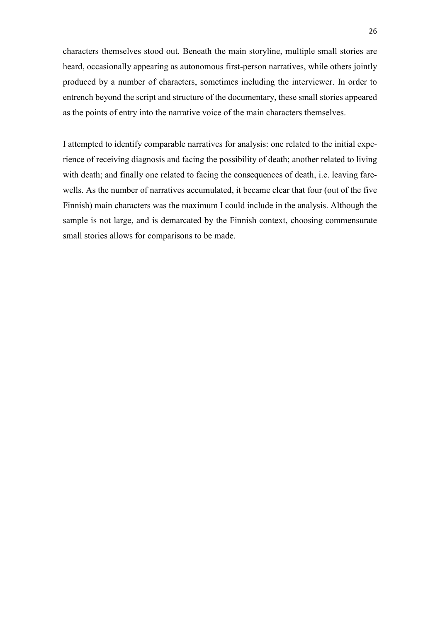characters themselves stood out. Beneath the main storyline, multiple small stories are heard, occasionally appearing as autonomous first-person narratives, while others jointly produced by a number of characters, sometimes including the interviewer. In order to entrench beyond the script and structure of the documentary, these small stories appeared as the points of entry into the narrative voice of the main characters themselves.

I attempted to identify comparable narratives for analysis: one related to the initial experience of receiving diagnosis and facing the possibility of death; another related to living with death; and finally one related to facing the consequences of death, i.e. leaving farewells. As the number of narratives accumulated, it became clear that four (out of the five Finnish) main characters was the maximum I could include in the analysis. Although the sample is not large, and is demarcated by the Finnish context, choosing commensurate small stories allows for comparisons to be made.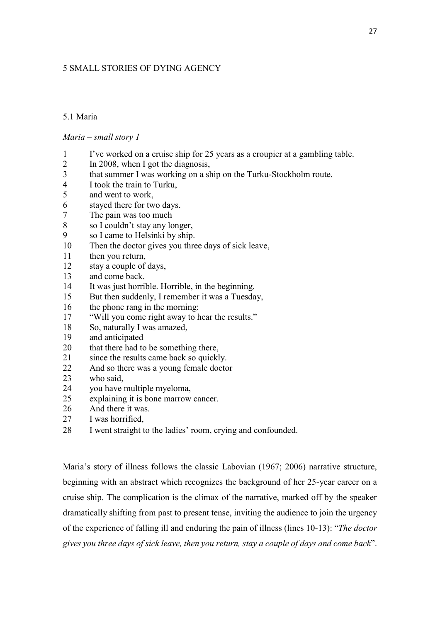## <span id="page-30-0"></span>5 SMALL STORIES OF DYING AGENCY

## <span id="page-30-1"></span>5.1 Maria

## *Maria – small story 1*

- I've worked on a cruise ship for 25 years as a croupier at a gambling table.
- 2 In 2008, when I got the diagnosis,<br>3 that summer I was working on a sh
- that summer I was working on a ship on the Turku-Stockholm route.
- I took the train to Turku,
- and went to work,
- 6 stayed there for two days.<br>
The pain was too much
- The pain was too much
- so I couldn't stay any longer,
- so I came to Helsinki by ship.
- Then the doctor gives you three days of sick leave,
- 11 then you return,
- stay a couple of days,
- and come back.
- It was just horrible. Horrible, in the beginning.
- But then suddenly, I remember it was a Tuesday,
- the phone rang in the morning:
- "Will you come right away to hear the results."
- So, naturally I was amazed,
- and anticipated
- 20 that there had to be something there,
- since the results came back so quickly.
- And so there was a young female doctor
- who said,
- you have multiple myeloma,
- explaining it is bone marrow cancer.
- And there it was.
- I was horrified,
- I went straight to the ladies' room, crying and confounded.

Maria's story of illness follows the classic Labovian (1967; 2006) narrative structure, beginning with an abstract which recognizes the background of her 25-year career on a cruise ship. The complication is the climax of the narrative, marked off by the speaker dramatically shifting from past to present tense, inviting the audience to join the urgency of the experience of falling ill and enduring the pain of illness (lines 10-13): "*The doctor gives you three days of sick leave, then you return, stay a couple of days and come back*".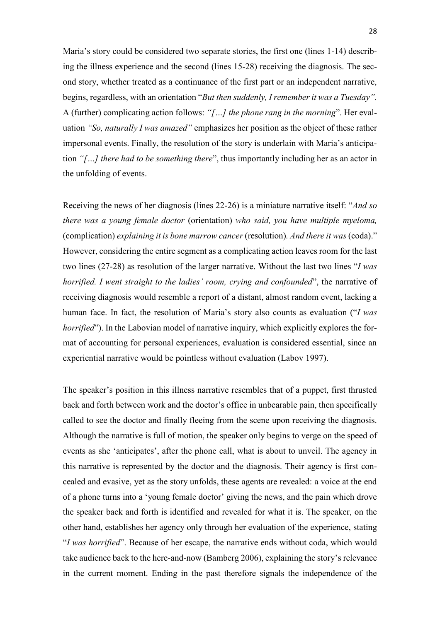Maria's story could be considered two separate stories, the first one (lines 1-14) describing the illness experience and the second (lines 15-28) receiving the diagnosis. The second story, whether treated as a continuance of the first part or an independent narrative, begins, regardless, with an orientation "*But then suddenly, I remember it was a Tuesday".*  A (further) complicating action follows: *"[…] the phone rang in the morning*". Her evaluation *"So, naturally I was amazed"* emphasizes her position as the object of these rather impersonal events. Finally, the resolution of the story is underlain with Maria's anticipation *"[…] there had to be something there*", thus importantly including her as an actor in the unfolding of events.

Receiving the news of her diagnosis (lines 22-26) is a miniature narrative itself: "*And so there was a young female doctor* (orientation) *who said, you have multiple myeloma,*  (complication) *explaining it is bone marrow cancer* (resolution)*. And there it was* (coda)." However, considering the entire segment as a complicating action leaves room for the last two lines (27-28) as resolution of the larger narrative. Without the last two lines "*I was horrified. I went straight to the ladies' room, crying and confounded*", the narrative of receiving diagnosis would resemble a report of a distant, almost random event, lacking a human face. In fact, the resolution of Maria's story also counts as evaluation ("*I was horrified*"). In the Labovian model of narrative inquiry, which explicitly explores the format of accounting for personal experiences, evaluation is considered essential, since an experiential narrative would be pointless without evaluation (Labov 1997).

The speaker's position in this illness narrative resembles that of a puppet, first thrusted back and forth between work and the doctor's office in unbearable pain, then specifically called to see the doctor and finally fleeing from the scene upon receiving the diagnosis. Although the narrative is full of motion, the speaker only begins to verge on the speed of events as she 'anticipates', after the phone call, what is about to unveil. The agency in this narrative is represented by the doctor and the diagnosis. Their agency is first concealed and evasive, yet as the story unfolds, these agents are revealed: a voice at the end of a phone turns into a 'young female doctor' giving the news, and the pain which drove the speaker back and forth is identified and revealed for what it is. The speaker, on the other hand, establishes her agency only through her evaluation of the experience, stating "*I was horrified*". Because of her escape, the narrative ends without coda, which would take audience back to the here-and-now (Bamberg 2006), explaining the story's relevance in the current moment. Ending in the past therefore signals the independence of the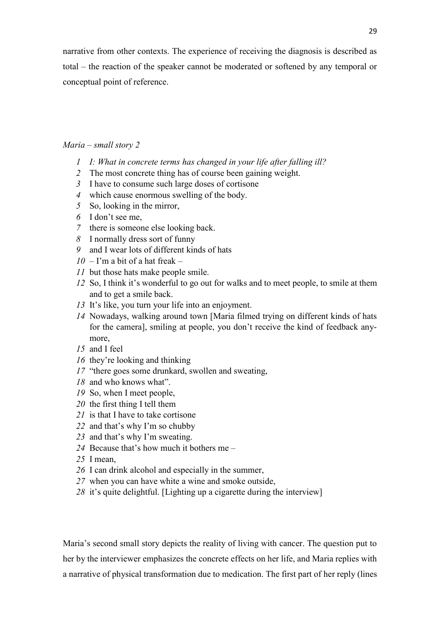narrative from other contexts. The experience of receiving the diagnosis is described as total – the reaction of the speaker cannot be moderated or softened by any temporal or conceptual point of reference.

## *Maria – small story 2*

- *I: What in concrete terms has changed in your life after falling ill?*
- The most concrete thing has of course been gaining weight.
- I have to consume such large doses of cortisone
- which cause enormous swelling of the body.
- So, looking in the mirror,
- I don't see me,
- there is someone else looking back.
- I normally dress sort of funny
- and I wear lots of different kinds of hats
- $10 \Gamma$ m a bit of a hat freak –
- but those hats make people smile.
- So, I think it's wonderful to go out for walks and to meet people, to smile at them and to get a smile back.
- It's like, you turn your life into an enjoyment.
- Nowadays, walking around town [Maria filmed trying on different kinds of hats for the camera], smiling at people, you don't receive the kind of feedback anymore,
- and I feel
- they're looking and thinking
- "there goes some drunkard, swollen and sweating,
- and who knows what".
- So, when I meet people,
- the first thing I tell them
- is that I have to take cortisone
- and that's why I'm so chubby
- and that's why I'm sweating.
- Because that's how much it bothers me –
- I mean,
- I can drink alcohol and especially in the summer,
- when you can have white a wine and smoke outside,
- it's quite delightful. [Lighting up a cigarette during the interview]

Maria's second small story depicts the reality of living with cancer. The question put to her by the interviewer emphasizes the concrete effects on her life, and Maria replies with a narrative of physical transformation due to medication. The first part of her reply (lines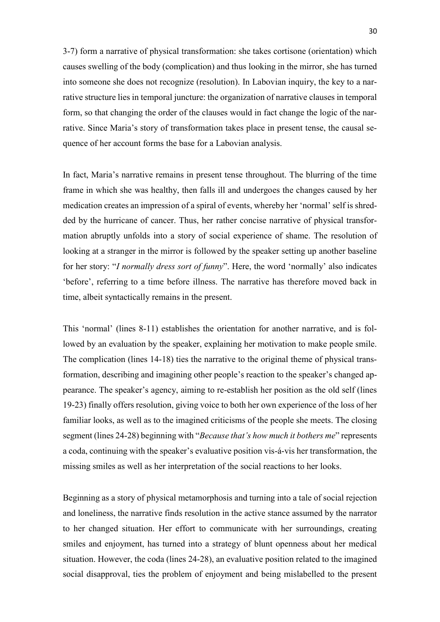3-7) form a narrative of physical transformation: she takes cortisone (orientation) which causes swelling of the body (complication) and thus looking in the mirror, she has turned into someone she does not recognize (resolution). In Labovian inquiry, the key to a narrative structure lies in temporal juncture: the organization of narrative clauses in temporal form, so that changing the order of the clauses would in fact change the logic of the narrative. Since Maria's story of transformation takes place in present tense, the causal sequence of her account forms the base for a Labovian analysis.

In fact, Maria's narrative remains in present tense throughout. The blurring of the time frame in which she was healthy, then falls ill and undergoes the changes caused by her medication creates an impression of a spiral of events, whereby her 'normal' self is shredded by the hurricane of cancer. Thus, her rather concise narrative of physical transformation abruptly unfolds into a story of social experience of shame. The resolution of looking at a stranger in the mirror is followed by the speaker setting up another baseline for her story: "*I normally dress sort of funny*". Here, the word 'normally' also indicates 'before', referring to a time before illness. The narrative has therefore moved back in time, albeit syntactically remains in the present.

This 'normal' (lines 8-11) establishes the orientation for another narrative, and is followed by an evaluation by the speaker, explaining her motivation to make people smile. The complication (lines 14-18) ties the narrative to the original theme of physical transformation, describing and imagining other people's reaction to the speaker's changed appearance. The speaker's agency, aiming to re-establish her position as the old self (lines 19-23) finally offers resolution, giving voice to both her own experience of the loss of her familiar looks, as well as to the imagined criticisms of the people she meets. The closing segment (lines 24-28) beginning with "*Because that's how much it bothers me*" represents a coda, continuing with the speaker's evaluative position vis-á-vis her transformation, the missing smiles as well as her interpretation of the social reactions to her looks.

Beginning as a story of physical metamorphosis and turning into a tale of social rejection and loneliness, the narrative finds resolution in the active stance assumed by the narrator to her changed situation. Her effort to communicate with her surroundings, creating smiles and enjoyment, has turned into a strategy of blunt openness about her medical situation. However, the coda (lines 24-28), an evaluative position related to the imagined social disapproval, ties the problem of enjoyment and being mislabelled to the present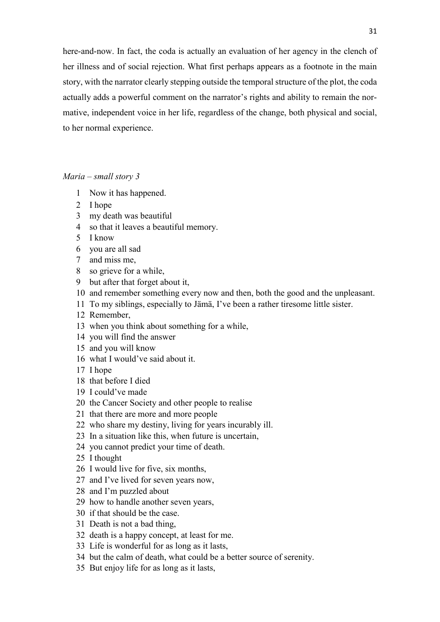here-and-now. In fact, the coda is actually an evaluation of her agency in the clench of her illness and of social rejection. What first perhaps appears as a footnote in the main story, with the narrator clearly stepping outside the temporal structure of the plot, the coda actually adds a powerful comment on the narrator's rights and ability to remain the normative, independent voice in her life, regardless of the change, both physical and social, to her normal experience.

*Maria – small story 3*

- Now it has happened.
- I hope
- my death was beautiful
- so that it leaves a beautiful memory.
- I know
- you are all sad
- and miss me,
- so grieve for a while,
- but after that forget about it,
- and remember something every now and then, both the good and the unpleasant.
- To my siblings, especially to Jämä, I've been a rather tiresome little sister.
- Remember,
- when you think about something for a while,
- you will find the answer
- and you will know
- what I would've said about it.
- I hope
- that before I died
- I could've made
- the Cancer Society and other people to realise
- that there are more and more people
- who share my destiny, living for years incurably ill.
- In a situation like this, when future is uncertain,
- you cannot predict your time of death.
- I thought
- I would live for five, six months,
- and I've lived for seven years now,
- and I'm puzzled about
- how to handle another seven years,
- if that should be the case.
- Death is not a bad thing,
- death is a happy concept, at least for me.
- Life is wonderful for as long as it lasts,
- but the calm of death, what could be a better source of serenity.
- But enjoy life for as long as it lasts,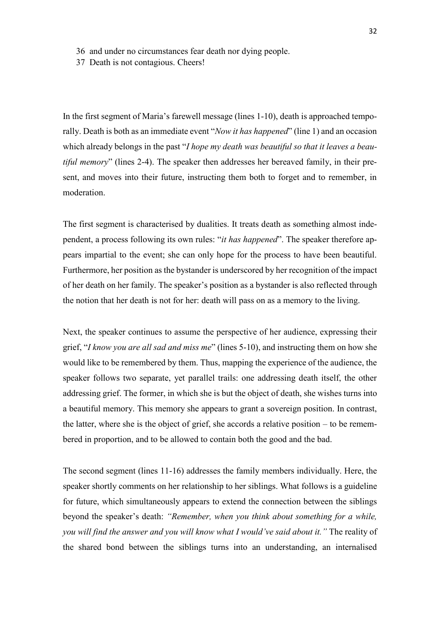- 36 and under no circumstances fear death nor dying people.
- 37 Death is not contagious. Cheers!

In the first segment of Maria's farewell message (lines 1-10), death is approached temporally. Death is both as an immediate event "*Now it has happened*" (line 1) and an occasion which already belongs in the past "*I hope my death was beautiful so that it leaves a beautiful memory*" (lines 2-4). The speaker then addresses her bereaved family, in their present, and moves into their future, instructing them both to forget and to remember, in moderation.

The first segment is characterised by dualities. It treats death as something almost independent, a process following its own rules: "*it has happened*". The speaker therefore appears impartial to the event; she can only hope for the process to have been beautiful. Furthermore, her position as the bystander is underscored by her recognition of the impact of her death on her family. The speaker's position as a bystander is also reflected through the notion that her death is not for her: death will pass on as a memory to the living.

Next, the speaker continues to assume the perspective of her audience, expressing their grief, "*I know you are all sad and miss me*" (lines 5-10), and instructing them on how she would like to be remembered by them. Thus, mapping the experience of the audience, the speaker follows two separate, yet parallel trails: one addressing death itself, the other addressing grief. The former, in which she is but the object of death, she wishes turns into a beautiful memory. This memory she appears to grant a sovereign position. In contrast, the latter, where she is the object of grief, she accords a relative position – to be remembered in proportion, and to be allowed to contain both the good and the bad.

The second segment (lines 11-16) addresses the family members individually. Here, the speaker shortly comments on her relationship to her siblings. What follows is a guideline for future, which simultaneously appears to extend the connection between the siblings beyond the speaker's death: *"Remember, when you think about something for a while, you will find the answer and you will know what I would've said about it."* The reality of the shared bond between the siblings turns into an understanding, an internalised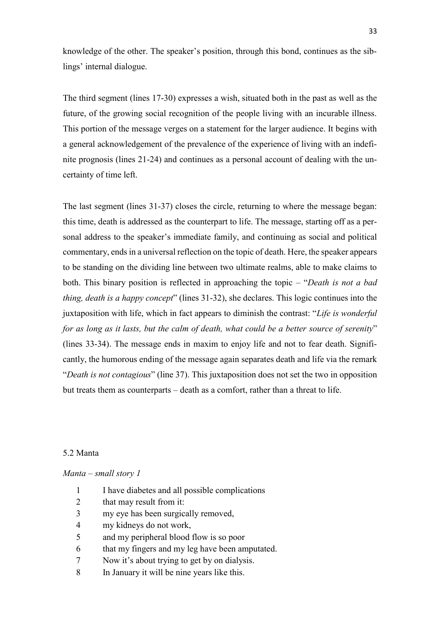knowledge of the other. The speaker's position, through this bond, continues as the siblings' internal dialogue.

The third segment (lines 17-30) expresses a wish, situated both in the past as well as the future, of the growing social recognition of the people living with an incurable illness. This portion of the message verges on a statement for the larger audience. It begins with a general acknowledgement of the prevalence of the experience of living with an indefinite prognosis (lines 21-24) and continues as a personal account of dealing with the uncertainty of time left.

The last segment (lines 31-37) closes the circle, returning to where the message began: this time, death is addressed as the counterpart to life. The message, starting off as a personal address to the speaker's immediate family, and continuing as social and political commentary, ends in a universal reflection on the topic of death. Here, the speaker appears to be standing on the dividing line between two ultimate realms, able to make claims to both. This binary position is reflected in approaching the topic – "*Death is not a bad thing, death is a happy concept*" (lines 31-32), she declares. This logic continues into the juxtaposition with life, which in fact appears to diminish the contrast: "*Life is wonderful for as long as it lasts, but the calm of death, what could be a better source of serenity*" (lines 33-34). The message ends in maxim to enjoy life and not to fear death. Significantly, the humorous ending of the message again separates death and life via the remark "*Death is not contagious*" (line 37). This juxtaposition does not set the two in opposition but treats them as counterparts – death as a comfort, rather than a threat to life.

## 5.2 Manta

# *Manta – small story 1*

- 1 I have diabetes and all possible complications
- 2 that may result from it:
- 3 my eye has been surgically removed,
- 4 my kidneys do not work,
- 5 and my peripheral blood flow is so poor
- 6 that my fingers and my leg have been amputated.
- 7 Now it's about trying to get by on dialysis.
- 8 In January it will be nine years like this.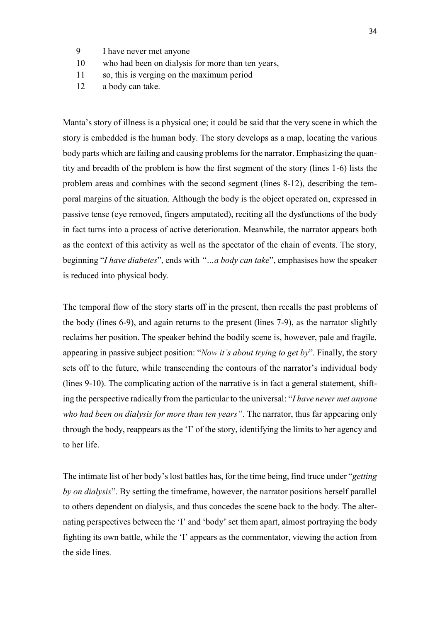- 9 I have never met anyone
- 10 who had been on dialysis for more than ten years,
- 11 so, this is verging on the maximum period
- 12 a body can take.

Manta's story of illness is a physical one; it could be said that the very scene in which the story is embedded is the human body. The story develops as a map, locating the various body parts which are failing and causing problems for the narrator. Emphasizing the quantity and breadth of the problem is how the first segment of the story (lines 1-6) lists the problem areas and combines with the second segment (lines 8-12), describing the temporal margins of the situation. Although the body is the object operated on, expressed in passive tense (eye removed, fingers amputated), reciting all the dysfunctions of the body in fact turns into a process of active deterioration. Meanwhile, the narrator appears both as the context of this activity as well as the spectator of the chain of events. The story, beginning "*I have diabetes*", ends with *"…a body can take*", emphasises how the speaker is reduced into physical body.

The temporal flow of the story starts off in the present, then recalls the past problems of the body (lines 6-9), and again returns to the present (lines 7-9), as the narrator slightly reclaims her position. The speaker behind the bodily scene is, however, pale and fragile, appearing in passive subject position: "*Now it's about trying to get by*". Finally, the story sets off to the future, while transcending the contours of the narrator's individual body (lines 9-10). The complicating action of the narrative is in fact a general statement, shifting the perspective radically from the particular to the universal: "*I have never met anyone who had been on dialysis for more than ten years"*. The narrator, thus far appearing only through the body, reappears as the 'I' of the story, identifying the limits to her agency and to her life.

The intimate list of her body's lost battles has, for the time being, find truce under "*getting by on dialysis*". By setting the timeframe, however, the narrator positions herself parallel to others dependent on dialysis, and thus concedes the scene back to the body. The alternating perspectives between the 'I' and 'body' set them apart, almost portraying the body fighting its own battle, while the 'I' appears as the commentator, viewing the action from the side lines.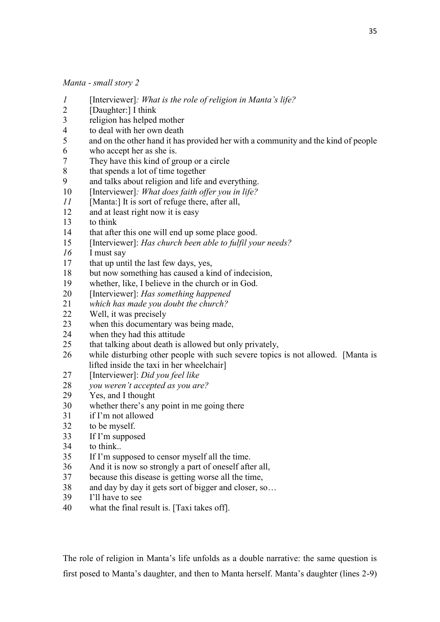*Manta - small story 2* 

- *1* [Interviewer]*: What is the role of religion in Manta's life?*
- 2 [Daughter:] I think<br>3 religion has helped
- religion has helped mother
- 4 to deal with her own death
- 5 and on the other hand it has provided her with a community and the kind of people
- 6 who accept her as she is.
- 7 They have this kind of group or a circle
- 8 that spends a lot of time together
- 9 and talks about religion and life and everything.
- 10 [Interviewer]*: What does faith offer you in life?*
- *11* [Manta:] It is sort of refuge there, after all,
- 12 and at least right now it is easy
- 13 to think
- 14 that after this one will end up some place good.
- 15 [Interviewer]: *Has church been able to fulfil your needs?*
- *16* I must say
- 17 that up until the last few days, yes,
- 18 but now something has caused a kind of indecision,
- 19 whether, like, I believe in the church or in God.
- 20 [Interviewer]: *Has something happened*
- 21 *which has made you doubt the church?*
- 22 Well, it was precisely
- 23 when this documentary was being made,
- 24 when they had this attitude
- 25 that talking about death is allowed but only privately,
- 26 while disturbing other people with such severe topics is not allowed. [Manta is lifted inside the taxi in her wheelchair]
- 27 [Interviewer]: *Did you feel like*
- 28 *you weren't accepted as you are?*
- 29 Yes, and I thought
- 30 whether there's any point in me going there
- 31 if I'm not allowed
- 32 to be myself.
- 33 If I'm supposed
- 34 to think..
- 35 If I'm supposed to censor myself all the time.
- 36 And it is now so strongly a part of oneself after all,
- 37 because this disease is getting worse all the time,
- 38 and day by day it gets sort of bigger and closer, so…
- 39 I'll have to see
- 40 what the final result is. [Taxi takes off].

The role of religion in Manta's life unfolds as a double narrative: the same question is first posed to Manta's daughter, and then to Manta herself. Manta's daughter (lines 2-9)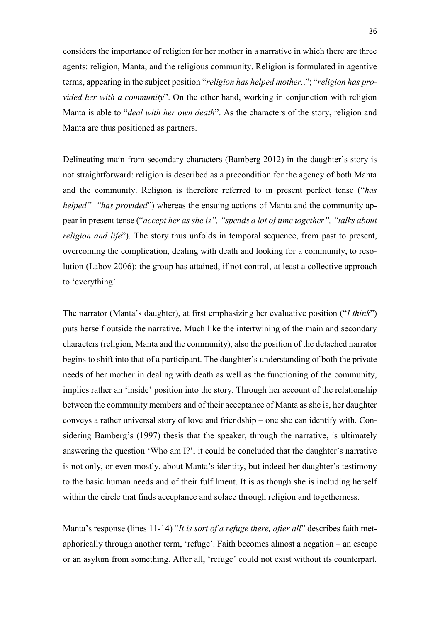considers the importance of religion for her mother in a narrative in which there are three agents: religion, Manta, and the religious community. Religion is formulated in agentive terms, appearing in the subject position "*religion has helped mother.*."; "*religion has provided her with a community*". On the other hand, working in conjunction with religion Manta is able to "*deal with her own death*". As the characters of the story, religion and Manta are thus positioned as partners.

Delineating main from secondary characters (Bamberg 2012) in the daughter's story is not straightforward: religion is described as a precondition for the agency of both Manta and the community. Religion is therefore referred to in present perfect tense ("*has helped", "has provided*") whereas the ensuing actions of Manta and the community appear in present tense ("*accept her as she is", "spends a lot of time together", "talks about religion and life*"). The story thus unfolds in temporal sequence, from past to present, overcoming the complication, dealing with death and looking for a community, to resolution (Labov 2006): the group has attained, if not control, at least a collective approach to 'everything'.

The narrator (Manta's daughter), at first emphasizing her evaluative position ("*I think*") puts herself outside the narrative. Much like the intertwining of the main and secondary characters (religion, Manta and the community), also the position of the detached narrator begins to shift into that of a participant. The daughter's understanding of both the private needs of her mother in dealing with death as well as the functioning of the community, implies rather an 'inside' position into the story. Through her account of the relationship between the community members and of their acceptance of Manta as she is, her daughter conveys a rather universal story of love and friendship – one she can identify with. Considering Bamberg's (1997) thesis that the speaker, through the narrative, is ultimately answering the question 'Who am I?', it could be concluded that the daughter's narrative is not only, or even mostly, about Manta's identity, but indeed her daughter's testimony to the basic human needs and of their fulfilment. It is as though she is including herself within the circle that finds acceptance and solace through religion and togetherness.

Manta's response (lines 11-14) "*It is sort of a refuge there, after all*" describes faith metaphorically through another term, 'refuge'. Faith becomes almost a negation – an escape or an asylum from something. After all, 'refuge' could not exist without its counterpart.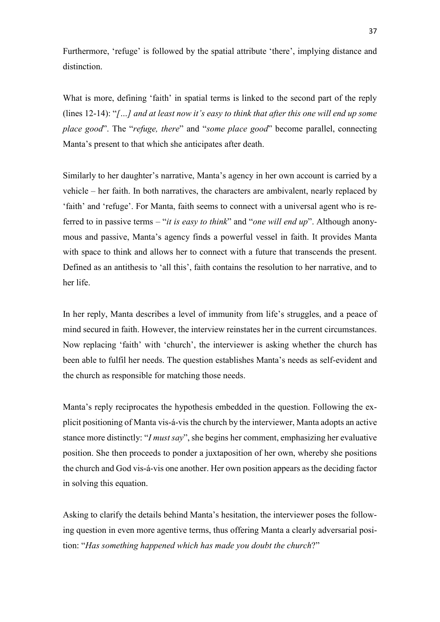Furthermore, 'refuge' is followed by the spatial attribute 'there', implying distance and distinction.

What is more, defining 'faith' in spatial terms is linked to the second part of the reply (lines 12-14): "*[…] and at least now it's easy to think that after this one will end up some place good*". The "*refuge, there*" and "*some place good*" become parallel, connecting Manta's present to that which she anticipates after death.

Similarly to her daughter's narrative, Manta's agency in her own account is carried by a vehicle – her faith. In both narratives, the characters are ambivalent, nearly replaced by 'faith' and 'refuge'. For Manta, faith seems to connect with a universal agent who is referred to in passive terms – "*it is easy to think*" and "*one will end up*". Although anonymous and passive, Manta's agency finds a powerful vessel in faith. It provides Manta with space to think and allows her to connect with a future that transcends the present. Defined as an antithesis to 'all this', faith contains the resolution to her narrative, and to her life.

In her reply, Manta describes a level of immunity from life's struggles, and a peace of mind secured in faith. However, the interview reinstates her in the current circumstances. Now replacing 'faith' with 'church', the interviewer is asking whether the church has been able to fulfil her needs. The question establishes Manta's needs as self-evident and the church as responsible for matching those needs.

Manta's reply reciprocates the hypothesis embedded in the question. Following the explicit positioning of Manta vis-á-vis the church by the interviewer, Manta adopts an active stance more distinctly: "*I must say*", she begins her comment, emphasizing her evaluative position. She then proceeds to ponder a juxtaposition of her own, whereby she positions the church and God vis-á-vis one another. Her own position appears as the deciding factor in solving this equation.

Asking to clarify the details behind Manta's hesitation, the interviewer poses the following question in even more agentive terms, thus offering Manta a clearly adversarial position: "*Has something happened which has made you doubt the church*?"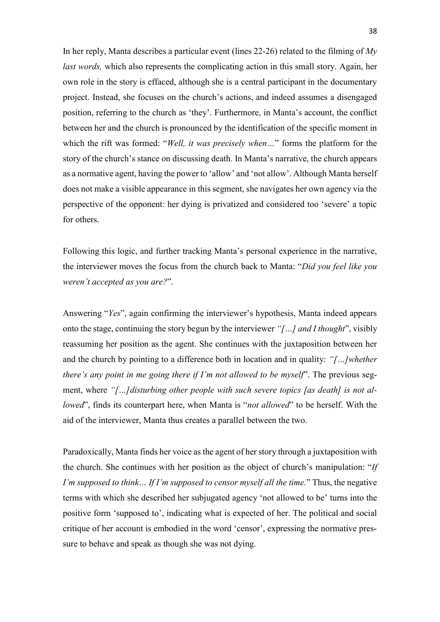In her reply, Manta describes a particular event (lines 22-26) related to the filming of *My last words,* which also represents the complicating action in this small story. Again, her own role in the story is effaced, although she is a central participant in the documentary project. Instead, she focuses on the church's actions, and indeed assumes a disengaged position, referring to the church as 'they'. Furthermore, in Manta's account, the conflict between her and the church is pronounced by the identification of the specific moment in which the rift was formed: "*Well, it was precisely when…*" forms the platform for the story of the church's stance on discussing death. In Manta's narrative, the church appears as a normative agent, having the power to 'allow' and 'not allow'. Although Manta herself does not make a visible appearance in this segment, she navigates her own agency via the perspective of the opponent: her dying is privatized and considered too 'severe' a topic for others.

Following this logic, and further tracking Manta's personal experience in the narrative, the interviewer moves the focus from the church back to Manta: "*Did you feel like you weren't accepted as you are?*".

Answering "*Yes*", again confirming the interviewer's hypothesis, Manta indeed appears onto the stage, continuing the story begun by the interviewer *"[…] and I thought*", visibly reassuming her position as the agent. She continues with the juxtaposition between her and the church by pointing to a difference both in location and in quality: *"[…]whether there's any point in me going there if I'm not allowed to be myself*". The previous segment, where "[...] disturbing other people with such severe topics [as death] is not al*lowed*", finds its counterpart here, when Manta is "*not allowed*" to be herself. With the aid of the interviewer, Manta thus creates a parallel between the two.

Paradoxically, Manta finds her voice as the agent of her story through a juxtaposition with the church. She continues with her position as the object of church's manipulation: "*If I'm supposed to think… If I'm supposed to censor myself all the time.*" Thus, the negative terms with which she described her subjugated agency 'not allowed to be' turns into the positive form 'supposed to', indicating what is expected of her. The political and social critique of her account is embodied in the word 'censor', expressing the normative pressure to behave and speak as though she was not dying.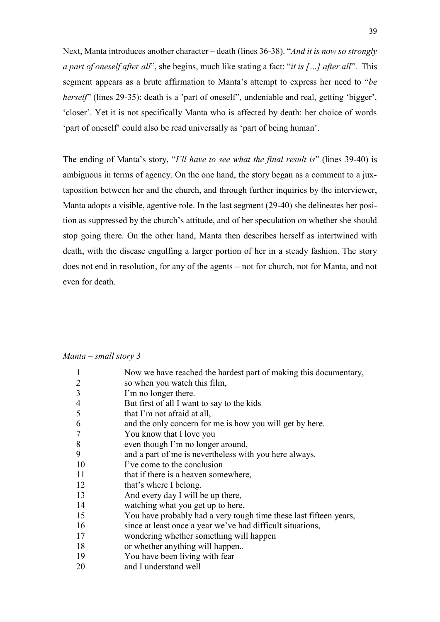Next, Manta introduces another character – death (lines 36-38). "*And it is now so strongly a part of oneself after all*", she begins, much like stating a fact: "*it is […] after all*". This segment appears as a brute affirmation to Manta's attempt to express her need to "*be herself*" (lines 29-35): death is a 'part of oneself", undeniable and real, getting 'bigger', 'closer'. Yet it is not specifically Manta who is affected by death: her choice of words 'part of oneself' could also be read universally as 'part of being human'.

The ending of Manta's story, "*I'll have to see what the final result is*" (lines 39-40) is ambiguous in terms of agency. On the one hand, the story began as a comment to a juxtaposition between her and the church, and through further inquiries by the interviewer, Manta adopts a visible, agentive role. In the last segment (29-40) she delineates her position as suppressed by the church's attitude, and of her speculation on whether she should stop going there. On the other hand, Manta then describes herself as intertwined with death, with the disease engulfing a larger portion of her in a steady fashion. The story does not end in resolution, for any of the agents – not for church, not for Manta, and not even for death.

### *Manta – small story 3*

| $\mathbf{1}$   | Now we have reached the hardest part of making this documentary,  |
|----------------|-------------------------------------------------------------------|
| $\overline{2}$ | so when you watch this film,                                      |
| 3              | I'm no longer there.                                              |
| $\overline{4}$ | But first of all I want to say to the kids                        |
| 5              | that I'm not afraid at all,                                       |
| 6              | and the only concern for me is how you will get by here.          |
| $\tau$         | You know that I love you                                          |
| 8              | even though I'm no longer around,                                 |
| 9              | and a part of me is nevertheless with you here always.            |
| 10             | I've come to the conclusion                                       |
| 11             | that if there is a heaven somewhere,                              |
| 12             | that's where I belong.                                            |
| 13             | And every day I will be up there,                                 |
| 14             | watching what you get up to here.                                 |
| 15             | You have probably had a very tough time these last fifteen years, |
| 16             | since at least once a year we've had difficult situations,        |
| 17             | wondering whether something will happen                           |
| 18             | or whether anything will happen                                   |
| 19             | You have been living with fear                                    |
| oο             |                                                                   |

20 and I understand well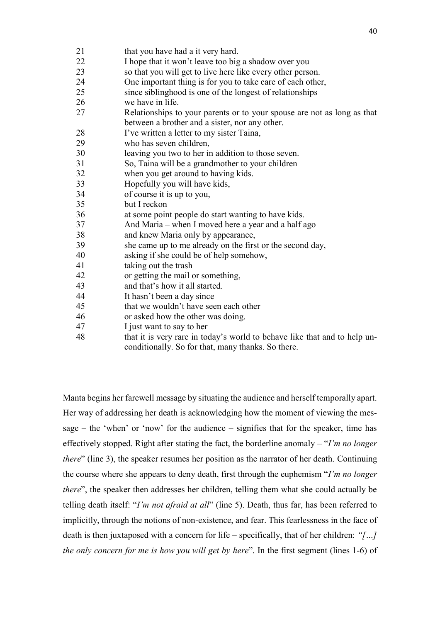| 21 |  | that you have had a it very hard. |
|----|--|-----------------------------------|
|    |  |                                   |

- I hope that it won't leave too big a shadow over you
- so that you will get to live here like every other person.
- One important thing is for you to take care of each other,
- since siblinghood is one of the longest of relationships
- we have in life.
- Relationships to your parents or to your spouse are not as long as that between a brother and a sister, nor any other.
- I've written a letter to my sister Taina,
- who has seven children,
- leaving you two to her in addition to those seven.
- So, Taina will be a grandmother to your children
- when you get around to having kids.
- Hopefully you will have kids,
- of course it is up to you,
- but I reckon
- at some point people do start wanting to have kids.
- And Maria when I moved here a year and a half ago
- and knew Maria only by appearance,
- she came up to me already on the first or the second day,
- asking if she could be of help somehow,
- taking out the trash
- or getting the mail or something,
- and that's how it all started.
- It hasn't been a day since
- that we wouldn't have seen each other
- or asked how the other was doing.
- I just want to say to her
- that it is very rare in today's world to behave like that and to help unconditionally. So for that, many thanks. So there.

Manta begins her farewell message by situating the audience and herself temporally apart. Her way of addressing her death is acknowledging how the moment of viewing the message – the 'when' or 'now' for the audience – signifies that for the speaker, time has effectively stopped. Right after stating the fact, the borderline anomaly – "*I'm no longer there*" (line 3), the speaker resumes her position as the narrator of her death. Continuing the course where she appears to deny death, first through the euphemism "*I'm no longer there*", the speaker then addresses her children, telling them what she could actually be telling death itself: "*I'm not afraid at all*" (line 5). Death, thus far, has been referred to implicitly, through the notions of non-existence, and fear. This fearlessness in the face of death is then juxtaposed with a concern for life – specifically, that of her children: *"[…] the only concern for me is how you will get by here*". In the first segment (lines 1-6) of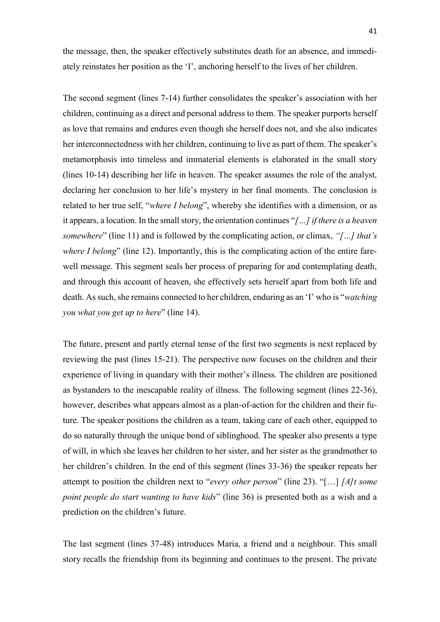the message, then, the speaker effectively substitutes death for an absence, and immediately reinstates her position as the 'I', anchoring herself to the lives of her children.

The second segment (lines 7-14) further consolidates the speaker's association with her children, continuing as a direct and personal address to them. The speaker purports herself as love that remains and endures even though she herself does not, and she also indicates her interconnectedness with her children, continuing to live as part of them. The speaker's metamorphosis into timeless and immaterial elements is elaborated in the small story (lines 10-14) describing her life in heaven. The speaker assumes the role of the analyst, declaring her conclusion to her life's mystery in her final moments. The conclusion is related to her true self, "*where I belong*", whereby she identifies with a dimension, or as it appears, a location. In the small story, the orientation continues "*[…] if there is a heaven somewhere*" (line 11) and is followed by the complicating action, or climax, *"[…] that's where I belong*" (line 12). Importantly, this is the complicating action of the entire farewell message. This segment seals her process of preparing for and contemplating death, and through this account of heaven, she effectively sets herself apart from both life and death. As such, she remains connected to her children, enduring as an 'I' who is "*watching you what you get up to here*" (line 14).

The future, present and partly eternal tense of the first two segments is next replaced by reviewing the past (lines 15-21). The perspective now focuses on the children and their experience of living in quandary with their mother's illness. The children are positioned as bystanders to the inescapable reality of illness. The following segment (lines 22-36), however, describes what appears almost as a plan-of-action for the children and their future. The speaker positions the children as a team, taking care of each other, equipped to do so naturally through the unique bond of siblinghood. The speaker also presents a type of will, in which she leaves her children to her sister, and her sister as the grandmother to her children's children. In the end of this segment (lines 33-36) the speaker repeats her attempt to position the children next to "*every other person*" (line 23). "[…] *[A]t some point people do start wanting to have kids*" (line 36) is presented both as a wish and a prediction on the children's future.

The last segment (lines 37-48) introduces Maria, a friend and a neighbour. This small story recalls the friendship from its beginning and continues to the present. The private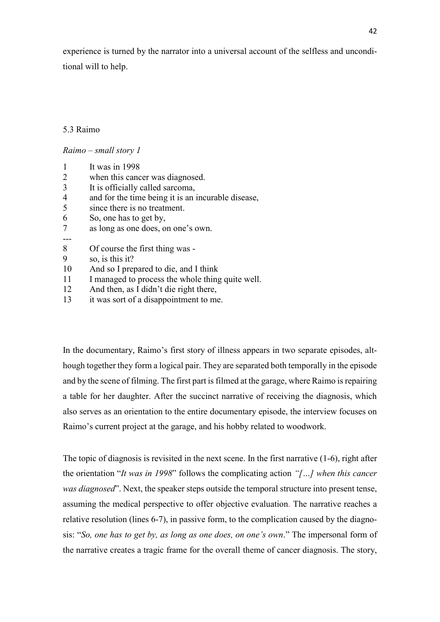experience is turned by the narrator into a universal account of the selfless and unconditional will to help.

## 5.3 Raimo

## *Raimo – small story 1*

- 1 It was in 1998
- 2 when this cancer was diagnosed.
- 3 It is officially called sarcoma,
- 4 and for the time being it is an incurable disease,
- 5 since there is no treatment.
- 6 So, one has to get by,
- 7 as long as one does, on one's own.
- ---
- 8 Of course the first thing was -
- 9 so, is this it?
- 10 And so I prepared to die, and I think
- 11 I managed to process the whole thing quite well.
- 12 And then, as I didn't die right there,
- 13 it was sort of a disappointment to me.

In the documentary, Raimo's first story of illness appears in two separate episodes, although together they form a logical pair. They are separated both temporally in the episode and by the scene of filming. The first part is filmed at the garage, where Raimo is repairing a table for her daughter. After the succinct narrative of receiving the diagnosis, which also serves as an orientation to the entire documentary episode, the interview focuses on Raimo's current project at the garage, and his hobby related to woodwork.

The topic of diagnosis is revisited in the next scene. In the first narrative (1-6), right after the orientation "*It was in 1998*" follows the complicating action *"[…] when this cancer was diagnosed*". Next, the speaker steps outside the temporal structure into present tense, assuming the medical perspective to offer objective evaluation. The narrative reaches a relative resolution (lines 6-7), in passive form, to the complication caused by the diagnosis: "*So, one has to get by, as long as one does, on one's own*." The impersonal form of the narrative creates a tragic frame for the overall theme of cancer diagnosis. The story,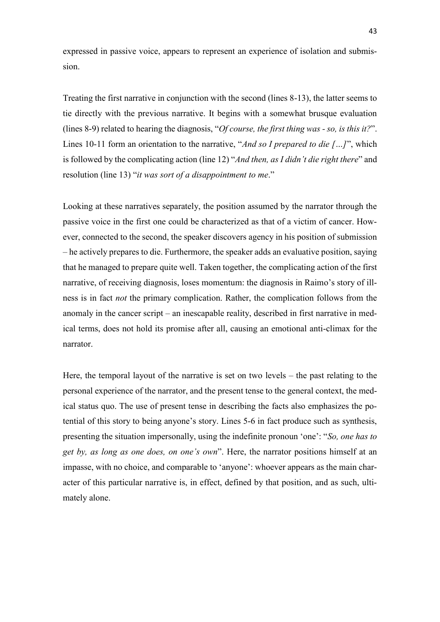expressed in passive voice, appears to represent an experience of isolation and submission.

Treating the first narrative in conjunction with the second (lines 8-13), the latter seems to tie directly with the previous narrative. It begins with a somewhat brusque evaluation (lines 8-9) related to hearing the diagnosis, "*Of course, the first thing was - so, is this it?*". Lines 10-11 form an orientation to the narrative, "*And so I prepared to die […]*", which is followed by the complicating action (line 12) "*And then, as I didn't die right there*" and resolution (line 13) "*it was sort of a disappointment to me*."

Looking at these narratives separately, the position assumed by the narrator through the passive voice in the first one could be characterized as that of a victim of cancer. However, connected to the second, the speaker discovers agency in his position of submission – he actively prepares to die. Furthermore, the speaker adds an evaluative position, saying that he managed to prepare quite well. Taken together, the complicating action of the first narrative, of receiving diagnosis, loses momentum: the diagnosis in Raimo's story of illness is in fact *not* the primary complication. Rather, the complication follows from the anomaly in the cancer script – an inescapable reality, described in first narrative in medical terms, does not hold its promise after all, causing an emotional anti-climax for the narrator.

Here, the temporal layout of the narrative is set on two levels – the past relating to the personal experience of the narrator, and the present tense to the general context, the medical status quo. The use of present tense in describing the facts also emphasizes the potential of this story to being anyone's story. Lines 5-6 in fact produce such as synthesis, presenting the situation impersonally, using the indefinite pronoun 'one': "*So, one has to get by, as long as one does, on one's own*". Here, the narrator positions himself at an impasse, with no choice, and comparable to 'anyone': whoever appears as the main character of this particular narrative is, in effect, defined by that position, and as such, ultimately alone.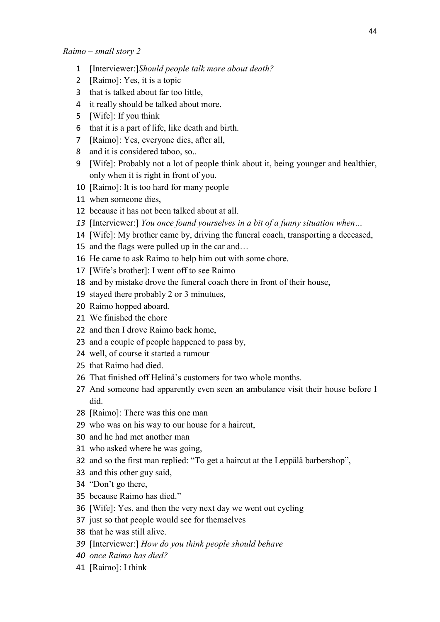- [Interviewer:]*Should people talk more about death?*
- [Raimo]: Yes, it is a topic
- that is talked about far too little,
- it really should be talked about more.
- [Wife]: If you think
- that it is a part of life, like death and birth.
- [Raimo]: Yes, everyone dies, after all,
- and it is considered taboo, so..
- [Wife]: Probably not a lot of people think about it, being younger and healthier, only when it is right in front of you.
- [Raimo]: It is too hard for many people
- when someone dies,
- because it has not been talked about at all.
- [Interviewer:] *You once found yourselves in a bit of a funny situation when…*
- [Wife]: My brother came by, driving the funeral coach, transporting a deceased,
- and the flags were pulled up in the car and…
- He came to ask Raimo to help him out with some chore.
- [Wife's brother]: I went off to see Raimo
- and by mistake drove the funeral coach there in front of their house,
- stayed there probably 2 or 3 minutues,
- Raimo hopped aboard.
- We finished the chore
- and then I drove Raimo back home,
- and a couple of people happened to pass by,
- well, of course it started a rumour
- that Raimo had died.
- That finished off Helinä's customers for two whole months.
- And someone had apparently even seen an ambulance visit their house before I did.
- [Raimo]: There was this one man
- who was on his way to our house for a haircut,
- and he had met another man
- who asked where he was going,
- and so the first man replied: "To get a haircut at the Leppälä barbershop",
- and this other guy said,
- "Don't go there,
- because Raimo has died."
- [Wife]: Yes, and then the very next day we went out cycling
- just so that people would see for themselves
- that he was still alive.
- [Interviewer:] *How do you think people should behave*
- *once Raimo has died?*
- [Raimo]: I think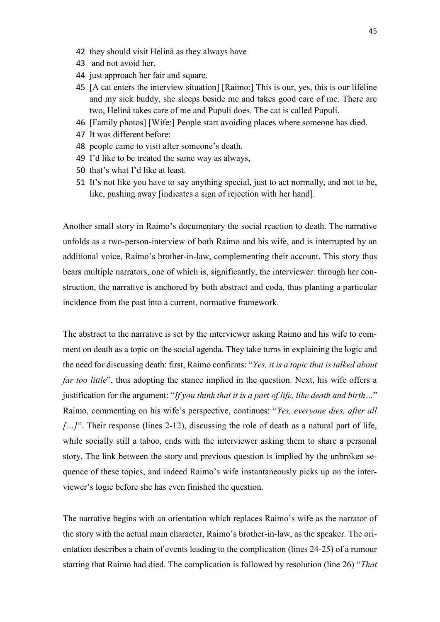- 42 they should visit Helinä as they always have
- 43 and not avoid her,
- 44 just approach her fair and square.
- 45 [A cat enters the interview situation] [Raimo:] This is our, yes, this is our lifeline and my sick buddy, she sleeps beside me and takes good care of me. There are two, Helinä takes care of me and Pupuli does. The cat is called Pupuli.
- 46 [Family photos] [Wife:] People start avoiding places where someone has died.
- 47 It was different before:
- 48 people came to visit after someone's death.
- 49 I'd like to be treated the same way as always,
- 50 that's what I'd like at least.
- 51 It's not like you have to say anything special, just to act normally, and not to be, like, pushing away [indicates a sign of rejection with her hand].

Another small story in Raimo's documentary the social reaction to death. The narrative unfolds as a two-person-interview of both Raimo and his wife, and is interrupted by an additional voice, Raimo's brother-in-law, complementing their account. This story thus bears multiple narrators, one of which is, significantly, the interviewer: through her construction, the narrative is anchored by both abstract and coda, thus planting a particular incidence from the past into a current, normative framework.

The abstract to the narrative is set by the interviewer asking Raimo and his wife to comment on death as a topic on the social agenda. They take turns in explaining the logic and the need for discussing death: first, Raimo confirms: "*Yes, it is a topic that is talked about far too little*", thus adopting the stance implied in the question. Next, his wife offers a justification for the argument: "*If you think that it is a part of life, like death and birth…*" Raimo, commenting on his wife's perspective, continues: "*Yes, everyone dies, after all […]*". Their response (lines 2-12), discussing the role of death as a natural part of life, while socially still a taboo, ends with the interviewer asking them to share a personal story. The link between the story and previous question is implied by the unbroken sequence of these topics, and indeed Raimo's wife instantaneously picks up on the interviewer's logic before she has even finished the question.

The narrative begins with an orientation which replaces Raimo's wife as the narrator of the story with the actual main character, Raimo's brother-in-law, as the speaker. The orientation describes a chain of events leading to the complication (lines 24-25) of a rumour starting that Raimo had died. The complication is followed by resolution (line 26) "*That*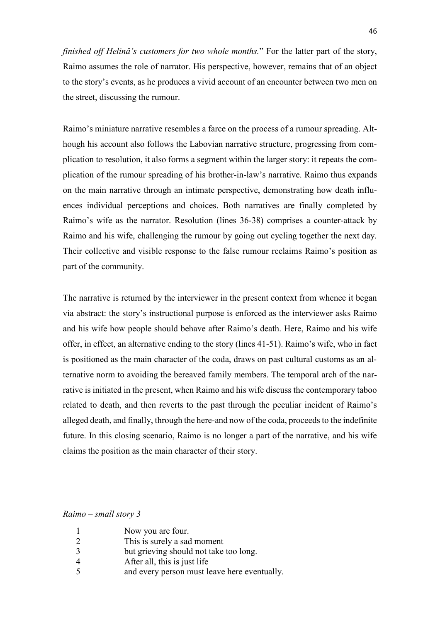*finished off Helinä's customers for two whole months.*" For the latter part of the story, Raimo assumes the role of narrator. His perspective, however, remains that of an object to the story's events, as he produces a vivid account of an encounter between two men on the street, discussing the rumour.

Raimo's miniature narrative resembles a farce on the process of a rumour spreading. Although his account also follows the Labovian narrative structure, progressing from complication to resolution, it also forms a segment within the larger story: it repeats the complication of the rumour spreading of his brother-in-law's narrative. Raimo thus expands on the main narrative through an intimate perspective, demonstrating how death influences individual perceptions and choices. Both narratives are finally completed by Raimo's wife as the narrator. Resolution (lines 36-38) comprises a counter-attack by Raimo and his wife, challenging the rumour by going out cycling together the next day. Their collective and visible response to the false rumour reclaims Raimo's position as part of the community.

The narrative is returned by the interviewer in the present context from whence it began via abstract: the story's instructional purpose is enforced as the interviewer asks Raimo and his wife how people should behave after Raimo's death. Here, Raimo and his wife offer, in effect, an alternative ending to the story (lines 41-51). Raimo's wife, who in fact is positioned as the main character of the coda, draws on past cultural customs as an alternative norm to avoiding the bereaved family members. The temporal arch of the narrative is initiated in the present, when Raimo and his wife discuss the contemporary taboo related to death, and then reverts to the past through the peculiar incident of Raimo's alleged death, and finally, through the here-and now of the coda, proceeds to the indefinite future. In this closing scenario, Raimo is no longer a part of the narrative, and his wife claims the position as the main character of their story.

*Raimo – small story 3*

- 1 Now you are four.
- 2 This is surely a sad moment
- 3 but grieving should not take too long.
- 4 After all, this is just life
- 5 and every person must leave here eventually.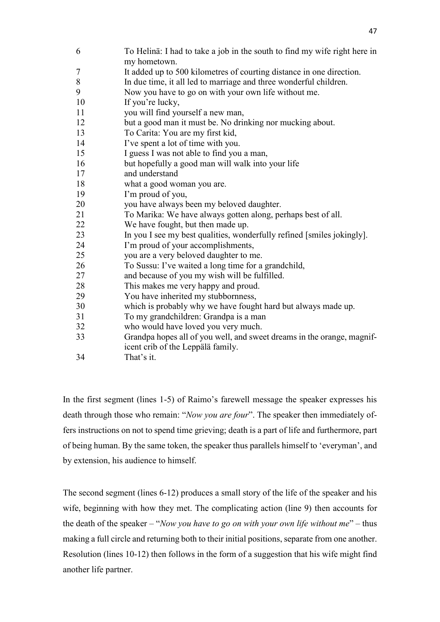To Helinä: I had to take a job in the south to find my wife right here in my hometown. It added up to 500 kilometres of courting distance in one direction. In due time, it all led to marriage and three wonderful children. Now you have to go on with your own life without me. 10 If you're lucky, you will find yourself a new man, but a good man it must be. No drinking nor mucking about. To Carita: You are my first kid, I've spent a lot of time with you. I guess I was not able to find you a man, but hopefully a good man will walk into your life and understand what a good woman you are. I'm proud of you, you have always been my beloved daughter. To Marika: We have always gotten along, perhaps best of all. We have fought, but then made up. In you I see my best qualities, wonderfully refined [smiles jokingly]. I'm proud of your accomplishments, you are a very beloved daughter to me. To Sussu: I've waited a long time for a grandchild, and because of you my wish will be fulfilled. This makes me very happy and proud. You have inherited my stubbornness, which is probably why we have fought hard but always made up. To my grandchildren: Grandpa is a man who would have loved you very much. Grandpa hopes all of you well, and sweet dreams in the orange, magnificent crib of the Leppälä family. That's it.

In the first segment (lines 1-5) of Raimo's farewell message the speaker expresses his death through those who remain: "*Now you are four*". The speaker then immediately offers instructions on not to spend time grieving; death is a part of life and furthermore, part of being human. By the same token, the speaker thus parallels himself to 'everyman', and by extension, his audience to himself.

The second segment (lines 6-12) produces a small story of the life of the speaker and his wife, beginning with how they met. The complicating action (line 9) then accounts for the death of the speaker – "*Now you have to go on with your own life without me*" – thus making a full circle and returning both to their initial positions, separate from one another. Resolution (lines 10-12) then follows in the form of a suggestion that his wife might find another life partner.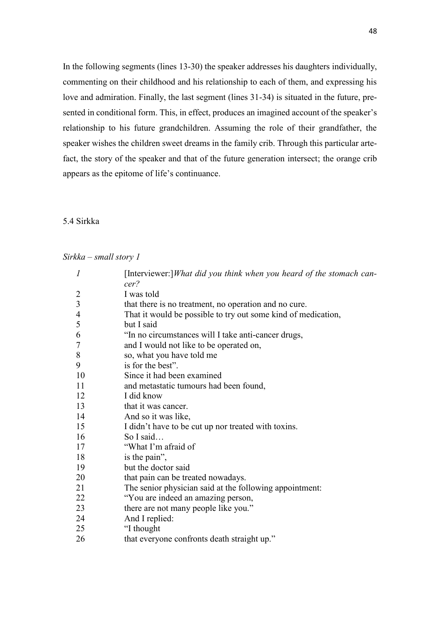In the following segments (lines 13-30) the speaker addresses his daughters individually, commenting on their childhood and his relationship to each of them, and expressing his love and admiration. Finally, the last segment (lines 31-34) is situated in the future, presented in conditional form. This, in effect, produces an imagined account of the speaker's relationship to his future grandchildren. Assuming the role of their grandfather, the speaker wishes the children sweet dreams in the family crib. Through this particular artefact, the story of the speaker and that of the future generation intersect; the orange crib appears as the epitome of life's continuance.

# 5.4 Sirkka

### *Sirkka – small story 1*

| $\boldsymbol{l}$ | [Interviewer:]What did you think when you heard of the stomach can-<br>cer? |
|------------------|-----------------------------------------------------------------------------|
| 2                | I was told                                                                  |
| $\overline{3}$   | that there is no treatment, no operation and no cure.                       |
| $\overline{4}$   | That it would be possible to try out some kind of medication,               |
| 5                | but I said                                                                  |
| 6                | "In no circumstances will I take anti-cancer drugs,                         |
| 7                |                                                                             |
|                  | and I would not like to be operated on,                                     |
| 8                | so, what you have told me                                                   |
| 9                | is for the best".                                                           |
| 10               | Since it had been examined                                                  |
| 11               | and metastatic tumours had been found,                                      |
| 12               | I did know                                                                  |
| 13               | that it was cancer.                                                         |
| 14               | And so it was like,                                                         |
| 15               | I didn't have to be cut up nor treated with toxins.                         |
| 16               | So I said                                                                   |
| 17               | "What I'm afraid of                                                         |
| 18               | is the pain",                                                               |
| 19               | but the doctor said                                                         |
| 20               | that pain can be treated nowadays.                                          |
| 21               | The senior physician said at the following appointment:                     |
| 22               | "You are indeed an amazing person,                                          |
| 23               | there are not many people like you."                                        |
| 24               | And I replied:                                                              |
| 25               | "I thought                                                                  |
| 26               | that everyone confronts death straight up."                                 |
|                  |                                                                             |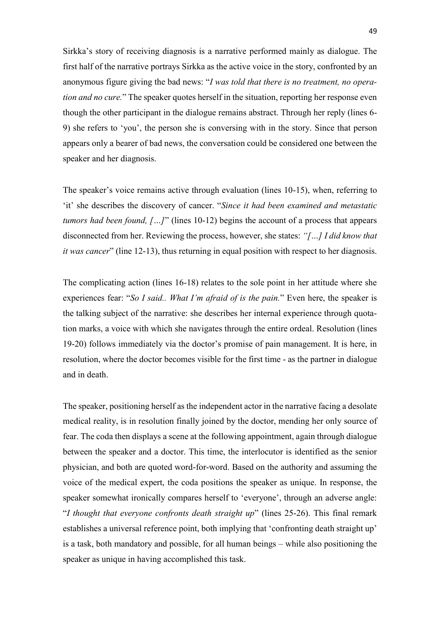Sirkka's story of receiving diagnosis is a narrative performed mainly as dialogue. The first half of the narrative portrays Sirkka as the active voice in the story, confronted by an anonymous figure giving the bad news: "*I was told that there is no treatment, no operation and no cure.*" The speaker quotes herself in the situation, reporting her response even though the other participant in the dialogue remains abstract. Through her reply (lines 6- 9) she refers to 'you', the person she is conversing with in the story. Since that person appears only a bearer of bad news, the conversation could be considered one between the speaker and her diagnosis.

The speaker's voice remains active through evaluation (lines 10-15), when, referring to 'it' she describes the discovery of cancer. "*Since it had been examined and metastatic tumors had been found, […]*" (lines 10-12) begins the account of a process that appears disconnected from her. Reviewing the process, however, she states: *"[…] I did know that it was cancer*" (line 12-13), thus returning in equal position with respect to her diagnosis.

The complicating action (lines 16-18) relates to the sole point in her attitude where she experiences fear: "*So I said.. What I'm afraid of is the pain.*" Even here, the speaker is the talking subject of the narrative: she describes her internal experience through quotation marks, a voice with which she navigates through the entire ordeal. Resolution (lines 19-20) follows immediately via the doctor's promise of pain management. It is here, in resolution, where the doctor becomes visible for the first time - as the partner in dialogue and in death.

The speaker, positioning herself as the independent actor in the narrative facing a desolate medical reality, is in resolution finally joined by the doctor, mending her only source of fear. The coda then displays a scene at the following appointment, again through dialogue between the speaker and a doctor. This time, the interlocutor is identified as the senior physician, and both are quoted word-for-word. Based on the authority and assuming the voice of the medical expert, the coda positions the speaker as unique. In response, the speaker somewhat ironically compares herself to 'everyone', through an adverse angle: "*I thought that everyone confronts death straight up*" (lines 25-26). This final remark establishes a universal reference point, both implying that 'confronting death straight up' is a task, both mandatory and possible, for all human beings – while also positioning the speaker as unique in having accomplished this task.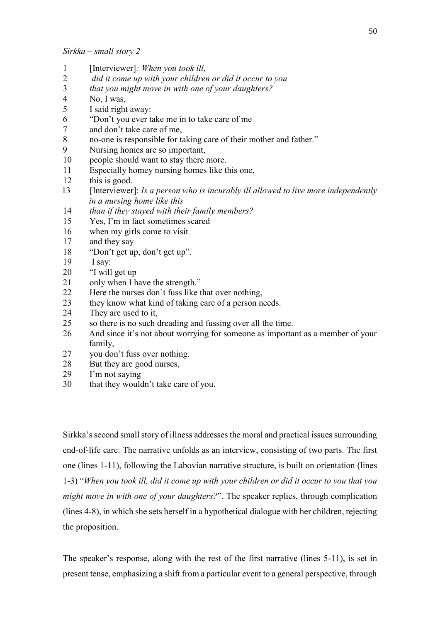- 1 [Interviewer]*: When you took ill,*
- 2 *did it come up with your children or did it occur to you*
- 3 *that you might move in with one of your daughters?*
- 4 No, I was,
- 5 I said right away:
- 6 "Don't you ever take me in to take care of me
- 7 and don't take care of me,
- 8 no-one is responsible for taking care of their mother and father."
- 9 Nursing homes are so important,
- 10 people should want to stay there more.
- 11 Especially homey nursing homes like this one,
- 12 this is good.
- 13 [Interviewer]: *Is a person who is incurably ill allowed to live more independently in a nursing home like this*
- 14 *than if they stayed with their family members?*
- 15 Yes, I'm in fact sometimes scared
- 16 when my girls come to visit
- 17 and they say
- 18 "Don't get up, don't get up".
- 19 I say:
- 20 "I will get up
- 21 only when I have the strength."
- 22 Here the nurses don't fuss like that over nothing,
- 23 they know what kind of taking care of a person needs.
- 24 They are used to it.
- 25 so there is no such dreading and fussing over all the time.
- 26 And since it's not about worrying for someone as important as a member of your family,
- 27 you don't fuss over nothing.
- 28 But they are good nurses,
- 29 I'm not saying
- 30 that they wouldn't take care of you.

Sirkka's second small story of illness addresses the moral and practical issues surrounding end-of-life care. The narrative unfolds as an interview, consisting of two parts. The first one (lines 1-11), following the Labovian narrative structure, is built on orientation (lines 1-3) "*When you took ill, did it come up with your children or did it occur to you that you might move in with one of your daughters?*". The speaker replies, through complication (lines 4-8), in which she sets herself in a hypothetical dialogue with her children, rejecting the proposition.

The speaker's response, along with the rest of the first narrative (lines 5-11), is set in present tense, emphasizing a shift from a particular event to a general perspective, through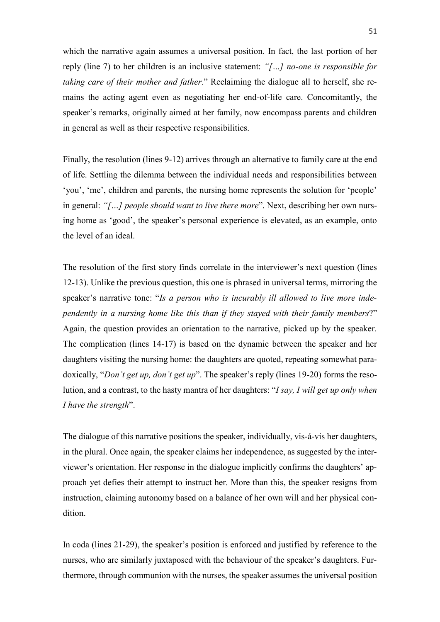which the narrative again assumes a universal position. In fact, the last portion of her reply (line 7) to her children is an inclusive statement: *"[…] no-one is responsible for taking care of their mother and father*." Reclaiming the dialogue all to herself, she remains the acting agent even as negotiating her end-of-life care. Concomitantly, the speaker's remarks, originally aimed at her family, now encompass parents and children in general as well as their respective responsibilities.

Finally, the resolution (lines 9-12) arrives through an alternative to family care at the end of life. Settling the dilemma between the individual needs and responsibilities between 'you', 'me', children and parents, the nursing home represents the solution for 'people' in general: *"[…] people should want to live there more*". Next, describing her own nursing home as 'good', the speaker's personal experience is elevated, as an example, onto the level of an ideal.

The resolution of the first story finds correlate in the interviewer's next question (lines 12-13). Unlike the previous question, this one is phrased in universal terms, mirroring the speaker's narrative tone: "*Is a person who is incurably ill allowed to live more independently in a nursing home like this than if they stayed with their family members*?" Again, the question provides an orientation to the narrative, picked up by the speaker. The complication (lines 14-17) is based on the dynamic between the speaker and her daughters visiting the nursing home: the daughters are quoted, repeating somewhat paradoxically, "*Don't get up, don't get up*". The speaker's reply (lines 19-20) forms the resolution, and a contrast, to the hasty mantra of her daughters: "*I say, I will get up only when I have the strength*".

The dialogue of this narrative positions the speaker, individually, vis-á-vis her daughters, in the plural. Once again, the speaker claims her independence, as suggested by the interviewer's orientation. Her response in the dialogue implicitly confirms the daughters' approach yet defies their attempt to instruct her. More than this, the speaker resigns from instruction, claiming autonomy based on a balance of her own will and her physical condition.

In coda (lines 21-29), the speaker's position is enforced and justified by reference to the nurses, who are similarly juxtaposed with the behaviour of the speaker's daughters. Furthermore, through communion with the nurses, the speaker assumes the universal position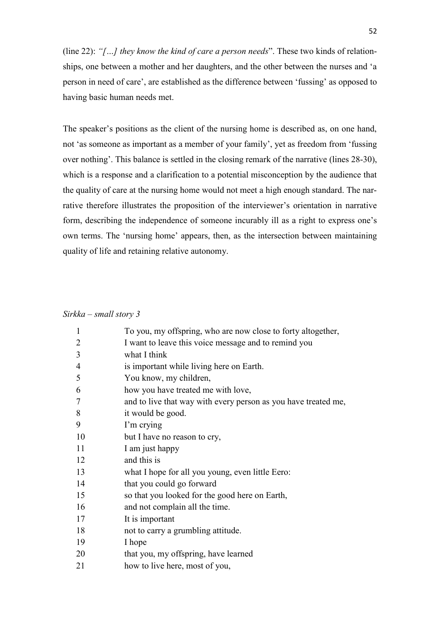(line 22): *"[…] they know the kind of care a person needs*". These two kinds of relationships, one between a mother and her daughters, and the other between the nurses and 'a person in need of care', are established as the difference between 'fussing' as opposed to having basic human needs met.

The speaker's positions as the client of the nursing home is described as, on one hand, not 'as someone as important as a member of your family', yet as freedom from 'fussing over nothing'. This balance is settled in the closing remark of the narrative (lines 28-30), which is a response and a clarification to a potential misconception by the audience that the quality of care at the nursing home would not meet a high enough standard. The narrative therefore illustrates the proposition of the interviewer's orientation in narrative form, describing the independence of someone incurably ill as a right to express one's own terms. The 'nursing home' appears, then, as the intersection between maintaining quality of life and retaining relative autonomy.

# *Sirkka – small story 3*

| $\mathbf{1}$   | To you, my offspring, who are now close to forty altogether,   |
|----------------|----------------------------------------------------------------|
| $\overline{2}$ | I want to leave this voice message and to remind you           |
| 3              | what I think                                                   |
| $\overline{4}$ | is important while living here on Earth.                       |
| 5              | You know, my children,                                         |
| 6              | how you have treated me with love,                             |
| 7              | and to live that way with every person as you have treated me, |
| 8              | it would be good.                                              |
| 9              | I'm crying                                                     |
| 10             | but I have no reason to cry,                                   |
| 11             | I am just happy                                                |
| 12             | and this is                                                    |
| 13             | what I hope for all you young, even little Eero:               |
| 14             | that you could go forward                                      |
| 15             | so that you looked for the good here on Earth,                 |
| 16             | and not complain all the time.                                 |
| 17             | It is important                                                |
| 18             | not to carry a grumbling attitude.                             |
| 19             | I hope                                                         |
| 20             | that you, my offspring, have learned                           |
| 21             | how to live here, most of you,                                 |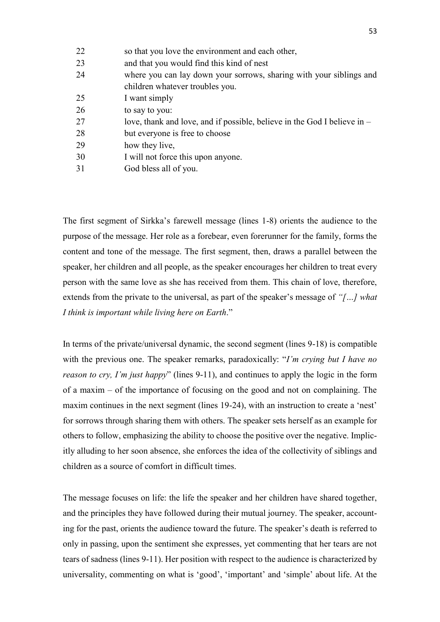| 22 | so that you love the environment and each other,                         |
|----|--------------------------------------------------------------------------|
| 23 | and that you would find this kind of nest                                |
| 24 | where you can lay down your sorrows, sharing with your siblings and      |
|    | children whatever troubles you.                                          |
| 25 | I want simply                                                            |
| 26 | to say to you:                                                           |
| 27 | love, thank and love, and if possible, believe in the God I believe in – |
| 28 | but everyone is free to choose                                           |
| 29 | how they live,                                                           |
| 30 | I will not force this upon anyone.                                       |
| 31 | God bless all of you.                                                    |

The first segment of Sirkka's farewell message (lines 1-8) orients the audience to the purpose of the message. Her role as a forebear, even forerunner for the family, forms the content and tone of the message. The first segment, then, draws a parallel between the speaker, her children and all people, as the speaker encourages her children to treat every person with the same love as she has received from them. This chain of love, therefore, extends from the private to the universal, as part of the speaker's message of *"[…] what I think is important while living here on Earth*."

In terms of the private/universal dynamic, the second segment (lines 9-18) is compatible with the previous one. The speaker remarks, paradoxically: "*I'm crying but I have no reason to cry, I'm just happy*" (lines 9-11), and continues to apply the logic in the form of a maxim – of the importance of focusing on the good and not on complaining. The maxim continues in the next segment (lines 19-24), with an instruction to create a 'nest' for sorrows through sharing them with others. The speaker sets herself as an example for others to follow, emphasizing the ability to choose the positive over the negative. Implicitly alluding to her soon absence, she enforces the idea of the collectivity of siblings and children as a source of comfort in difficult times.

The message focuses on life: the life the speaker and her children have shared together, and the principles they have followed during their mutual journey. The speaker, accounting for the past, orients the audience toward the future. The speaker's death is referred to only in passing, upon the sentiment she expresses, yet commenting that her tears are not tears of sadness (lines 9-11). Her position with respect to the audience is characterized by universality, commenting on what is 'good', 'important' and 'simple' about life. At the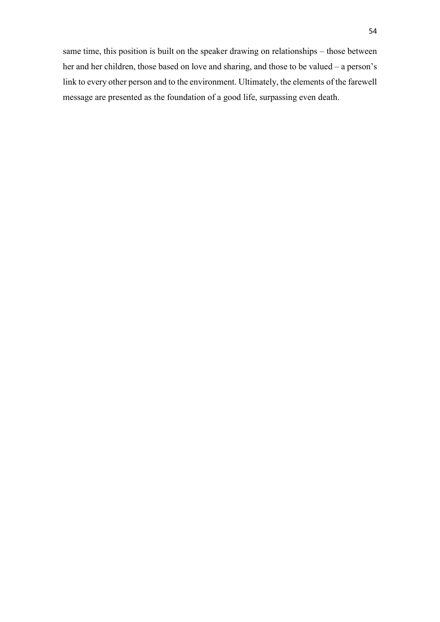same time, this position is built on the speaker drawing on relationships – those between her and her children, those based on love and sharing, and those to be valued – a person's link to every other person and to the environment. Ultimately, the elements of the farewell message are presented as the foundation of a good life, surpassing even death.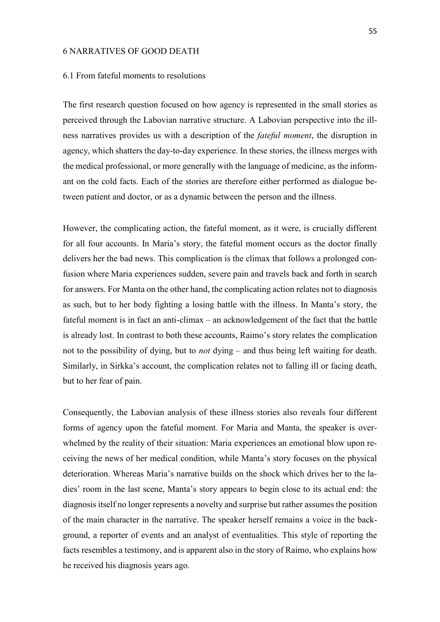### 6 NARRATIVES OF GOOD DEATH

### 6.1 From fateful moments to resolutions

The first research question focused on how agency is represented in the small stories as perceived through the Labovian narrative structure. A Labovian perspective into the illness narratives provides us with a description of the *fateful moment*, the disruption in agency, which shatters the day-to-day experience. In these stories, the illness merges with the medical professional, or more generally with the language of medicine, as the informant on the cold facts. Each of the stories are therefore either performed as dialogue between patient and doctor, or as a dynamic between the person and the illness.

However, the complicating action, the fateful moment, as it were, is crucially different for all four accounts. In Maria's story, the fateful moment occurs as the doctor finally delivers her the bad news. This complication is the climax that follows a prolonged confusion where Maria experiences sudden, severe pain and travels back and forth in search for answers. For Manta on the other hand, the complicating action relates not to diagnosis as such, but to her body fighting a losing battle with the illness. In Manta's story, the fateful moment is in fact an anti-climax – an acknowledgement of the fact that the battle is already lost. In contrast to both these accounts, Raimo's story relates the complication not to the possibility of dying, but to *not* dying – and thus being left waiting for death. Similarly, in Sirkka's account, the complication relates not to falling ill or facing death, but to her fear of pain.

Consequently, the Labovian analysis of these illness stories also reveals four different forms of agency upon the fateful moment. For Maria and Manta, the speaker is overwhelmed by the reality of their situation: Maria experiences an emotional blow upon receiving the news of her medical condition, while Manta's story focuses on the physical deterioration. Whereas Maria's narrative builds on the shock which drives her to the ladies' room in the last scene, Manta's story appears to begin close to its actual end: the diagnosis itself no longer represents a novelty and surprise but rather assumes the position of the main character in the narrative. The speaker herself remains a voice in the background, a reporter of events and an analyst of eventualities. This style of reporting the facts resembles a testimony, and is apparent also in the story of Raimo, who explains how he received his diagnosis years ago.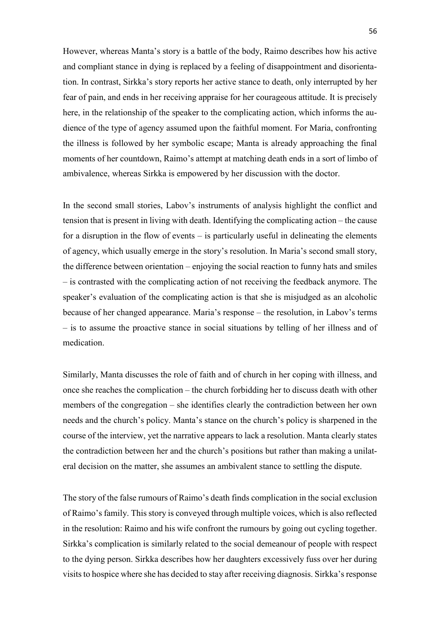However, whereas Manta's story is a battle of the body, Raimo describes how his active and compliant stance in dying is replaced by a feeling of disappointment and disorientation. In contrast, Sirkka's story reports her active stance to death, only interrupted by her fear of pain, and ends in her receiving appraise for her courageous attitude. It is precisely here, in the relationship of the speaker to the complicating action, which informs the audience of the type of agency assumed upon the faithful moment. For Maria, confronting the illness is followed by her symbolic escape; Manta is already approaching the final moments of her countdown, Raimo's attempt at matching death ends in a sort of limbo of ambivalence, whereas Sirkka is empowered by her discussion with the doctor.

In the second small stories, Labov's instruments of analysis highlight the conflict and tension that is present in living with death. Identifying the complicating action – the cause for a disruption in the flow of events – is particularly useful in delineating the elements of agency, which usually emerge in the story's resolution. In Maria's second small story, the difference between orientation – enjoying the social reaction to funny hats and smiles – is contrasted with the complicating action of not receiving the feedback anymore. The speaker's evaluation of the complicating action is that she is misjudged as an alcoholic because of her changed appearance. Maria's response – the resolution, in Labov's terms – is to assume the proactive stance in social situations by telling of her illness and of medication.

Similarly, Manta discusses the role of faith and of church in her coping with illness, and once she reaches the complication – the church forbidding her to discuss death with other members of the congregation – she identifies clearly the contradiction between her own needs and the church's policy. Manta's stance on the church's policy is sharpened in the course of the interview, yet the narrative appears to lack a resolution. Manta clearly states the contradiction between her and the church's positions but rather than making a unilateral decision on the matter, she assumes an ambivalent stance to settling the dispute.

The story of the false rumours of Raimo's death finds complication in the social exclusion of Raimo's family. This story is conveyed through multiple voices, which is also reflected in the resolution: Raimo and his wife confront the rumours by going out cycling together. Sirkka's complication is similarly related to the social demeanour of people with respect to the dying person. Sirkka describes how her daughters excessively fuss over her during visits to hospice where she has decided to stay after receiving diagnosis. Sirkka's response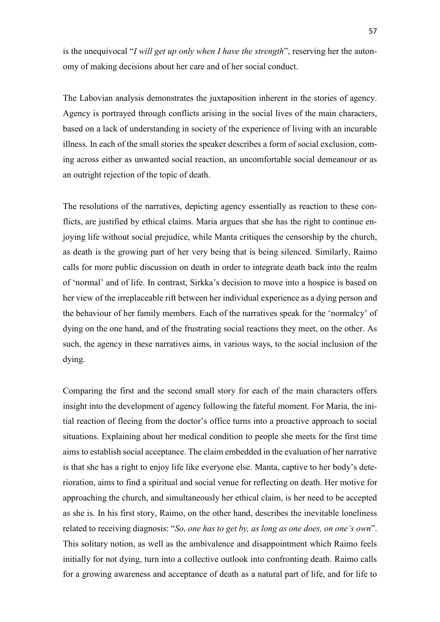is the unequivocal "*I will get up only when I have the strength*", reserving her the autonomy of making decisions about her care and of her social conduct.

The Labovian analysis demonstrates the juxtaposition inherent in the stories of agency. Agency is portrayed through conflicts arising in the social lives of the main characters, based on a lack of understanding in society of the experience of living with an incurable illness. In each of the small stories the speaker describes a form of social exclusion, coming across either as unwanted social reaction, an uncomfortable social demeanour or as an outright rejection of the topic of death.

The resolutions of the narratives, depicting agency essentially as reaction to these conflicts, are justified by ethical claims. Maria argues that she has the right to continue enjoying life without social prejudice, while Manta critiques the censorship by the church, as death is the growing part of her very being that is being silenced. Similarly, Raimo calls for more public discussion on death in order to integrate death back into the realm of 'normal' and of life. In contrast, Sirkka's decision to move into a hospice is based on her view of the irreplaceable rift between her individual experience as a dying person and the behaviour of her family members. Each of the narratives speak for the 'normalcy' of dying on the one hand, and of the frustrating social reactions they meet, on the other. As such, the agency in these narratives aims, in various ways, to the social inclusion of the dying.

Comparing the first and the second small story for each of the main characters offers insight into the development of agency following the fateful moment. For Maria, the initial reaction of fleeing from the doctor's office turns into a proactive approach to social situations. Explaining about her medical condition to people she meets for the first time aims to establish social acceptance. The claim embedded in the evaluation of her narrative is that she has a right to enjoy life like everyone else. Manta, captive to her body's deterioration, aims to find a spiritual and social venue for reflecting on death. Her motive for approaching the church, and simultaneously her ethical claim, is her need to be accepted as she is. In his first story, Raimo, on the other hand, describes the inevitable loneliness related to receiving diagnosis: "*So, one has to get by, as long as one does, on one's own*". This solitary notion, as well as the ambivalence and disappointment which Raimo feels initially for not dying, turn into a collective outlook into confronting death. Raimo calls for a growing awareness and acceptance of death as a natural part of life, and for life to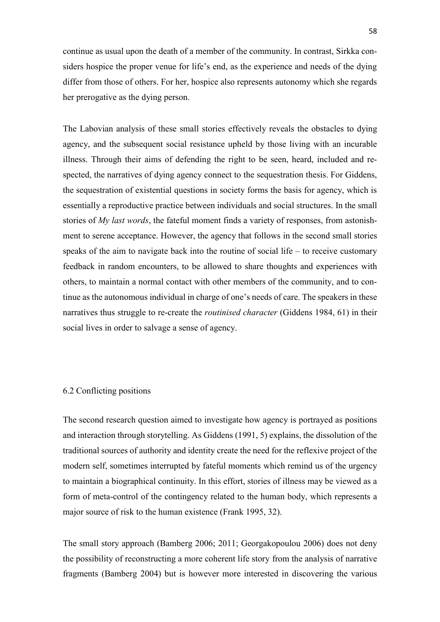continue as usual upon the death of a member of the community. In contrast, Sirkka considers hospice the proper venue for life's end, as the experience and needs of the dying differ from those of others. For her, hospice also represents autonomy which she regards her prerogative as the dying person.

The Labovian analysis of these small stories effectively reveals the obstacles to dying agency, and the subsequent social resistance upheld by those living with an incurable illness. Through their aims of defending the right to be seen, heard, included and respected, the narratives of dying agency connect to the sequestration thesis. For Giddens, the sequestration of existential questions in society forms the basis for agency, which is essentially a reproductive practice between individuals and social structures. In the small stories of *My last words*, the fateful moment finds a variety of responses, from astonishment to serene acceptance. However, the agency that follows in the second small stories speaks of the aim to navigate back into the routine of social life – to receive customary feedback in random encounters, to be allowed to share thoughts and experiences with others, to maintain a normal contact with other members of the community, and to continue as the autonomous individual in charge of one's needs of care. The speakers in these narratives thus struggle to re-create the *routinised character* (Giddens 1984, 61) in their social lives in order to salvage a sense of agency.

### 6.2 Conflicting positions

The second research question aimed to investigate how agency is portrayed as positions and interaction through storytelling. As Giddens (1991, 5) explains, the dissolution of the traditional sources of authority and identity create the need for the reflexive project of the modern self, sometimes interrupted by fateful moments which remind us of the urgency to maintain a biographical continuity. In this effort, stories of illness may be viewed as a form of meta-control of the contingency related to the human body, which represents a major source of risk to the human existence (Frank 1995, 32).

The small story approach (Bamberg 2006; 2011; Georgakopoulou 2006) does not deny the possibility of reconstructing a more coherent life story from the analysis of narrative fragments (Bamberg 2004) but is however more interested in discovering the various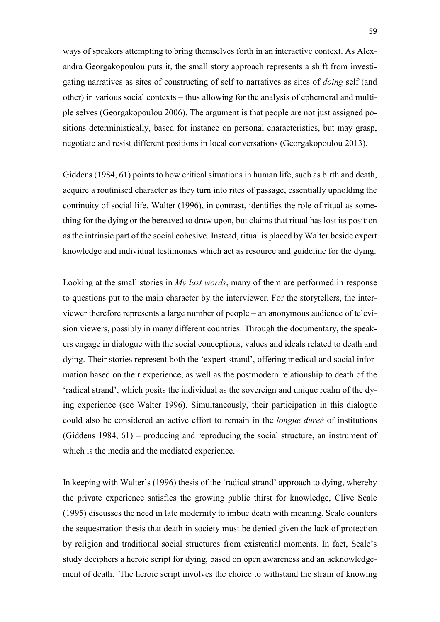ways of speakers attempting to bring themselves forth in an interactive context. As Alexandra Georgakopoulou puts it, the small story approach represents a shift from investigating narratives as sites of constructing of self to narratives as sites of *doing* self (and other) in various social contexts – thus allowing for the analysis of ephemeral and multiple selves (Georgakopoulou 2006). The argument is that people are not just assigned positions deterministically, based for instance on personal characteristics, but may grasp, negotiate and resist different positions in local conversations (Georgakopoulou 2013).

Giddens (1984, 61) points to how critical situations in human life, such as birth and death, acquire a routinised character as they turn into rites of passage, essentially upholding the continuity of social life. Walter (1996), in contrast, identifies the role of ritual as something for the dying or the bereaved to draw upon, but claims that ritual has lost its position as the intrinsic part of the social cohesive. Instead, ritual is placed by Walter beside expert knowledge and individual testimonies which act as resource and guideline for the dying.

Looking at the small stories in *My last words*, many of them are performed in response to questions put to the main character by the interviewer. For the storytellers, the interviewer therefore represents a large number of people – an anonymous audience of television viewers, possibly in many different countries. Through the documentary, the speakers engage in dialogue with the social conceptions, values and ideals related to death and dying. Their stories represent both the 'expert strand', offering medical and social information based on their experience, as well as the postmodern relationship to death of the 'radical strand', which posits the individual as the sovereign and unique realm of the dying experience (see Walter 1996). Simultaneously, their participation in this dialogue could also be considered an active effort to remain in the *longue dureé* of institutions (Giddens 1984, 61) – producing and reproducing the social structure, an instrument of which is the media and the mediated experience.

In keeping with Walter's (1996) thesis of the 'radical strand' approach to dying, whereby the private experience satisfies the growing public thirst for knowledge, Clive Seale (1995) discusses the need in late modernity to imbue death with meaning. Seale counters the sequestration thesis that death in society must be denied given the lack of protection by religion and traditional social structures from existential moments. In fact, Seale's study deciphers a heroic script for dying, based on open awareness and an acknowledgement of death. The heroic script involves the choice to withstand the strain of knowing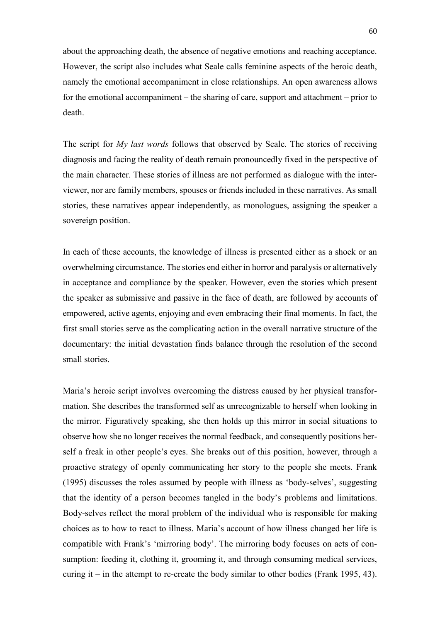about the approaching death, the absence of negative emotions and reaching acceptance. However, the script also includes what Seale calls feminine aspects of the heroic death, namely the emotional accompaniment in close relationships. An open awareness allows for the emotional accompaniment – the sharing of care, support and attachment – prior to death.

The script for *My last words* follows that observed by Seale. The stories of receiving diagnosis and facing the reality of death remain pronouncedly fixed in the perspective of the main character. These stories of illness are not performed as dialogue with the interviewer, nor are family members, spouses or friends included in these narratives. As small stories, these narratives appear independently, as monologues, assigning the speaker a sovereign position.

In each of these accounts, the knowledge of illness is presented either as a shock or an overwhelming circumstance. The stories end either in horror and paralysis or alternatively in acceptance and compliance by the speaker. However, even the stories which present the speaker as submissive and passive in the face of death, are followed by accounts of empowered, active agents, enjoying and even embracing their final moments. In fact, the first small stories serve as the complicating action in the overall narrative structure of the documentary: the initial devastation finds balance through the resolution of the second small stories.

Maria's heroic script involves overcoming the distress caused by her physical transformation. She describes the transformed self as unrecognizable to herself when looking in the mirror. Figuratively speaking, she then holds up this mirror in social situations to observe how she no longer receives the normal feedback, and consequently positions herself a freak in other people's eyes. She breaks out of this position, however, through a proactive strategy of openly communicating her story to the people she meets. Frank (1995) discusses the roles assumed by people with illness as 'body-selves', suggesting that the identity of a person becomes tangled in the body's problems and limitations. Body-selves reflect the moral problem of the individual who is responsible for making choices as to how to react to illness. Maria's account of how illness changed her life is compatible with Frank's 'mirroring body'. The mirroring body focuses on acts of consumption: feeding it, clothing it, grooming it, and through consuming medical services, curing it – in the attempt to re-create the body similar to other bodies (Frank 1995, 43).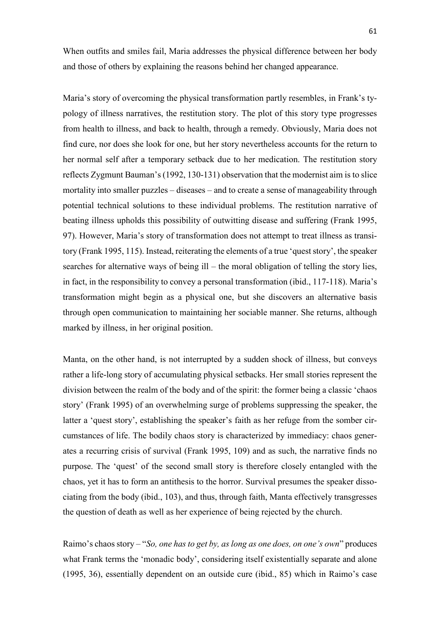When outfits and smiles fail, Maria addresses the physical difference between her body and those of others by explaining the reasons behind her changed appearance.

Maria's story of overcoming the physical transformation partly resembles, in Frank's typology of illness narratives, the restitution story. The plot of this story type progresses from health to illness, and back to health, through a remedy. Obviously, Maria does not find cure, nor does she look for one, but her story nevertheless accounts for the return to her normal self after a temporary setback due to her medication. The restitution story reflects Zygmunt Bauman's (1992, 130-131) observation that the modernist aim is to slice mortality into smaller puzzles – diseases – and to create a sense of manageability through potential technical solutions to these individual problems. The restitution narrative of beating illness upholds this possibility of outwitting disease and suffering (Frank 1995, 97). However, Maria's story of transformation does not attempt to treat illness as transitory (Frank 1995, 115). Instead, reiterating the elements of a true 'quest story', the speaker searches for alternative ways of being ill – the moral obligation of telling the story lies, in fact, in the responsibility to convey a personal transformation (ibid., 117-118). Maria's transformation might begin as a physical one, but she discovers an alternative basis through open communication to maintaining her sociable manner. She returns, although marked by illness, in her original position.

Manta, on the other hand, is not interrupted by a sudden shock of illness, but conveys rather a life-long story of accumulating physical setbacks. Her small stories represent the division between the realm of the body and of the spirit: the former being a classic 'chaos story' (Frank 1995) of an overwhelming surge of problems suppressing the speaker, the latter a 'quest story', establishing the speaker's faith as her refuge from the somber circumstances of life. The bodily chaos story is characterized by immediacy: chaos generates a recurring crisis of survival (Frank 1995, 109) and as such, the narrative finds no purpose. The 'quest' of the second small story is therefore closely entangled with the chaos, yet it has to form an antithesis to the horror. Survival presumes the speaker dissociating from the body (ibid., 103), and thus, through faith, Manta effectively transgresses the question of death as well as her experience of being rejected by the church.

Raimo's chaos story – "*So, one has to get by, as long as one does, on one's own*" produces what Frank terms the 'monadic body', considering itself existentially separate and alone (1995, 36), essentially dependent on an outside cure (ibid., 85) which in Raimo's case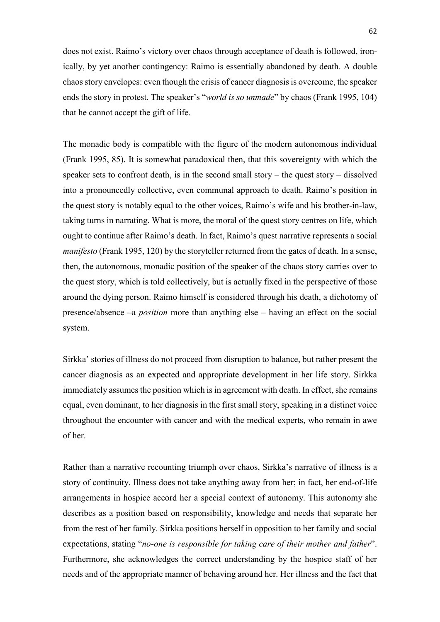does not exist. Raimo's victory over chaos through acceptance of death is followed, ironically, by yet another contingency: Raimo is essentially abandoned by death. A double chaos story envelopes: even though the crisis of cancer diagnosis is overcome, the speaker ends the story in protest. The speaker's "*world is so unmade*" by chaos (Frank 1995, 104) that he cannot accept the gift of life.

The monadic body is compatible with the figure of the modern autonomous individual (Frank 1995, 85). It is somewhat paradoxical then, that this sovereignty with which the speaker sets to confront death, is in the second small story – the quest story – dissolved into a pronouncedly collective, even communal approach to death. Raimo's position in the quest story is notably equal to the other voices, Raimo's wife and his brother-in-law, taking turns in narrating. What is more, the moral of the quest story centres on life, which ought to continue after Raimo's death. In fact, Raimo's quest narrative represents a social *manifesto* (Frank 1995, 120) by the storyteller returned from the gates of death. In a sense, then, the autonomous, monadic position of the speaker of the chaos story carries over to the quest story, which is told collectively, but is actually fixed in the perspective of those around the dying person. Raimo himself is considered through his death, a dichotomy of presence/absence –a *position* more than anything else – having an effect on the social system.

Sirkka' stories of illness do not proceed from disruption to balance, but rather present the cancer diagnosis as an expected and appropriate development in her life story. Sirkka immediately assumes the position which is in agreement with death. In effect, she remains equal, even dominant, to her diagnosis in the first small story, speaking in a distinct voice throughout the encounter with cancer and with the medical experts, who remain in awe of her.

Rather than a narrative recounting triumph over chaos, Sirkka's narrative of illness is a story of continuity. Illness does not take anything away from her; in fact, her end-of-life arrangements in hospice accord her a special context of autonomy. This autonomy she describes as a position based on responsibility, knowledge and needs that separate her from the rest of her family. Sirkka positions herself in opposition to her family and social expectations, stating "*no-one is responsible for taking care of their mother and father*". Furthermore, she acknowledges the correct understanding by the hospice staff of her needs and of the appropriate manner of behaving around her. Her illness and the fact that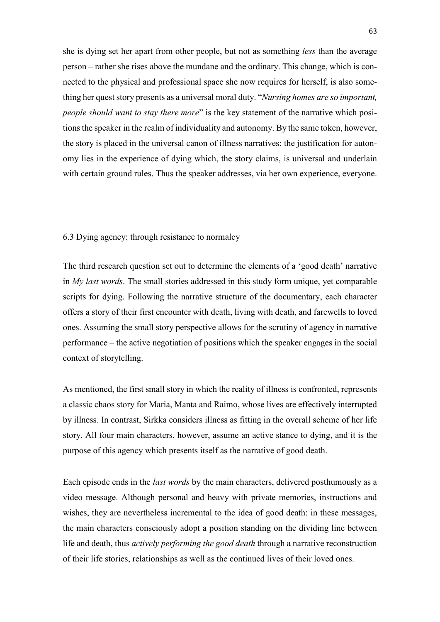she is dying set her apart from other people, but not as something *less* than the average person – rather she rises above the mundane and the ordinary. This change, which is connected to the physical and professional space she now requires for herself, is also something her quest story presents as a universal moral duty. "*Nursing homes are so important, people should want to stay there more*" is the key statement of the narrative which positions the speaker in the realm of individuality and autonomy. By the same token, however, the story is placed in the universal canon of illness narratives: the justification for autonomy lies in the experience of dying which, the story claims, is universal and underlain with certain ground rules. Thus the speaker addresses, via her own experience, everyone.

## 6.3 Dying agency: through resistance to normalcy

The third research question set out to determine the elements of a 'good death' narrative in *My last words*. The small stories addressed in this study form unique, yet comparable scripts for dying. Following the narrative structure of the documentary, each character offers a story of their first encounter with death, living with death, and farewells to loved ones. Assuming the small story perspective allows for the scrutiny of agency in narrative performance – the active negotiation of positions which the speaker engages in the social context of storytelling.

As mentioned, the first small story in which the reality of illness is confronted, represents a classic chaos story for Maria, Manta and Raimo, whose lives are effectively interrupted by illness. In contrast, Sirkka considers illness as fitting in the overall scheme of her life story. All four main characters, however, assume an active stance to dying, and it is the purpose of this agency which presents itself as the narrative of good death.

Each episode ends in the *last words* by the main characters, delivered posthumously as a video message. Although personal and heavy with private memories, instructions and wishes, they are nevertheless incremental to the idea of good death: in these messages, the main characters consciously adopt a position standing on the dividing line between life and death, thus *actively performing the good death* through a narrative reconstruction of their life stories, relationships as well as the continued lives of their loved ones.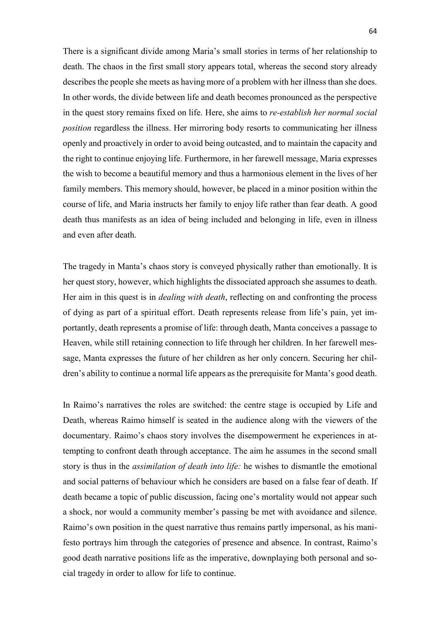There is a significant divide among Maria's small stories in terms of her relationship to death. The chaos in the first small story appears total, whereas the second story already describes the people she meets as having more of a problem with her illness than she does. In other words, the divide between life and death becomes pronounced as the perspective in the quest story remains fixed on life. Here, she aims to *re-establish her normal social position* regardless the illness. Her mirroring body resorts to communicating her illness openly and proactively in order to avoid being outcasted, and to maintain the capacity and the right to continue enjoying life. Furthermore, in her farewell message, Maria expresses the wish to become a beautiful memory and thus a harmonious element in the lives of her family members. This memory should, however, be placed in a minor position within the course of life, and Maria instructs her family to enjoy life rather than fear death. A good death thus manifests as an idea of being included and belonging in life, even in illness and even after death.

The tragedy in Manta's chaos story is conveyed physically rather than emotionally. It is her quest story, however, which highlights the dissociated approach she assumes to death. Her aim in this quest is in *dealing with death*, reflecting on and confronting the process of dying as part of a spiritual effort. Death represents release from life's pain, yet importantly, death represents a promise of life: through death, Manta conceives a passage to Heaven, while still retaining connection to life through her children. In her farewell message, Manta expresses the future of her children as her only concern. Securing her children's ability to continue a normal life appears as the prerequisite for Manta's good death.

In Raimo's narratives the roles are switched: the centre stage is occupied by Life and Death, whereas Raimo himself is seated in the audience along with the viewers of the documentary. Raimo's chaos story involves the disempowerment he experiences in attempting to confront death through acceptance. The aim he assumes in the second small story is thus in the *assimilation of death into life:* he wishes to dismantle the emotional and social patterns of behaviour which he considers are based on a false fear of death. If death became a topic of public discussion, facing one's mortality would not appear such a shock, nor would a community member's passing be met with avoidance and silence. Raimo's own position in the quest narrative thus remains partly impersonal, as his manifesto portrays him through the categories of presence and absence. In contrast, Raimo's good death narrative positions life as the imperative, downplaying both personal and social tragedy in order to allow for life to continue.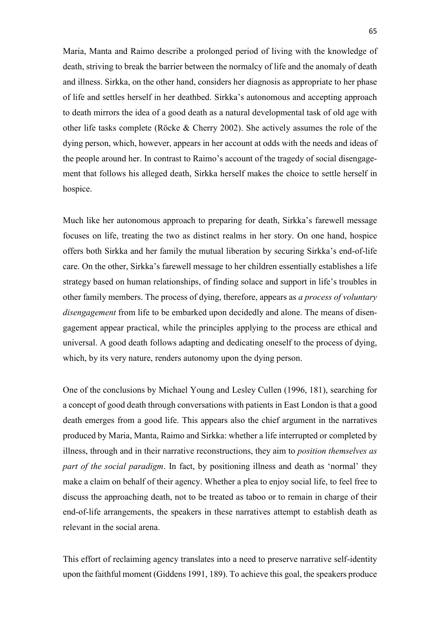Maria, Manta and Raimo describe a prolonged period of living with the knowledge of death, striving to break the barrier between the normalcy of life and the anomaly of death and illness. Sirkka, on the other hand, considers her diagnosis as appropriate to her phase of life and settles herself in her deathbed. Sirkka's autonomous and accepting approach to death mirrors the idea of a good death as a natural developmental task of old age with other life tasks complete (Röcke & Cherry 2002). She actively assumes the role of the dying person, which, however, appears in her account at odds with the needs and ideas of the people around her. In contrast to Raimo's account of the tragedy of social disengagement that follows his alleged death, Sirkka herself makes the choice to settle herself in hospice.

Much like her autonomous approach to preparing for death, Sirkka's farewell message focuses on life, treating the two as distinct realms in her story. On one hand, hospice offers both Sirkka and her family the mutual liberation by securing Sirkka's end-of-life care. On the other, Sirkka's farewell message to her children essentially establishes a life strategy based on human relationships, of finding solace and support in life's troubles in other family members. The process of dying, therefore, appears as *a process of voluntary disengagement* from life to be embarked upon decidedly and alone. The means of disengagement appear practical, while the principles applying to the process are ethical and universal. A good death follows adapting and dedicating oneself to the process of dying, which, by its very nature, renders autonomy upon the dying person.

One of the conclusions by Michael Young and Lesley Cullen (1996, 181), searching for a concept of good death through conversations with patients in East London is that a good death emerges from a good life. This appears also the chief argument in the narratives produced by Maria, Manta, Raimo and Sirkka: whether a life interrupted or completed by illness, through and in their narrative reconstructions, they aim to *position themselves as part of the social paradigm*. In fact, by positioning illness and death as 'normal' they make a claim on behalf of their agency. Whether a plea to enjoy social life, to feel free to discuss the approaching death, not to be treated as taboo or to remain in charge of their end-of-life arrangements, the speakers in these narratives attempt to establish death as relevant in the social arena.

This effort of reclaiming agency translates into a need to preserve narrative self-identity upon the faithful moment (Giddens 1991, 189). To achieve this goal, the speakers produce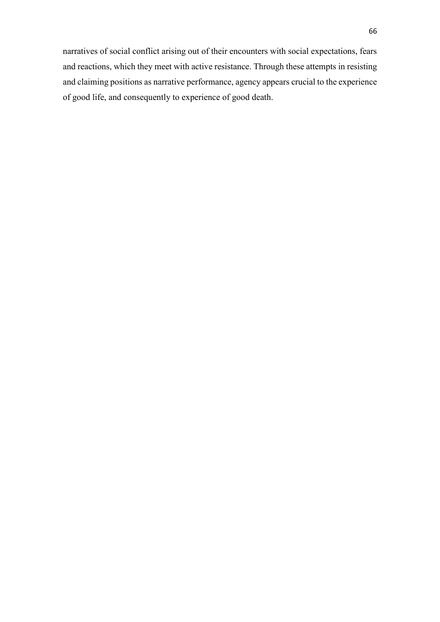narratives of social conflict arising out of their encounters with social expectations, fears and reactions, which they meet with active resistance. Through these attempts in resisting and claiming positions as narrative performance, agency appears crucial to the experience of good life, and consequently to experience of good death.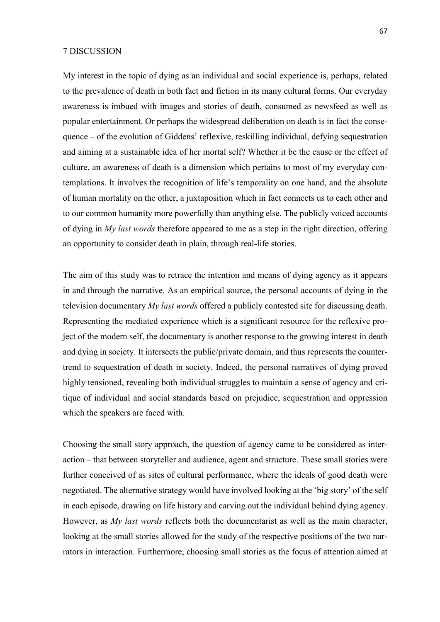### 7 DISCUSSION

My interest in the topic of dying as an individual and social experience is, perhaps, related to the prevalence of death in both fact and fiction in its many cultural forms. Our everyday awareness is imbued with images and stories of death, consumed as newsfeed as well as popular entertainment. Or perhaps the widespread deliberation on death is in fact the consequence – of the evolution of Giddens' reflexive, reskilling individual, defying sequestration and aiming at a sustainable idea of her mortal self? Whether it be the cause or the effect of culture, an awareness of death is a dimension which pertains to most of my everyday contemplations. It involves the recognition of life's temporality on one hand, and the absolute of human mortality on the other, a juxtaposition which in fact connects us to each other and to our common humanity more powerfully than anything else. The publicly voiced accounts of dying in *My last words* therefore appeared to me as a step in the right direction, offering an opportunity to consider death in plain, through real-life stories.

The aim of this study was to retrace the intention and means of dying agency as it appears in and through the narrative. As an empirical source, the personal accounts of dying in the television documentary *My last words* offered a publicly contested site for discussing death. Representing the mediated experience which is a significant resource for the reflexive project of the modern self, the documentary is another response to the growing interest in death and dying in society. It intersects the public/private domain, and thus represents the countertrend to sequestration of death in society. Indeed, the personal narratives of dying proved highly tensioned, revealing both individual struggles to maintain a sense of agency and critique of individual and social standards based on prejudice, sequestration and oppression which the speakers are faced with.

Choosing the small story approach, the question of agency came to be considered as interaction – that between storyteller and audience, agent and structure. These small stories were further conceived of as sites of cultural performance, where the ideals of good death were negotiated. The alternative strategy would have involved looking at the 'big story' of the self in each episode, drawing on life history and carving out the individual behind dying agency. However, as *My last words* reflects both the documentarist as well as the main character, looking at the small stories allowed for the study of the respective positions of the two narrators in interaction. Furthermore, choosing small stories as the focus of attention aimed at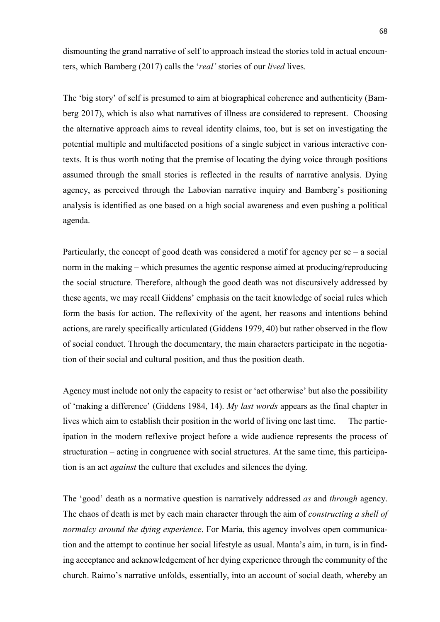dismounting the grand narrative of self to approach instead the stories told in actual encounters, which Bamberg (2017) calls the '*real'* stories of our *lived* lives.

The 'big story' of self is presumed to aim at biographical coherence and authenticity (Bamberg 2017), which is also what narratives of illness are considered to represent. Choosing the alternative approach aims to reveal identity claims, too, but is set on investigating the potential multiple and multifaceted positions of a single subject in various interactive contexts. It is thus worth noting that the premise of locating the dying voice through positions assumed through the small stories is reflected in the results of narrative analysis. Dying agency, as perceived through the Labovian narrative inquiry and Bamberg's positioning analysis is identified as one based on a high social awareness and even pushing a political agenda.

Particularly, the concept of good death was considered a motif for agency per  $se - a$  social norm in the making – which presumes the agentic response aimed at producing/reproducing the social structure. Therefore, although the good death was not discursively addressed by these agents, we may recall Giddens' emphasis on the tacit knowledge of social rules which form the basis for action. The reflexivity of the agent, her reasons and intentions behind actions, are rarely specifically articulated (Giddens 1979, 40) but rather observed in the flow of social conduct. Through the documentary, the main characters participate in the negotiation of their social and cultural position, and thus the position death.

Agency must include not only the capacity to resist or 'act otherwise' but also the possibility of 'making a difference' (Giddens 1984, 14). *My last words* appears as the final chapter in lives which aim to establish their position in the world of living one last time. The participation in the modern reflexive project before a wide audience represents the process of structuration – acting in congruence with social structures. At the same time, this participation is an act *against* the culture that excludes and silences the dying.

The 'good' death as a normative question is narratively addressed *as* and *through* agency. The chaos of death is met by each main character through the aim of *constructing a shell of normalcy around the dying experience*. For Maria, this agency involves open communication and the attempt to continue her social lifestyle as usual. Manta's aim, in turn, is in finding acceptance and acknowledgement of her dying experience through the community of the church. Raimo's narrative unfolds, essentially, into an account of social death, whereby an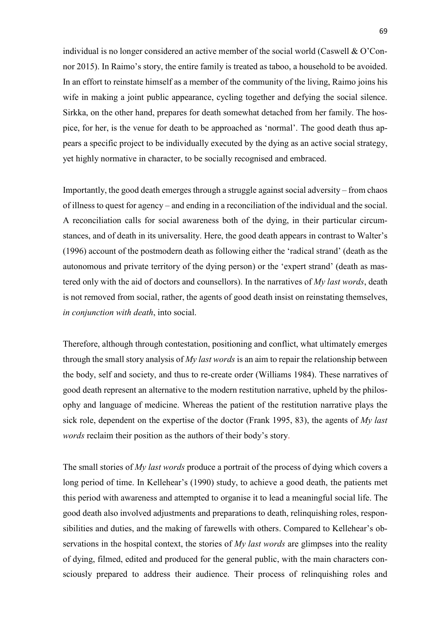individual is no longer considered an active member of the social world (Caswell & O'Connor 2015). In Raimo's story, the entire family is treated as taboo, a household to be avoided. In an effort to reinstate himself as a member of the community of the living, Raimo joins his wife in making a joint public appearance, cycling together and defying the social silence. Sirkka, on the other hand, prepares for death somewhat detached from her family. The hospice, for her, is the venue for death to be approached as 'normal'. The good death thus appears a specific project to be individually executed by the dying as an active social strategy, yet highly normative in character, to be socially recognised and embraced.

Importantly, the good death emerges through a struggle against social adversity – from chaos of illness to quest for agency – and ending in a reconciliation of the individual and the social. A reconciliation calls for social awareness both of the dying, in their particular circumstances, and of death in its universality. Here, the good death appears in contrast to Walter's (1996) account of the postmodern death as following either the 'radical strand' (death as the autonomous and private territory of the dying person) or the 'expert strand' (death as mastered only with the aid of doctors and counsellors). In the narratives of *My last words*, death is not removed from social, rather, the agents of good death insist on reinstating themselves, *in conjunction with death*, into social.

Therefore, although through contestation, positioning and conflict, what ultimately emerges through the small story analysis of *My last words* is an aim to repair the relationship between the body, self and society, and thus to re-create order (Williams 1984). These narratives of good death represent an alternative to the modern restitution narrative, upheld by the philosophy and language of medicine. Whereas the patient of the restitution narrative plays the sick role, dependent on the expertise of the doctor (Frank 1995, 83), the agents of *My last words* reclaim their position as the authors of their body's story.

The small stories of *My last words* produce a portrait of the process of dying which covers a long period of time. In Kellehear's (1990) study, to achieve a good death, the patients met this period with awareness and attempted to organise it to lead a meaningful social life. The good death also involved adjustments and preparations to death, relinquishing roles, responsibilities and duties, and the making of farewells with others. Compared to Kellehear's observations in the hospital context, the stories of *My last words* are glimpses into the reality of dying, filmed, edited and produced for the general public, with the main characters consciously prepared to address their audience. Their process of relinquishing roles and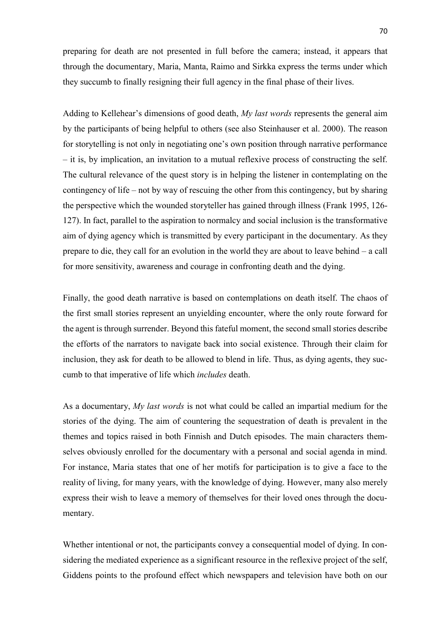preparing for death are not presented in full before the camera; instead, it appears that through the documentary, Maria, Manta, Raimo and Sirkka express the terms under which they succumb to finally resigning their full agency in the final phase of their lives.

Adding to Kellehear's dimensions of good death, *My last words* represents the general aim by the participants of being helpful to others (see also Steinhauser et al. 2000). The reason for storytelling is not only in negotiating one's own position through narrative performance – it is, by implication, an invitation to a mutual reflexive process of constructing the self. The cultural relevance of the quest story is in helping the listener in contemplating on the contingency of life – not by way of rescuing the other from this contingency, but by sharing the perspective which the wounded storyteller has gained through illness (Frank 1995, 126- 127). In fact, parallel to the aspiration to normalcy and social inclusion is the transformative aim of dying agency which is transmitted by every participant in the documentary. As they prepare to die, they call for an evolution in the world they are about to leave behind – a call for more sensitivity, awareness and courage in confronting death and the dying.

Finally, the good death narrative is based on contemplations on death itself. The chaos of the first small stories represent an unyielding encounter, where the only route forward for the agent is through surrender. Beyond this fateful moment, the second small stories describe the efforts of the narrators to navigate back into social existence. Through their claim for inclusion, they ask for death to be allowed to blend in life. Thus, as dying agents, they succumb to that imperative of life which *includes* death.

As a documentary, *My last words* is not what could be called an impartial medium for the stories of the dying. The aim of countering the sequestration of death is prevalent in the themes and topics raised in both Finnish and Dutch episodes. The main characters themselves obviously enrolled for the documentary with a personal and social agenda in mind. For instance, Maria states that one of her motifs for participation is to give a face to the reality of living, for many years, with the knowledge of dying. However, many also merely express their wish to leave a memory of themselves for their loved ones through the documentary.

Whether intentional or not, the participants convey a consequential model of dying. In considering the mediated experience as a significant resource in the reflexive project of the self, Giddens points to the profound effect which newspapers and television have both on our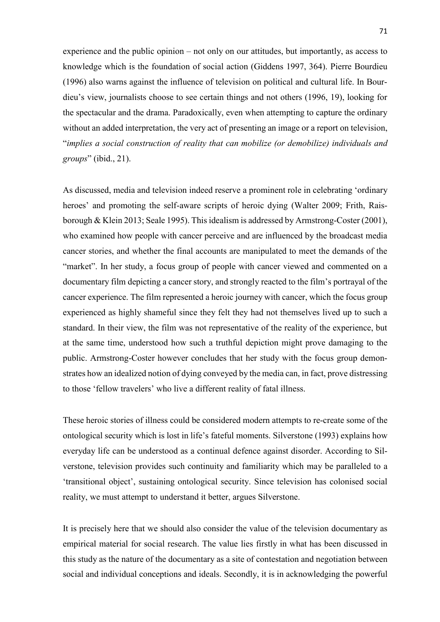experience and the public opinion – not only on our attitudes, but importantly, as access to knowledge which is the foundation of social action (Giddens 1997, 364). Pierre Bourdieu (1996) also warns against the influence of television on political and cultural life. In Bourdieu's view, journalists choose to see certain things and not others (1996, 19), looking for the spectacular and the drama. Paradoxically, even when attempting to capture the ordinary without an added interpretation, the very act of presenting an image or a report on television, "*implies a social construction of reality that can mobilize (or demobilize) individuals and groups*" (ibid., 21).

As discussed, media and television indeed reserve a prominent role in celebrating 'ordinary heroes' and promoting the self-aware scripts of heroic dying (Walter 2009; Frith, Raisborough & Klein 2013; Seale 1995). This idealism is addressed by Armstrong-Coster (2001), who examined how people with cancer perceive and are influenced by the broadcast media cancer stories, and whether the final accounts are manipulated to meet the demands of the "market". In her study, a focus group of people with cancer viewed and commented on a documentary film depicting a cancer story, and strongly reacted to the film's portrayal of the cancer experience. The film represented a heroic journey with cancer, which the focus group experienced as highly shameful since they felt they had not themselves lived up to such a standard. In their view, the film was not representative of the reality of the experience, but at the same time, understood how such a truthful depiction might prove damaging to the public. Armstrong-Coster however concludes that her study with the focus group demonstrates how an idealized notion of dying conveyed by the media can, in fact, prove distressing to those 'fellow travelers' who live a different reality of fatal illness.

These heroic stories of illness could be considered modern attempts to re-create some of the ontological security which is lost in life's fateful moments. Silverstone (1993) explains how everyday life can be understood as a continual defence against disorder. According to Silverstone, television provides such continuity and familiarity which may be paralleled to a 'transitional object', sustaining ontological security. Since television has colonised social reality, we must attempt to understand it better, argues Silverstone.

It is precisely here that we should also consider the value of the television documentary as empirical material for social research. The value lies firstly in what has been discussed in this study as the nature of the documentary as a site of contestation and negotiation between social and individual conceptions and ideals. Secondly, it is in acknowledging the powerful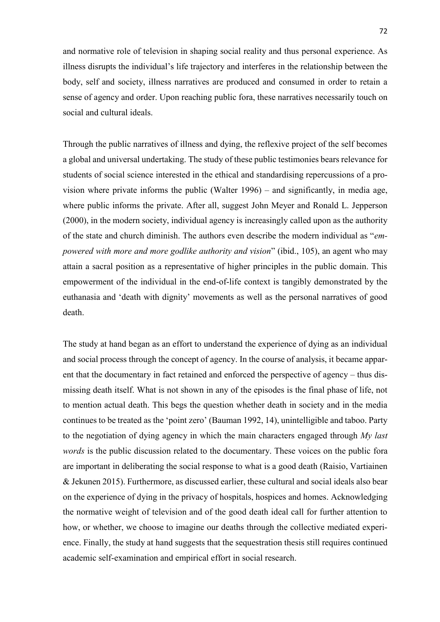and normative role of television in shaping social reality and thus personal experience. As illness disrupts the individual's life trajectory and interferes in the relationship between the body, self and society, illness narratives are produced and consumed in order to retain a sense of agency and order. Upon reaching public fora, these narratives necessarily touch on social and cultural ideals.

Through the public narratives of illness and dying, the reflexive project of the self becomes a global and universal undertaking. The study of these public testimonies bears relevance for students of social science interested in the ethical and standardising repercussions of a provision where private informs the public (Walter 1996) – and significantly, in media age, where public informs the private. After all, suggest John Meyer and Ronald L. Jepperson (2000), in the modern society, individual agency is increasingly called upon as the authority of the state and church diminish. The authors even describe the modern individual as "*empowered with more and more godlike authority and vision*" (ibid., 105), an agent who may attain a sacral position as a representative of higher principles in the public domain. This empowerment of the individual in the end-of-life context is tangibly demonstrated by the euthanasia and 'death with dignity' movements as well as the personal narratives of good death.

The study at hand began as an effort to understand the experience of dying as an individual and social process through the concept of agency. In the course of analysis, it became apparent that the documentary in fact retained and enforced the perspective of agency – thus dismissing death itself. What is not shown in any of the episodes is the final phase of life, not to mention actual death. This begs the question whether death in society and in the media continues to be treated as the 'point zero' (Bauman 1992, 14), unintelligible and taboo. Party to the negotiation of dying agency in which the main characters engaged through *My last words* is the public discussion related to the documentary. These voices on the public fora are important in deliberating the social response to what is a good death (Raisio, Vartiainen & Jekunen 2015). Furthermore, as discussed earlier, these cultural and social ideals also bear on the experience of dying in the privacy of hospitals, hospices and homes. Acknowledging the normative weight of television and of the good death ideal call for further attention to how, or whether, we choose to imagine our deaths through the collective mediated experience. Finally, the study at hand suggests that the sequestration thesis still requires continued academic self-examination and empirical effort in social research.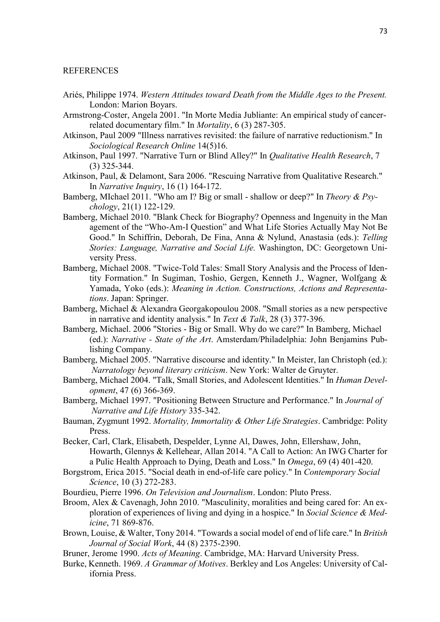## REFERENCES

- Ariés, Philippe 1974. *Western Attitudes toward Death from the Middle Ages to the Present.* London: Marion Boyars.
- Armstrong-Coster, Angela 2001. "In Morte Media Jubliante: An empirical study of cancerrelated documentary film." In *Mortality*, 6 (3) 287-305.
- Atkinson, Paul 2009 "Illness narratives revisited: the failure of narrative reductionism." In *Sociological Research Online* 14(5)16.
- Atkinson, Paul 1997. "Narrative Turn or Blind Alley?" In *Qualitative Health Research*, 7 (3) 325-344.
- Atkinson, Paul, & Delamont, Sara 2006. "Rescuing Narrative from Qualitative Research." In *Narrative Inquiry*, 16 (1) 164-172.
- Bamberg, MIchael 2011. "Who am I? Big or small shallow or deep?" In *Theory & Psychology*, 21(1) 122-129.
- Bamberg, Michael 2010. "Blank Check for Biography? Openness and Ingenuity in the Man agement of the "Who-Am-I Question" and What Life Stories Actually May Not Be Good." In Schiffrin, Deborah, De Fina, Anna & Nylund, Anastasia (eds.): *Telling Stories: Language, Narrative and Social Life.* Washington, DC: Georgetown University Press.
- Bamberg, Michael 2008. "Twice-Told Tales: Small Story Analysis and the Process of Identity Formation." In Sugiman, Toshio, Gergen, Kenneth J., Wagner, Wolfgang & Yamada, Yoko (eds.): *Meaning in Action. Constructions, Actions and Representations*. Japan: Springer.
- Bamberg, Michael & Alexandra Georgakopoulou 2008. "Small stories as a new perspective in narrative and identity analysis." In *Text & Talk*, 28 (3) 377-396.
- Bamberg, Michael. 2006 "Stories Big or Small. Why do we care?" In Bamberg, Michael (ed.): *Narrative - State of the Art*. Amsterdam/Philadelphia: John Benjamins Publishing Company.
- Bamberg, Michael 2005. "Narrative discourse and identity." In Meister, Ian Christoph (ed.): *Narratology beyond literary criticism*. New York: Walter de Gruyter.
- Bamberg, Michael 2004. "Talk, Small Stories, and Adolescent Identities." In *Human Development*, 47 (6) 366-369.
- Bamberg, Michael 1997. "Positioning Between Structure and Performance." In *Journal of Narrative and Life History* 335-342.
- Bauman, Zygmunt 1992. *Mortality, Immortality & Other Life Strategies*. Cambridge: Polity Press.
- Becker, Carl, Clark, Elisabeth, Despelder, Lynne Al, Dawes, John, Ellershaw, John, Howarth, Glennys & Kellehear, Allan 2014. "A Call to Action: An IWG Charter for a Pulic Health Approach to Dying, Death and Loss." In *Omega*, 69 (4) 401-420.
- Borgstrom, Erica 2015. "Social death in end-of-life care policy." In *Contemporary Social Science*, 10 (3) 272-283.
- Bourdieu, Pierre 1996. *On Television and Journalism*. London: Pluto Press.
- Broom, Alex & Cavenagh, John 2010. "Masculinity, moralities and being cared for: An exploration of experiences of living and dying in a hospice." In *Social Science & Medicine*, 71 869-876.
- Brown, Louise, & Walter, Tony 2014. "Towards a social model of end of life care." In *British Journal of Social Work*, 44 (8) 2375-2390.
- Bruner, Jerome 1990. *Acts of Meaning*. Cambridge, MA: Harvard University Press.
- Burke, Kenneth. 1969. *A Grammar of Motives*. Berkley and Los Angeles: University of California Press.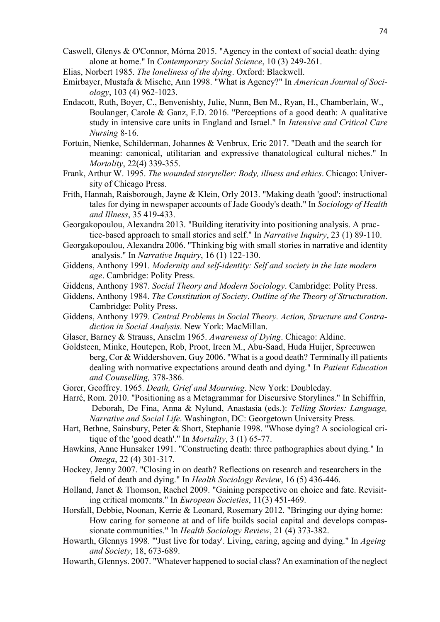- Caswell, Glenys & O'Connor, Mórna 2015. "Agency in the context of social death: dying alone at home." In *Contemporary Social Science*, 10 (3) 249-261.
- Elias, Norbert 1985. *The loneliness of the dying*. Oxford: Blackwell.
- Emirbayer, Mustafa & Mische, Ann 1998. "What is Agency?" In *American Journal of Sociology*, 103 (4) 962-1023.
- Endacott, Ruth, Boyer, C., Benvenishty, Julie, Nunn, Ben M., Ryan, H., Chamberlain, W., Boulanger, Carole & Ganz, F.D. 2016. "Perceptions of a good death: A qualitative study in intensive care units in England and Israel." In *Intensive and Critical Care Nursing* 8-16.
- Fortuin, Nienke, Schilderman, Johannes & Venbrux, Eric 2017. "Death and the search for meaning: canonical, utilitarian and expressive thanatological cultural niches." In *Mortality*, 22(4) 339-355.
- Frank, Arthur W. 1995. *The wounded storyteller: Body, illness and ethics*. Chicago: University of Chicago Press.
- Frith, Hannah, Raisborough, Jayne & Klein, Orly 2013. "Making death 'good': instructional tales for dying in newspaper accounts of Jade Goody's death." In *Sociology of Health and Illness*, 35 419-433.
- Georgakopoulou, Alexandra 2013. "Building iterativity into positioning analysis. A practice-based approach to small stories and self." In *Narrative Inquiry*, 23 (1) 89-110.
- Georgakopoulou, Alexandra 2006. "Thinking big with small stories in narrative and identity analysis." In *Narrative Inquiry*, 16 (1) 122-130.
- Giddens, Anthony 1991. *Modernity and self-identity: Self and society in the late modern age*. Cambridge: Polity Press.
- Giddens, Anthony 1987. *Social Theory and Modern Sociology*. Cambridge: Polity Press.
- Giddens, Anthony 1984. *The Constitution of Society*. *Outline of the Theory of Structuration*. Cambridge: Polity Press.
- Giddens, Anthony 1979. *Central Problems in Social Theory. Action, Structure and Contradiction in Social Analysis*. New York: MacMillan.
- Glaser, Barney & Strauss, Anselm 1965. *Awareness of Dying*. Chicago: Aldine.
- Goldsteen, Minke, Houtepen, Rob, Proot, Ireen M., Abu-Saad, Huda Huijer, Spreeuwen berg, Cor & Widdershoven, Guy 2006. "What is a good death? Terminally ill patients dealing with normative expectations around death and dying." In *Patient Education and Counselling,* 378-386.
- Gorer, Geoffrey. 1965. *Death, Grief and Mourning*. New York: Doubleday.
- Harré, Rom. 2010. "Positioning as a Metagrammar for Discursive Storylines." In Schiffrin, Deborah, De Fina, Anna & Nylund, Anastasia (eds.): *Telling Stories: Language, Narrative and Social Life*. Washington, DC: Georgetown University Press.
- Hart, Bethne, Sainsbury, Peter & Short, Stephanie 1998. "Whose dying? A sociological critique of the 'good death'." In *Mortality*, 3 (1) 65-77.
- Hawkins, Anne Hunsaker 1991. "Constructing death: three pathographies about dying." In *Omega*, 22 (4) 301-317.
- Hockey, Jenny 2007. "Closing in on death? Reflections on research and researchers in the field of death and dying." In *Health Sociology Review*, 16 (5) 436-446.
- Holland, Janet & Thomson, Rachel 2009. "Gaining perspective on choice and fate. Revisiting critical moments." In *European Societies*, 11(3) 451-469.
- Horsfall, Debbie, Noonan, Kerrie & Leonard, Rosemary 2012. "Bringing our dying home: How caring for someone at and of life builds social capital and develops compassionate communities." In *Health Sociology Review*, 21 (4) 373-382.
- Howarth, Glennys 1998. "'Just live for today'. Living, caring, ageing and dying." In *Ageing and Society*, 18, 673-689.
- Howarth, Glennys. 2007. "Whatever happened to social class? An examination of the neglect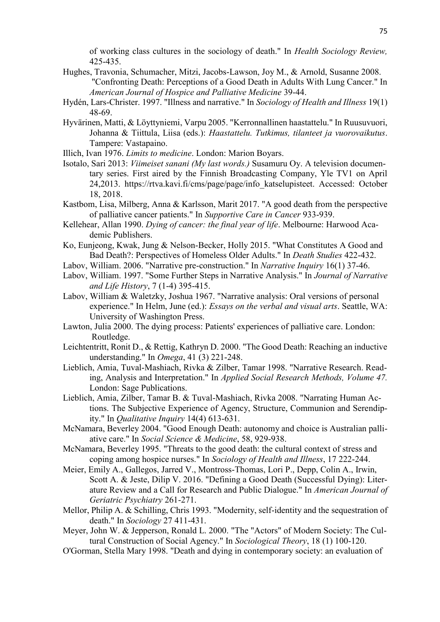of working class cultures in the sociology of death." In *Health Sociology Review,* 425-435.

- Hughes, Travonia, Schumacher, Mitzi, Jacobs-Lawson, Joy M., & Arnold, Susanne 2008. "Confronting Death: Perceptions of a Good Death in Adults With Lung Cancer." In *American Journal of Hospice and Palliative Medicine* 39-44.
- Hydén, Lars-Christer. 1997. "Illness and narrative." In *Sociology of Health and Illness* 19(1) 48-69.
- Hyvärinen, Matti, & Löyttyniemi, Varpu 2005. "Kerronnallinen haastattelu." In Ruusuvuori, Johanna & Tiittula, Liisa (eds.): *Haastattelu. Tutkimus, tilanteet ja vuorovaikutus*. Tampere: Vastapaino.
- Illich, Ivan 1976. *Limits to medicine*. London: Marion Boyars.
- Isotalo, Sari 2013: *Viimeiset sanani (My last words.)* Susamuru Oy. A television documentary series. First aired by the Finnish Broadcasting Company, Yle TV1 on April 24,2013. https://rtva.kavi.fi/cms/page/page/info\_katselupisteet. Accessed: October 18, 2018.
- Kastbom, Lisa, Milberg, Anna & Karlsson, Marit 2017. "A good death from the perspective of palliative cancer patients." In *Supportive Care in Cancer* 933-939.
- Kellehear, Allan 1990. *Dying of cancer: the final year of life*. Melbourne: Harwood Academic Publishers.
- Ko, Eunjeong, Kwak, Jung & Nelson-Becker, Holly 2015. "What Constitutes A Good and Bad Death?: Perspectives of Homeless Older Adults." In *Death Studies* 422-432.
- Labov, William. 2006. "Narrative pre-construction." In *Narrative Inquiry* 16(1) 37-46.
- Labov, William. 1997. "Some Further Steps in Narrative Analysis." In *Journal of Narrative and Life History*, 7 (1-4) 395-415.
- Labov, William & Waletzky, Joshua 1967. "Narrative analysis: Oral versions of personal experience." In Helm, June (ed.): *Essays on the verbal and visual arts*. Seattle, WA: University of Washington Press.
- Lawton, Julia 2000. The dying process: Patients' experiences of palliative care. London: Routledge.
- Leichtentritt, Ronit D., & Rettig, Kathryn D. 2000. "The Good Death: Reaching an inductive understanding." In *Omega*, 41 (3) 221-248.
- Lieblich, Amia, Tuval-Mashiach, Rivka & Zilber, Tamar 1998. "Narrative Research. Reading, Analysis and Interpretation." In *Applied Social Research Methods, Volume 47.* London: Sage Publications.
- Lieblich, Amia, Zilber, Tamar B. & Tuval-Mashiach, Rivka 2008. "Narrating Human Actions. The Subjective Experience of Agency, Structure, Communion and Serendipity." In *Qualitative Inquiry* 14(4) 613-631.
- McNamara, Beverley 2004. "Good Enough Death: autonomy and choice is Australian palliative care." In *Social Science & Medicine*, 58, 929-938.
- McNamara, Beverley 1995. "Threats to the good death: the cultural context of stress and coping among hospice nurses." In *Sociology of Health and Illness*, 17 222-244.
- Meier, Emily A., Gallegos, Jarred V., Montross-Thomas, Lori P., Depp, Colin A., Irwin, Scott A. & Jeste, Dilip V. 2016. "Defining a Good Death (Successful Dying): Literature Review and a Call for Research and Public Dialogue." In *American Journal of Geriatric Psychiatry* 261-271.
- Mellor, Philip A. & Schilling, Chris 1993. "Modernity, self-identity and the sequestration of death." In *Sociology* 27 411-431.
- Meyer, John W. & Jepperson, Ronald L. 2000. "The "Actors" of Modern Society: The Cultural Construction of Social Agency." In *Sociological Theory*, 18 (1) 100-120.
- O'Gorman, Stella Mary 1998. "Death and dying in contemporary society: an evaluation of